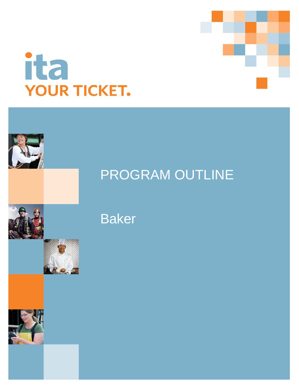









# Baker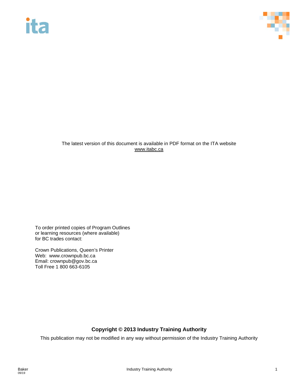

### The latest version of this document is available in PDF format on the ITA website [www.itabc.ca](http://www.itabc.ca/)

To order printed copies of Program Outlines or learning resources (where available) for BC trades contact:

Crown Publications, Queen's Printer Web: www.crownpub.bc.ca Email: crownpub@gov.bc.ca Toll Free 1 800 663-6105

### **Copyright © 2013 Industry Training Authority**

This publication may not be modified in any way without permission of the Industry Training Authority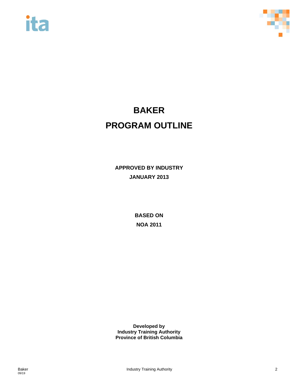



# **BAKER PROGRAM OUTLINE**

**APPROVED BY INDUSTRY JANUARY 2013**

> **BASED ON NOA 2011**

**Developed by Industry Training Authority Province of British Columbia**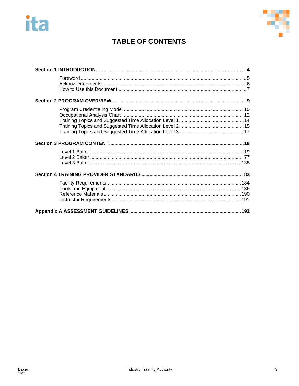



# **TABLE OF CONTENTS**

<span id="page-3-0"></span>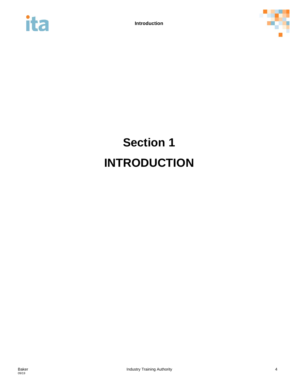



# **Section 1 INTRODUCTION**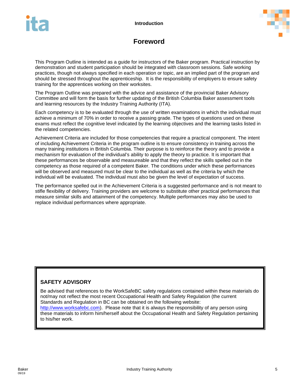



# **Foreword**

<span id="page-5-0"></span>This Program Outline is intended as a guide for instructors of the Baker program. Practical instruction by demonstration and student participation should be integrated with classroom sessions. Safe working practices, though not always specified in each operation or topic, are an implied part of the program and should be stressed throughout the apprenticeship. It is the responsibility of employers to ensure safety training for the apprentices working on their worksites.

The Program Outline was prepared with the advice and assistance of the provincial Baker Advisory Committee and will form the basis for further updating of the British Columbia Baker assessment tools and learning resources by the Industry Training Authority (ITA).

Each competency is to be evaluated through the use of written examinations in which the individual must achieve a minimum of 70% in order to receive a passing grade. The types of questions used on these exams must reflect the cognitive level indicated by the learning objectives and the learning tasks listed in the related competencies.

Achievement Criteria are included for those competencies that require a practical component. The intent of including Achievement Criteria in the program outline is to ensure consistency in training across the many training institutions in British Columbia. Their purpose is to reinforce the theory and to provide a mechanism for evaluation of the individual's ability to apply the theory to practice. It is important that these performances be observable and measureable and that they reflect the skills spelled out in the competency as those required of a competent Baker. The conditions under which these performances will be observed and measured must be clear to the individual as well as the criteria by which the individual will be evaluated. The individual must also be given the level of expectation of success.

The performance spelled out in the Achievement Criteria is a suggested performance and is not meant to stifle flexibility of delivery. Training providers are welcome to substitute other practical performances that measure similar skills and attainment of the competency. Multiple performances may also be used to replace individual performances where appropriate.

### **SAFETY ADVISORY**

Be advised that references to the WorkSafeBC safety regulations contained within these materials do not/may not reflect the most recent Occupational Health and Safety Regulation (the current Standards and Regulation in BC can be obtained on the following website: [http://www.worksafebc.com\)](http://www.worksafebc.com/). Please note that it is always the responsibility of any person using these materials to inform him/herself about the Occupational Health and Safety Regulation pertaining to his/her work.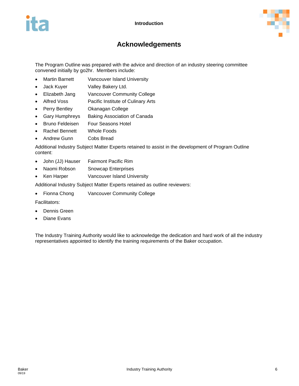



# **Acknowledgements**

<span id="page-6-0"></span>The Program Outline was prepared with the advice and direction of an industry steering committee convened initially by go2hr. Members include:

- Martin Barnett Vancouver Island University
- Jack Kuyer Valley Bakery Ltd.
- Elizabeth Jang Vancouver Community College
- Alfred Voss Pacific Institute of Culinary Arts
- Perry Bentley **Okanagan College**
- Gary Humphreys Baking Association of Canada
- Bruno Feldeisen Four Seasons Hotel
- Rachel Bennett Whole Foods
- Andrew Gunn Cobs Bread

Additional Industry Subject Matter Experts retained to assist in the development of Program Outline content:

- John (JJ) Hauser Fairmont Pacific Rim
- Naomi Robson Snowcap Enterprises
- Ken Harper Vancouver Island University

Additional Industry Subject Matter Experts retained as outline reviewers:

• Fionna Chong Vancouver Community College

Facilitators:

- Dennis Green
- Diane Evans

The Industry Training Authority would like to acknowledge the dedication and hard work of all the industry representatives appointed to identify the training requirements of the Baker occupation.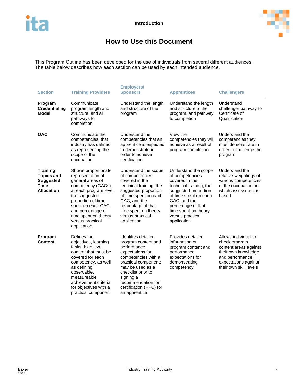

# **How to Use this Document**

<span id="page-7-0"></span>This Program Outline has been developed for the use of individuals from several different audiences. The table below describes how each section can be used by each intended audience.

| <b>Section</b>                                                                               | <b>Training Providers</b>                                                                                                                                                                                                                                | <b>Employers/</b><br><b>Sponsors</b>                                                                                                                                                                                                                  | <b>Apprentices</b>                                                                                                                                                                                                                     | <b>Challengers</b>                                                                                                                                         |
|----------------------------------------------------------------------------------------------|----------------------------------------------------------------------------------------------------------------------------------------------------------------------------------------------------------------------------------------------------------|-------------------------------------------------------------------------------------------------------------------------------------------------------------------------------------------------------------------------------------------------------|----------------------------------------------------------------------------------------------------------------------------------------------------------------------------------------------------------------------------------------|------------------------------------------------------------------------------------------------------------------------------------------------------------|
| Program<br><b>Credentialing</b><br>Model                                                     | Communicate<br>program length and<br>structure, and all<br>pathways to<br>completion                                                                                                                                                                     | Understand the length<br>and structure of the<br>program                                                                                                                                                                                              | Understand the length<br>and structure of the<br>program, and pathway<br>to completion                                                                                                                                                 | Understand<br>challenger pathway to<br>Certificate of<br>Qualification                                                                                     |
| <b>OAC</b>                                                                                   | Communicate the<br>competencies that<br>industry has defined<br>as representing the<br>scope of the<br>occupation                                                                                                                                        | Understand the<br>competencies that an<br>apprentice is expected<br>to demonstrate in<br>order to achieve<br>certification                                                                                                                            | View the<br>competencies they will<br>achieve as a result of<br>program completion                                                                                                                                                     | Understand the<br>competencies they<br>must demonstrate in<br>order to challenge the<br>program                                                            |
| <b>Training</b><br><b>Topics and</b><br><b>Suggested</b><br><b>Time</b><br><b>Allocation</b> | Shows proportionate<br>representation of<br>general areas of<br>competency (GACs)<br>at each program level,<br>the suggested<br>proportion of time<br>spent on each GAC,<br>and percentage of<br>time spent on theory<br>versus practical<br>application | Understand the scope<br>of competencies<br>covered in the<br>technical training, the<br>suggested proportion<br>of time spent on each<br>GAC, and the<br>percentage of that<br>time spent on theory<br>versus practical<br>application                | Understand the scope<br>of competencies<br>covered in the<br>technical training, the<br>suggested proportion<br>of time spent on each<br>GAC, and the<br>percentage of that<br>time spent on theory<br>versus practical<br>application | Understand the<br>relative weightings of<br>various competencies<br>of the occupation on<br>which assessment is<br>based                                   |
| Program<br><b>Content</b>                                                                    | Defines the<br>objectives, learning<br>tasks, high level<br>content that must be<br>covered for each<br>competency, as well<br>as defining<br>observable,<br>measureable<br>achievement criteria<br>for objectives with a<br>practical component         | Identifies detailed<br>program content and<br>performance<br>expectations for<br>competencies with a<br>practical component;<br>may be used as a<br>checklist prior to<br>signing a<br>recommendation for<br>certification (RFC) for<br>an apprentice | Provides detailed<br>information on<br>program content and<br>performance<br>expectations for<br>demonstrating<br>competency                                                                                                           | Allows individual to<br>check program<br>content areas against<br>their own knowledge<br>and performance<br>expectations against<br>their own skill levels |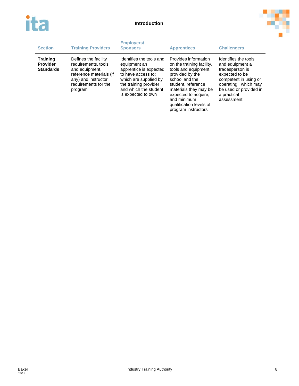



| <b>Section</b>                                         | <b>Training Providers</b>                                                                                                                          | <b>Employers/</b><br><b>Sponsors</b>                                                                                                                                                      | <b>Apprentices</b>                                                                                                                                                                                                                                    | <b>Challengers</b>                                                                                                                                                                   |
|--------------------------------------------------------|----------------------------------------------------------------------------------------------------------------------------------------------------|-------------------------------------------------------------------------------------------------------------------------------------------------------------------------------------------|-------------------------------------------------------------------------------------------------------------------------------------------------------------------------------------------------------------------------------------------------------|--------------------------------------------------------------------------------------------------------------------------------------------------------------------------------------|
| <b>Training</b><br><b>Provider</b><br><b>Standards</b> | Defines the facility<br>requirements, tools<br>and equipment.<br>reference materials (if<br>any) and instructor<br>requirements for the<br>program | Identifies the tools and<br>equipment an<br>apprentice is expected<br>to have access to:<br>which are supplied by<br>the training provider<br>and which the student<br>is expected to own | Provides information<br>on the training facility,<br>tools and equipment<br>provided by the<br>school and the<br>student, reference<br>materials they may be<br>expected to acquire.<br>and minimum<br>qualification levels of<br>program instructors | Identifies the tools<br>and equipment a<br>tradesperson is<br>expected to be<br>competent in using or<br>operating; which may<br>be used or provided in<br>a practical<br>assessment |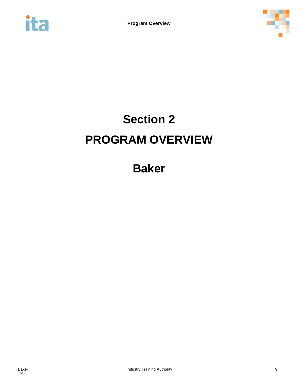<span id="page-9-0"></span>



# **Section 2 PROGRAM OVERVIEW**

**Baker**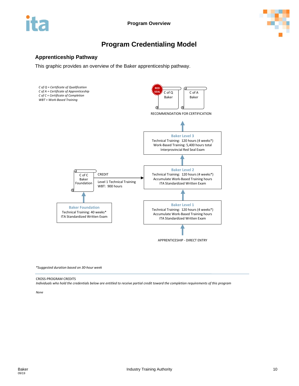



# **Program Credentialing Model**

### <span id="page-10-0"></span>**Apprenticeship Pathway**

This graphic provides an overview of the Baker apprenticeship pathway.



*\*Suggested duration based on 30-hour week*

### CROSS-PROGRAM CREDITS

*Individuals who hold the credentials below are entitled to receive partial credit toward the completion requirements of this program*

*None*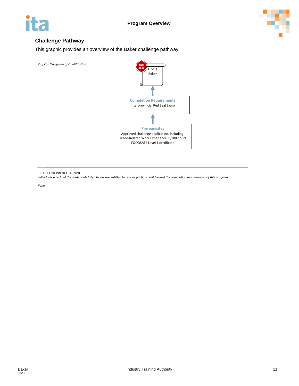



### **Challenge Pathway**

This graphic provides an overview of the Baker challenge pathway.

*C of Q = Certificate of Qualification* 



CREDIT FOR PRIOR LEARNING

*Individuals who hold the credentials listed below are entitled to receive partial credit toward the completion requirements of this program*

*None*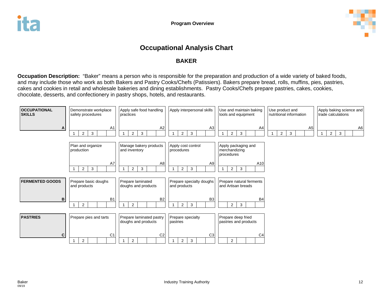

# **Occupational Analysis Chart**

### **BAKER**

**Occupation Description:** "Baker" means a person who is responsible for the preparation and production of a wide variety of baked foods, and may include those who work as both Bakers and Pastry Cooks/Chefs (Patissiers). Bakers prepare bread, rolls, muffins, pies, pastries, cakes and cookies in retail and wholesale bakeries and dining establishments. Pastry Cooks/Chefs prepare pastries, cakes, cookies, chocolate, desserts, and confectionery in pastry shops, hotels, and restaurants.

<span id="page-12-0"></span>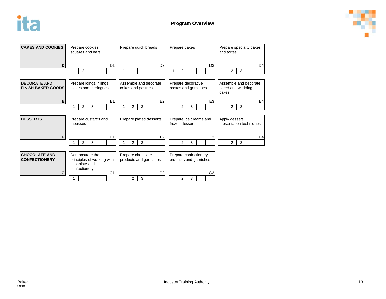



| <b>CAKES AND COOKIES</b>                         | Prepare cookies,<br>squares and bars                                            | Prepare quick breads<br>Prepare cakes       |                                                 | Prepare specialty cakes<br>and tortes                |
|--------------------------------------------------|---------------------------------------------------------------------------------|---------------------------------------------|-------------------------------------------------|------------------------------------------------------|
| D                                                | D <sub>1</sub><br>$\overline{2}$                                                | D <sub>2</sub>                              | D <sub>3</sub><br>$\overline{2}$                | D4<br>$\overline{2}$<br>3                            |
| <b>DECORATE AND</b><br><b>FINISH BAKED GOODS</b> | Prepare icings, fillings,<br>glazes and meringues                               | Assemble and decorate<br>cakes and pastries | Prepare decorative<br>pastes and garnishes      | Assemble and decorate<br>tiered and wedding<br>cakes |
| Е                                                | E1                                                                              | E <sub>2</sub>                              | E <sub>3</sub>                                  | E <sub>4</sub>                                       |
|                                                  | $\overline{2}$<br>3                                                             | 3<br>$\overline{2}$                         | 3<br>2                                          | 3<br>$\overline{2}$                                  |
| <b>DESSERTS</b>                                  | Prepare custards and<br>mousses                                                 | Prepare plated desserts                     | Prepare ice creams and<br>frozen desserts       | Apply dessert<br>presentation techniques             |
| F                                                | F <sub>1</sub>                                                                  | F <sub>2</sub>                              | F <sub>3</sub>                                  | F <sub>4</sub>                                       |
|                                                  | 3<br>2<br>1                                                                     | 2<br>3                                      | 2<br>3                                          | 2<br>3                                               |
| <b>CHOCOLATE AND</b><br><b>CONFECTIONERY</b>     | Demonstrate the<br>principles of working with<br>chocolate and<br>confectionery | Prepare chocolate<br>products and garnishes | Prepare confectionery<br>products and garnishes |                                                      |
| G                                                | G <sub>1</sub>                                                                  | G <sub>2</sub><br>2<br>3                    | G <sub>3</sub><br>$\overline{2}$<br>3           |                                                      |

09/19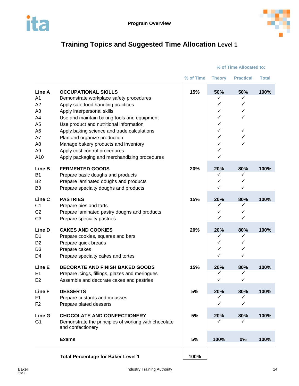



# <span id="page-14-0"></span>**Training Topics and Suggested Time Allocation Level 1**

### **% of Time Allocated to:**

|                                                                                                                                             |                                                                                                                                                                                                                                                                                                                                                                                                                                             | % of Time | <b>Theory</b>                                                    | <b>Practical</b>                                             | <b>Total</b> |
|---------------------------------------------------------------------------------------------------------------------------------------------|---------------------------------------------------------------------------------------------------------------------------------------------------------------------------------------------------------------------------------------------------------------------------------------------------------------------------------------------------------------------------------------------------------------------------------------------|-----------|------------------------------------------------------------------|--------------------------------------------------------------|--------------|
| Line A<br>A <sub>1</sub><br>A2<br>A <sub>3</sub><br>A4<br>A <sub>5</sub><br>A <sub>6</sub><br>A7<br>A <sub>8</sub><br>A <sub>9</sub><br>A10 | <b>OCCUPATIONAL SKILLS</b><br>Demonstrate workplace safety procedures<br>Apply safe food handling practices<br>Apply interpersonal skills<br>Use and maintain baking tools and equipment<br>Use product and nutritional information<br>Apply baking science and trade calculations<br>Plan and organize production<br>Manage bakery products and inventory<br>Apply cost control procedures<br>Apply packaging and merchandizing procedures | 15%       | 50%<br>✓<br>✓<br>✓<br>✓<br>✓<br>✓<br>✓<br>✓<br>✓<br>$\checkmark$ | 50%<br>✓<br>$\checkmark$<br>✓<br>✓<br>$\checkmark$<br>✓<br>✓ | 100%         |
| Line B<br>B <sub>1</sub><br><b>B2</b><br>B <sub>3</sub>                                                                                     | <b>FERMENTED GOODS</b><br>Prepare basic doughs and products<br>Prepare laminated doughs and products<br>Prepare specialty doughs and products                                                                                                                                                                                                                                                                                               | 20%       | 20%<br>✓<br>✓<br>✓                                               | 80%<br>✓<br>✓<br>✓                                           | 100%         |
| Line C<br>C <sub>1</sub><br>C <sub>2</sub><br>C <sub>3</sub>                                                                                | <b>PASTRIES</b><br>Prepare pies and tarts<br>Prepare laminated pastry doughs and products<br>Prepare specialty pastries                                                                                                                                                                                                                                                                                                                     | 15%       | 20%<br>✓<br>✓<br>✓                                               | 80%<br>✓<br>✓<br>$\checkmark$                                | 100%         |
| Line D<br>D <sub>1</sub><br>D <sub>2</sub><br>D <sub>3</sub><br>D <sub>4</sub>                                                              | <b>CAKES AND COOKIES</b><br>Prepare cookies, squares and bars<br>Prepare quick breads<br>Prepare cakes<br>Prepare specialty cakes and tortes                                                                                                                                                                                                                                                                                                | 20%       | 20%<br>✓<br>✓<br>✓<br>✓                                          | 80%<br>✓<br>✓<br>✓<br>$\checkmark$                           | 100%         |
| Line E<br>E <sub>1</sub><br>E <sub>2</sub>                                                                                                  | <b>DECORATE AND FINISH BAKED GOODS</b><br>Prepare icings, fillings, glazes and meringues<br>Assemble and decorate cakes and pastries                                                                                                                                                                                                                                                                                                        | 15%       | 20%<br>✓<br>$\checkmark$                                         | 80%<br>✓<br>$\checkmark$                                     | 100%         |
| Line F<br>F <sub>1</sub><br>F <sub>2</sub>                                                                                                  | <b>DESSERTS</b><br>Prepare custards and mousses<br>Prepare plated desserts                                                                                                                                                                                                                                                                                                                                                                  | 5%        | 20%<br>✓<br>✓                                                    | 80%<br>✓<br>✓                                                | 100%         |
| Line G<br>G <sub>1</sub>                                                                                                                    | <b>CHOCOLATE AND CONFECTIONERY</b><br>Demonstrate the principles of working with chocolate<br>and confectionery                                                                                                                                                                                                                                                                                                                             | 5%        | 20%<br>✓                                                         | 80%<br>✓                                                     | 100%         |
|                                                                                                                                             | <b>Exams</b>                                                                                                                                                                                                                                                                                                                                                                                                                                | 5%        | 100%                                                             | 0%                                                           | 100%         |
|                                                                                                                                             |                                                                                                                                                                                                                                                                                                                                                                                                                                             |           |                                                                  |                                                              |              |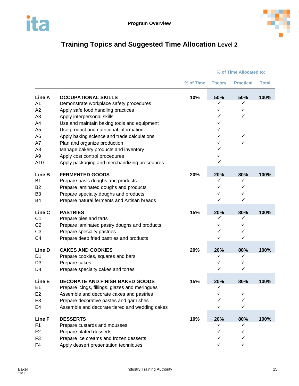



# <span id="page-15-0"></span>**Training Topics and Suggested Time Allocation Level 2**

|                |                                                | % of Time | <b>Theory</b> | <b>Practical</b> | <b>Total</b> |
|----------------|------------------------------------------------|-----------|---------------|------------------|--------------|
| Line A         | <b>OCCUPATIONAL SKILLS</b>                     | 10%       | 50%           | 50%              | 100%         |
| A <sub>1</sub> | Demonstrate workplace safety procedures        |           | ✓             | ✓                |              |
| A2             | Apply safe food handling practices             |           | ✓             | ✓                |              |
| A3             | Apply interpersonal skills                     |           | ✓             | ✓                |              |
| A4             | Use and maintain baking tools and equipment    |           | ✓             |                  |              |
| A <sub>5</sub> | Use product and nutritional information        |           | ✓             |                  |              |
| A <sub>6</sub> | Apply baking science and trade calculations    |           | ✓             | ✓                |              |
| A7             | Plan and organize production                   |           | ✓             | ✓                |              |
| A <sub>8</sub> | Manage bakery products and inventory           |           | ✓             |                  |              |
| A <sub>9</sub> | Apply cost control procedures                  |           | ✓             |                  |              |
| A10            | Apply packaging and merchandizing procedures   |           | ✓             |                  |              |
| Line B         | <b>FERMENTED GOODS</b>                         | 20%       | 20%           | 80%              | 100%         |
| <b>B1</b>      | Prepare basic doughs and products              |           | ✓             | ✓                |              |
| <b>B2</b>      | Prepare laminated doughs and products          |           | ✓             | ✓                |              |
| B <sub>3</sub> | Prepare specialty doughs and products          |           | ✓             | ✓                |              |
| B4             | Prepare natural ferments and Artisan breads    |           | ✓             | ✓                |              |
| Line C         | <b>PASTRIES</b>                                | 15%       | 20%           | 80%              | 100%         |
| C <sub>1</sub> | Prepare pies and tarts                         |           | ✓             | ✓                |              |
| C <sub>2</sub> | Prepare laminated pastry doughs and products   |           | ✓             | ✓                |              |
| C <sub>3</sub> | Prepare specialty pastries                     |           | ✓             | ✓                |              |
| C <sub>4</sub> | Prepare deep fried pastries and products       |           | ✓             | ✓                |              |
| Line D         | <b>CAKES AND COOKIES</b>                       | 20%       | 20%           | 80%              | 100%         |
| D <sub>1</sub> | Prepare cookies, squares and bars              |           | ✓             | ✓                |              |
| D <sub>3</sub> | Prepare cakes                                  |           | ✓             | ✓                |              |
| D4             | Prepare specialty cakes and tortes             |           | ✓             | ✓                |              |
| Line E         | <b>DECORATE AND FINISH BAKED GOODS</b>         | 15%       | 20%           | 80%              | 100%         |
| E <sub>1</sub> | Prepare icings, fillings, glazes and meringues |           | ✓             |                  |              |
| E <sub>2</sub> | Assemble and decorate cakes and pastries       |           | ✓             | ✓                |              |
| E3             | Prepare decorative pastes and garnishes        |           | ✓             | ✓                |              |
| E4             | Assemble and decorate tiered and wedding cakes |           | ✓             | ✓                |              |
| Line F         | <b>DESSERTS</b>                                | 10%       | 20%           | 80%              | 100%         |
| F1             | Prepare custards and mousses                   |           | ✓             | ✓                |              |
| F <sub>2</sub> | Prepare plated desserts                        |           | ✓             | ✓                |              |
| F <sub>3</sub> | Prepare ice creams and frozen desserts         |           | ✓             | ✓                |              |
| F4             | Apply dessert presentation techniques          |           | $\checkmark$  | ✓                |              |

### **% of Time Allocated to:**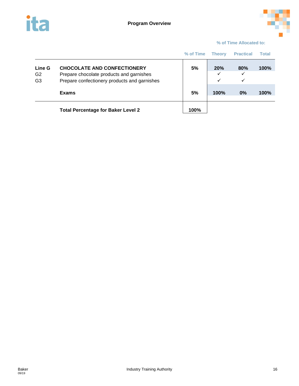



### **% of Time Allocated to:**

|                                            |                                                                                                                                | % of Time | Theory                   | <b>Practical</b> | <b>Total</b> |
|--------------------------------------------|--------------------------------------------------------------------------------------------------------------------------------|-----------|--------------------------|------------------|--------------|
| Line G<br>G <sub>2</sub><br>G <sub>3</sub> | <b>CHOCOLATE AND CONFECTIONERY</b><br>Prepare chocolate products and garnishes<br>Prepare confectionery products and garnishes | 5%        | 20%<br>✓<br>$\checkmark$ | 80%<br>✓<br>✓    | 100%         |
|                                            | <b>Exams</b>                                                                                                                   | 5%        | <b>100%</b>              | 0%               | 100%         |
|                                            | <b>Total Percentage for Baker Level 2</b>                                                                                      | 100%      |                          |                  |              |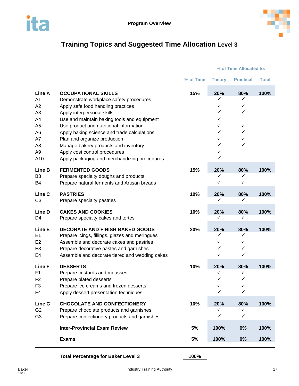



# <span id="page-17-0"></span>**Training Topics and Suggested Time Allocation Level 3**

| <b>OCCUPATIONAL SKILLS</b>                     | 15% | 20%  | 80%          | 100% |
|------------------------------------------------|-----|------|--------------|------|
| Demonstrate workplace safety procedures        |     | ✓    | ✓            |      |
| Apply safe food handling practices             |     | ✓    | ✓            |      |
| Apply interpersonal skills                     |     | ✓    | ✓            |      |
| Use and maintain baking tools and equipment    |     | ✓    |              |      |
| Use product and nutritional information        |     | ✓    | ✓            |      |
| Apply baking science and trade calculations    |     | ✓    | ✓            |      |
| Plan and organize production                   |     | ✓    | ✓            |      |
| Manage bakery products and inventory           |     | ✓    | ✓            |      |
| Apply cost control procedures                  |     | ✓    |              |      |
| Apply packaging and merchandizing procedures   |     | ✓    |              |      |
| <b>FERMENTED GOODS</b>                         | 15% | 20%  | 80%          | 100% |
| Prepare specialty doughs and products          |     | ✓    | ✓            |      |
| Prepare natural ferments and Artisan breads    |     | ✓    | $\checkmark$ |      |
| <b>PASTRIES</b>                                | 10% |      |              | 100% |
| Prepare specialty pastries                     |     | ✓    | ✓            |      |
| <b>CAKES AND COOKIES</b>                       | 10% | 20%  | 80%          | 100% |
| Prepare specialty cakes and tortes             |     | ✓    | ✓            |      |
| <b>DECORATE AND FINISH BAKED GOODS</b>         | 20% | 20%  | 80%          | 100% |
| Prepare icings, fillings, glazes and meringues |     | ✓    | ✓            |      |
| Assemble and decorate cakes and pastries       |     | ✓    | ✓            |      |
| Prepare decorative pastes and garnishes        |     | ✓    | ✓            |      |
| Assemble and decorate tiered and wedding cakes |     | ✓    | ✓            |      |
| <b>DESSERTS</b>                                | 10% | 20%  | 80%          | 100% |
| Prepare custards and mousses                   |     | ✓    | ✓            |      |
| Prepare plated desserts                        |     | ✓    | ✓            |      |
| Prepare ice creams and frozen desserts         |     | ✓    | ✓            |      |
| Apply dessert presentation techniques          |     | ✓    | ✓            |      |
| <b>CHOCOLATE AND CONFECTIONERY</b>             | 10% | 20%  | 80%          | 100% |
| Prepare chocolate products and garnishes       |     | ✓    | ✓            |      |
| Prepare confectionery products and garnishes   |     | ✓    | ✓            |      |
| <b>Inter-Provincial Exam Review</b>            | 5%  | 100% | 0%           | 100% |
| <b>Exams</b>                                   | 5%  | 100% | 0%           | 100% |
|                                                |     |      | 20%          | 80%  |

### **% of Time Allocated to:**

**Total Percentage for Baker Level 3 100%**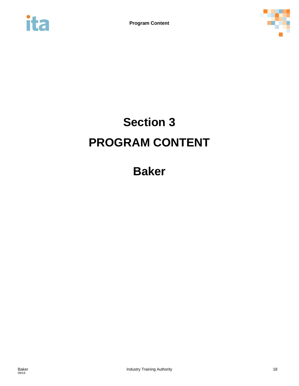<span id="page-18-0"></span>



# **Section 3 PROGRAM CONTENT**

**Baker**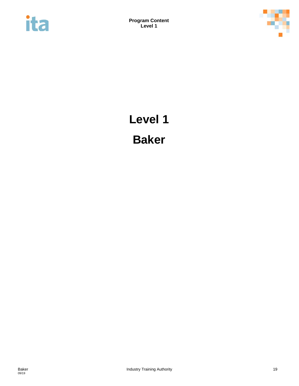<span id="page-19-0"></span>



# **Level 1 Baker**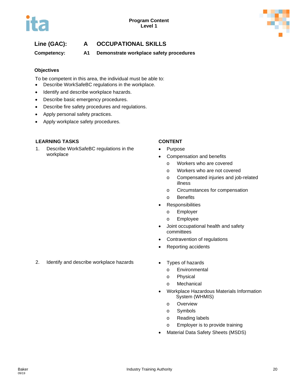

## **Line (GAC): A OCCUPATIONAL SKILLS**

**Competency: A1 Demonstrate workplace safety procedures** 

### **Objectives**

To be competent in this area, the individual must be able to:

- Describe WorkSafeBC regulations in the workplace.
- Identify and describe workplace hazards.
- Describe basic emergency procedures.
- Describe fire safety procedures and regulations.
- Apply personal safety practices.
- Apply workplace safety procedures.

### **LEARNING TASKS CONTENT**

1. Describe WorkSafeBC regulations in the workplace

- **Purpose**
- Compensation and benefits
	- o Workers who are covered
	- o Workers who are not covered
	- o Compensated injuries and job-related illness
	- o Circumstances for compensation
	- o Benefits
- Responsibilities
	- o Employer
	- o Employee
- Joint occupational health and safety committees
- Contravention of regulations
- Reporting accidents
- 2. Identify and describe workplace hazards Types of hazards
	- - o Environmental
		- o Physical
		- o Mechanical
	- Workplace Hazardous Materials Information System (WHMIS)
		- o Overview
		- o Symbols
		- o Reading labels
		- o Employer is to provide training
	- Material Data Safety Sheets (MSDS)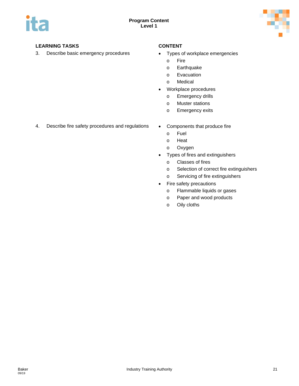

3. Describe basic emergency procedures • Types of workplace emergencies

- - o Fire
	- o Earthquake
	- o Evacuation
	- o Medical
- Workplace procedures
	- o Emergency drills
	- o Muster stations
	- o Emergency exits
- 4. Describe fire safety procedures and regulations Components that produce fire
	- - o Fuel
		- o Heat
		- o Oxygen
	- Types of fires and extinguishers
		- o Classes of fires
		- o Selection of correct fire extinguishers
		- o Servicing of fire extinguishers
	- Fire safety precautions
		- o Flammable liquids or gases
		- o Paper and wood products
		- o Oily cloths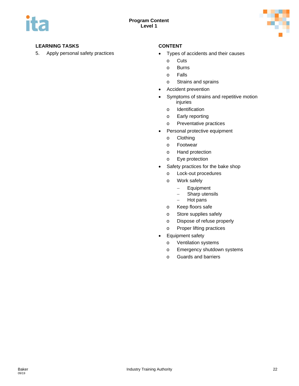

- 5. Apply personal safety practices Types of accidents and their causes
	- o Cuts
	- o Burns
	- o Falls
	- o Strains and sprains
	- Accident prevention
	- Symptoms of strains and repetitive motion injuries
		- o Identification
		- o Early reporting
		- o Preventative practices
	- Personal protective equipment
		- o Clothing
		- o Footwear
		- o Hand protection
		- o Eye protection
	- Safety practices for the bake shop
		- o Lock-out procedures
		- o Work safely
			- − Equipment
			- − Sharp utensils
			- − Hot pans
		- o Keep floors safe
		- o Store supplies safely
		- o Dispose of refuse properly
		- o Proper lifting practices
	- Equipment safety
		- o Ventilation systems
		- o Emergency shutdown systems
		- o Guards and barriers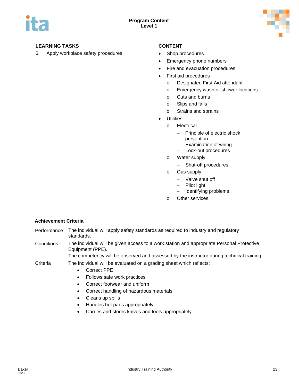

6. Apply workplace safety procedures • Shop procedures

- 
- Emergency phone numbers
- Fire and evacuation procedures
- First aid procedures
	- o Designated First Aid attendant
	- o Emergency wash or shower locations
	- o Cuts and burns
	- o Slips and falls
	- o Strains and sprains
- **Utilities** 
	- o Electrical
		- − Principle of electric shock prevention
		- − Examination of wiring
		- − Lock-out procedures
	- o Water supply
		- − Shut-off procedures
	- o Gas supply
		- − Valve shut off
		- − Pilot light
		- − Identifying problems
	- o Other services

### **Achievement Criteria**

- Performance The individual will apply safety standards as required to industry and regulatory standards.
- Conditions The individual will be given access to a work station and appropriate Personal Protective Equipment (PPE).

The competency will be observed and assessed by the instructor during technical training.

- Criteria The individual will be evaluated on a grading sheet which reflects:
	- Correct PPE
	- Follows safe work practices
	- Correct footwear and uniform
	- Correct handling of hazardous materials
	- Cleans up spills
	- Handles hot pans appropriately
	- Carries and stores knives and tools appropriately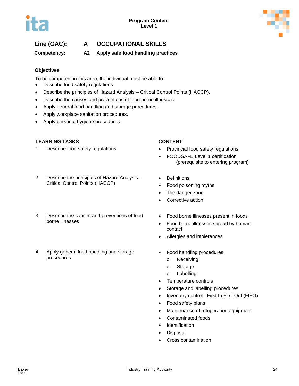



## **Line (GAC): A OCCUPATIONAL SKILLS**

**Competency: A2 Apply safe food handling practices**

### **Objectives**

To be competent in this area, the individual must be able to:

- Describe food safety regulations.
- Describe the principles of Hazard Analysis Critical Control Points (HACCP).
- Describe the causes and preventions of food borne illnesses.
- Apply general food handling and storage procedures.
- Apply workplace sanitation procedures.
- Apply personal hygiene procedures.

### **LEARNING TASKS CONTENT**

1. Describe food safety regulations **•** Provincial food safety regulations

### 2. Describe the principles of Hazard Analysis – Critical Control Points (HACCP)

- 3. Describe the causes and preventions of food borne illnesses
- 4. Apply general food handling and storage procedures

- 
- FOODSAFE Level 1 certification (prerequisite to entering program)
- Definitions
- Food poisoning myths
- The danger zone
- Corrective action
- Food borne illnesses present in foods
- Food borne illnesses spread by human contact
- Allergies and intolerances
- Food handling procedures
	- o Receiving
	- o Storage
	- o Labelling
- Temperature controls
- Storage and labelling procedures
- Inventory control First In First Out (FIFO)
- Food safety plans
- Maintenance of refrigeration equipment
- Contaminated foods
- **Identification**
- Disposal
- Cross contamination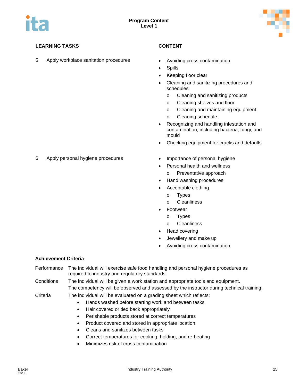

5. Apply workplace sanitation procedures • Avoiding cross contamination

- 
- **Spills**
- Keeping floor clear
- Cleaning and sanitizing procedures and schedules
	- o Cleaning and sanitizing products
	- o Cleaning shelves and floor
	- o Cleaning and maintaining equipment
	- o Cleaning schedule
- Recognizing and handling infestation and contamination, including bacteria, fungi, and mould
- Checking equipment for cracks and defaults
- 6. Apply personal hygiene procedures Importance of personal hygiene
	-
	- Personal health and wellness
		- o Preventative approach
	- Hand washing procedures
	- Acceptable clothing
		- o Types
		- o Cleanliness
	- **Footwear**
	- o Types
		- o Cleanliness
	- Head covering
	- Jewellery and make up
	- Avoiding cross contamination

### **Achievement Criteria**

- Performance The individual will exercise safe food handling and personal hygiene procedures as required to industry and regulatory standards.
- Conditions The individual will be given a work station and appropriate tools and equipment. The competency will be observed and assessed by the instructor during technical training.
- Criteria The individual will be evaluated on a grading sheet which reflects:
	- Hands washed before starting work and between tasks
	- Hair covered or tied back appropriately
	- Perishable products stored at correct temperatures
	- Product covered and stored in appropriate location
	- Cleans and sanitizes between tasks
	- Correct temperatures for cooking, holding, and re-heating
	- Minimizes risk of cross contamination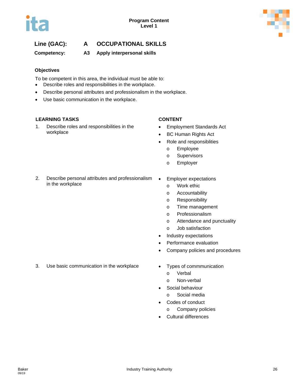

## **Line (GAC): A OCCUPATIONAL SKILLS**

**Competency: A3 Apply interpersonal skills**

### **Objectives**

To be competent in this area, the individual must be able to:

- Describe roles and responsibilities in the workplace.
- Describe personal attributes and professionalism in the workplace.
- Use basic communication in the workplace.

### **LEARNING TASKS CONTENT**

1. Describe roles and responsibilities in the workplace

- Employment Standards Act
- BC Human Rights Act
- Role and responsiblities
	- o Employee
	- o Supervisors
	- o Employer
- 2. Describe personal attributes and professionalism in the workplace
- Employer expectations
	- o Work ethic
	- o Accountability
	- o Responsibility
	- o Time management
	- o Professionalism
	- o Attendance and punctuality
	- o Job satisfaction
- Industry expectations
- Performance evaluation
- Company policies and procedures
- 3. Use basic communication in the workplace Types of commmunication
	- - o Verbal
	- o Non-verbal Social behaviour
	-
	- o Social media
	- Codes of conduct
		- o Company policies
	- Cultural differences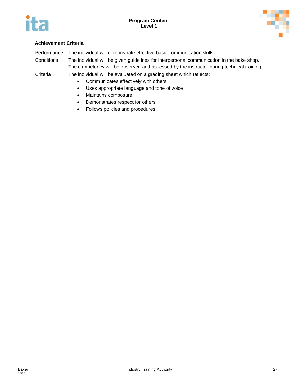



### **Achievement Criteria**

Performance The individual will demonstrate effective basic communication skills.

Conditions The individual will be given guidelines for interpersonal communication in the bake shop. The competency will be observed and assessed by the instructor during technical training.

Criteria The individual will be evaluated on a grading sheet which reflects:

- Communicates effectively with others
- Uses appropriate language and tone of voice
- Maintains composure
- Demonstrates respect for others
- Follows policies and procedures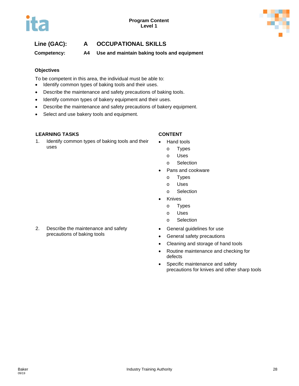## **Line (GAC): A OCCUPATIONAL SKILLS**

**Competency: A4 Use and maintain baking tools and equipment**

### **Objectives**

To be competent in this area, the individual must be able to:

- Identify common types of baking tools and their uses.
- Describe the maintenance and safety precautions of baking tools.
- Identify common types of bakery equipment and their uses.
- Describe the maintenance and safety precautions of bakery equipment.
- Select and use bakery tools and equipment.

### **LEARNING TASKS CONTENT**

1. Identify common types of baking tools and their uses

- Hand tools
	- o Types
	- o Uses
	- o Selection
- Pans and cookware
	- o Types
	- o Uses
	- o Selection
- **Knives** 
	- o Types
	- o Uses
	- o Selection
- General guidelines for use
- General safety precautions
- Cleaning and storage of hand tools
- Routine maintenance and checking for defects
- Specific maintenance and safety precautions for knives and other sharp tools
- 2. Describe the maintenance and safety precautions of baking tools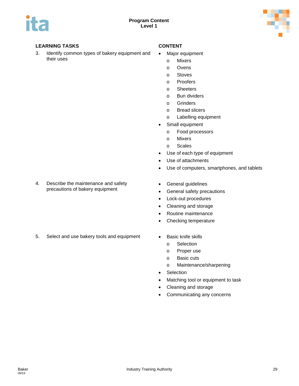

3. Identify common types of bakery equipment and their uses

- Major equipment
	- o Mixers
	- o Ovens
	- o Stoves
	- o Proofers
	- o Sheeters
	- o Bun dividers
	- o Grinders
	- o Bread slicers
	- o Labelling equipment
- Small equipment
	- o Food processors
	- o Mixers
	- o Scales
- Use of each type of equipment
- Use of attachments
- Use of computers, smartphones, and tablets
- 4. Describe the maintenance and safety precautions of bakery equipment
- 
- 5. Select and use bakery tools and equipment Basic knife skills
- General guidelines
- General safety precautions
- Lock-out procedures
- Cleaning and storage
- Routine maintenance
- Checking temperature
- - o Selection
	- o Proper use
	- o Basic cuts
	- o Maintenance/sharpening
- Selection
- Matching tool or equipment to task
- Cleaning and storage
- Communicating any concerns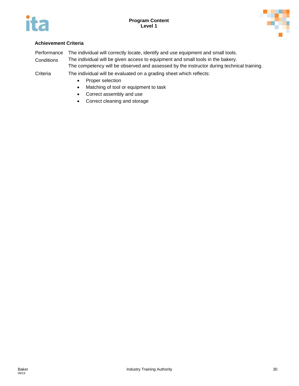



### **Achievement Criteria**

Performance The individual will correctly locate, identify and use equipment and small tools.

Conditions The individual will be given access to equipment and small tools in the bakery.

The competency will be observed and assessed by the instructor during technical training.

Criteria The individual will be evaluated on a grading sheet which reflects:

- Proper selection
- Matching of tool or equipment to task
- Correct assembly and use
- Correct cleaning and storage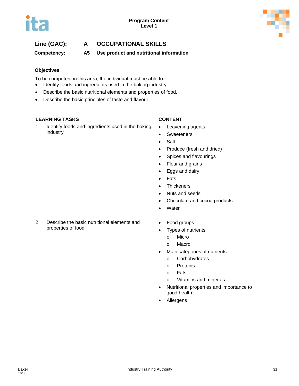## **Line (GAC): A OCCUPATIONAL SKILLS**

**Competency: A5 Use product and nutritional information**

### **Objectives**

To be competent in this area, the individual must be able to:

- Identify foods and ingredients used in the baking industry.
- Describe the basic nutritional elements and properties of food.
- Describe the basic principles of taste and flavour.

### **LEARNING TASKS CONTENT**

1. Identify foods and ingredients used in the baking industry

- Leavening agents
- Sweeteners
- Salt
- Produce (fresh and dried)
- Spices and flavourings
- Flour and grains
- Eggs and dairy
- Fats
- Thickeners
- Nuts and seeds
- Chocolate and cocoa products
- Water
- Food groups
	- Types of nutrients
		- o Micro
		- o Macro
	- Main categories of nutrients
		- o Carbohydrates
		- o Proteins
		- o Fats
		- o Vitamins and minerals
	- Nutritional properties and importance to good health
	- Allergens

2. Describe the basic nutritional elements and properties of food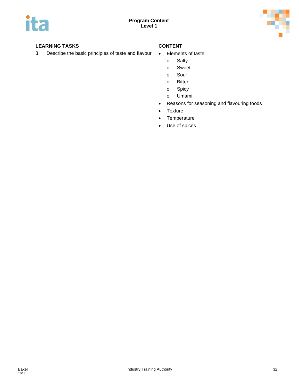

3. Describe the basic principles of taste and flavour • Elements of taste

- - o Salty
	- o Sweet
	- o Sour
	- o Bitter
	- o Spicy
	- o Umami
- Reasons for seasoning and flavouring foods
- Texture
- Temperature
- Use of spices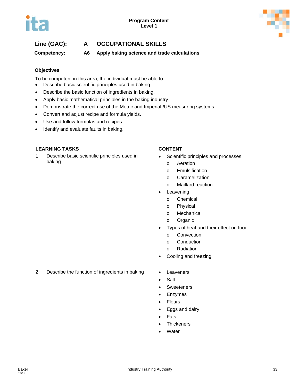## **Line (GAC): A OCCUPATIONAL SKILLS**

**Competency: A6 Apply baking science and trade calculations**

### **Objectives**

To be competent in this area, the individual must be able to:

- Describe basic scientific principles used in baking.
- Describe the basic function of ingredients in baking.
- Apply basic mathematical principles in the baking industry.
- Demonstrate the correct use of the Metric and Imperial /US measuring systems.
- Convert and adjust recipe and formula yields.
- Use and follow formulas and recipes.
- Identify and evaluate faults in baking.

### **LEARNING TASKS CONTENT**

1. Describe basic scientific principles used in baking

- Scientific principles and processes
	- o Aeration
	- o Emulsification
	- o Caramelization
	- o Maillard reaction
- **Leavening** 
	- o Chemical
	- o Physical
	- o Mechanical
	- o Organic
- Types of heat and their effect on food
	- o Convection
	- o Conduction
	- o Radiation
- Cooling and freezing
- 2. Describe the function of ingredients in baking Leaveners
	-
	- Salt
	- Sweeteners
	- Enzymes
	- Flours
	- Eggs and dairy
	- **Fats**
	- **Thickeners**
	- Water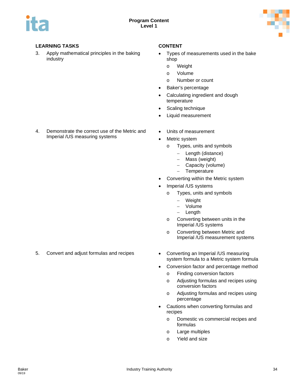

3. Apply mathematical principles in the baking industry

4. Demonstrate the correct use of the Metric and

Imperial /US measuring systems

- Types of measurements used in the bake shop
	- o Weight
	- o Volume
	- o Number or count
- Baker's percentage
- Calculating ingredient and dough temperature
- Scaling technique
- Liquid measurement
- Units of measurement
- Metric system
	- o Types, units and symbols
		- − Length (distance)
		- − Mass (weight)
		- − Capacity (volume)
		- − Temperature
- Converting within the Metric system
- Imperial /US systems
	- o Types, units and symbols
		- **Weight**
		- − Volume
		- − Length
	- o Converting between units in the Imperial /US systems
	- o Converting between Metric and Imperial /US measurement systems
- system formula to a Metric system formula
- Conversion factor and percentage method
	- o Finding conversion factors
	- o Adjusting formulas and recipes using conversion factors
	- o Adjusting formulas and recipes using percentage
- Cautions when converting formulas and recipes
	- o Domestic vs commercial recipes and formulas
	- o Large multiples
	- o Yield and size

5. Convert and adjust formulas and recipes • Converting an Imperial /US measuring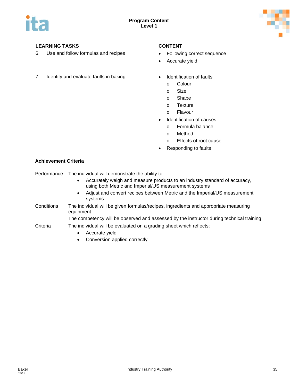

- 6. Use and follow formulas and recipes Following correct sequence
- 7. Identify and evaluate faults in baking **•** Identification of faults

- 
- Accurate yield
- - o Colour
	- o Size
	- o Shape
	- o Texture
	- o Flavour
- Identification of causes
	- o Formula balance
	- o Method
	- o Effects of root cause
- Responding to faults

### **Achievement Criteria**

Performance The individual will demonstrate the ability to:

- Accurately weigh and measure products to an industry standard of accuracy, using both Metric and Imperial/US measurement systems
- Adjust and convert recipes between Metric and the Imperial/US measurement systems
- Conditions The individual will be given formulas/recipes, ingredients and appropriate measuring equipment.

The competency will be observed and assessed by the instructor during technical training.

### Criteria The individual will be evaluated on a grading sheet which reflects:

- Accurate yield
- Conversion applied correctly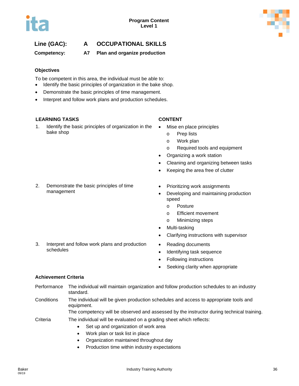# **Line (GAC): A OCCUPATIONAL SKILLS**

**Competency: A7 Plan and organize production**

### **Objectives**

To be competent in this area, the individual must be able to:

- Identify the basic principles of organization in the bake shop.
- Demonstrate the basic principles of time management.
- Interpret and follow work plans and production schedules.

### **LEARNING TASKS CONTENT**

1. Identify the basic principles of organization in the bake shop

- Mise en place principles
	- o Prep lists
	- o Work plan
	- o Required tools and equipment
- Organizing a work station
- Cleaning and organizing between tasks
- Keeping the area free of clutter
- 2. Demonstrate the basic principles of time management
	-

3. Interpret and follow work plans and production

- Prioritizing work assignments
- Developing and maintaining production speed
	- o Posture
	- o Efficient movement
	- o Minimizing steps
- Multi-tasking
- Clarifying instructions with supervisor
- Reading documents
- Identifying task sequence
- Following instructions
- Seeking clarity when appropriate

### **Achievement Criteria**

schedules

- Performance The individual will maintain organization and follow production schedules to an industry standard. Conditions The individual will be given production schedules and access to appropriate tools and equipment. The competency will be observed and assessed by the instructor during technical training. Criteria The individual will be evaluated on a grading sheet which reflects: • Set up and organization of work area
	- Work plan or task list in place
	- Organization maintained throughout day
	- Production time within industry expectations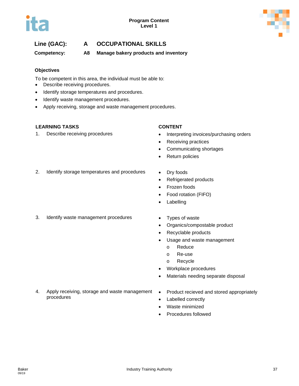

# **Line (GAC): A OCCUPATIONAL SKILLS**

**Competency: A8 Manage bakery products and inventory**

### **Objectives**

To be competent in this area, the individual must be able to:

- Describe receiving procedures.
- Identify storage temperatures and procedures.
- Identify waste management procedures.
- Apply receiving, storage and waste management procedures.

### **LEARNING TASKS CONTENT**

- 1. Describe receiving procedures **•** Interpreting invoices/purchasing orders
	- Receiving practices
	- Communicating shortages
	- Return policies
- 2. Identify storage temperatures and procedures Dry foods
	-
	- Refrigerated products
	- Frozen foods
	- Food rotation (FIFO)
	- **Labelling**
- 3. Identify waste management procedures Types of waste
	-
	- Organics/compostable product
	- Recyclable products
	- Usage and waste management
		- o Reduce
		- o Re-use
		- o Recycle
	- Workplace procedures
	- Materials needing separate disposal
- 4. Apply receiving, storage and waste management procedures
- Product recieved and stored appropriately
- Labelled correctly
- Waste minimized
- Procedures followed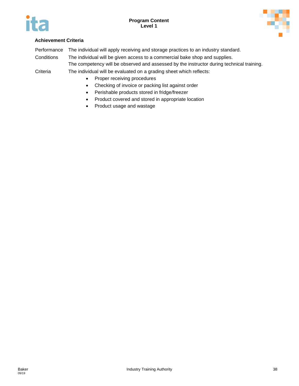



## **Achievement Criteria**

Performance The individual will apply receiving and storage practices to an industry standard.

Conditions The individual will be given access to a commercial bake shop and supplies.

The competency will be observed and assessed by the instructor during technical training.

- Proper receiving procedures
- Checking of invoice or packing list against order
- Perishable products stored in fridge/freezer
- Product covered and stored in appropriate location
- Product usage and wastage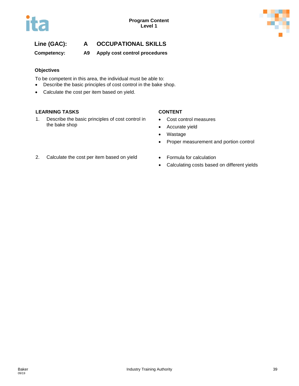

# **Line (GAC): A OCCUPATIONAL SKILLS**

**Competency: A9 Apply cost control procedures**

### **Objectives**

To be competent in this area, the individual must be able to:

- Describe the basic principles of cost control in the bake shop.
- Calculate the cost per item based on yield.

### **LEARNING TASKS CONTENT**

1. Describe the basic principles of cost control in the bake shop

- Cost control measures
- Accurate yield
- Wastage
- Proper measurement and portion control
- 2. Calculate the cost per item based on yield Formula for calculation
	-
	- Calculating costs based on different yields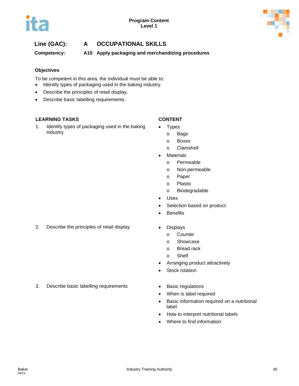



# **Line (GAC): A OCCUPATIONAL SKILLS**

**Competency: A10 Apply packaging and merchandizing procedures**

### **Objectives**

To be competent in this area, the individual must be able to:

- Identify types of packaging used in the baking industry.
- Describe the principles of retail display.
- Describe basic labelling requirements.

### **LEARNING TASKS CONTENT**

1. Identify types of packaging used in the baking industry

- **Types** 
	- o Bags
	- o Boxes
	- o Clamshell
- **Materials** 
	- o Permeable
	- o Non-permeable
	- o Paper
	- o Plastic
	- o Biodegradable
- Uses
- Selection based on product
- Benefits
- 2. Describe the principles of retail display **•** Displays
	- - o Counter
		- o Showcase
		- o Bread rack
		- o Shelf
	- Arranging product attractively
	- Stock rotation
- 3. Describe basic labelling requirements Basic regulations
	- When is label required
	- Basic information required on a nutritional label
	- How to interpret nutritional labels
	- Where to find information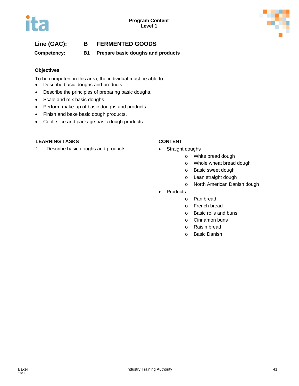# **Line (GAC): B FERMENTED GOODS**

**Competency: B1 Prepare basic doughs and products**

### **Objectives**

To be competent in this area, the individual must be able to:

- Describe basic doughs and products.
- Describe the principles of preparing basic doughs.
- Scale and mix basic doughs.
- Perform make-up of basic doughs and products.
- Finish and bake basic dough products.
- Cool, slice and package basic dough products.

### **LEARNING TASKS CONTENT**

1. Describe basic doughs and products • Straight doughs

- - o White bread dough
	- o Whole wheat bread dough
	- o Basic sweet dough
	- o Lean straight dough
	- o North American Danish dough
- **Products** 
	- o Pan bread
	- o French bread
	- o Basic rolls and buns
	- o Cinnamon buns
	- o Raisin bread
	- o Basic Danish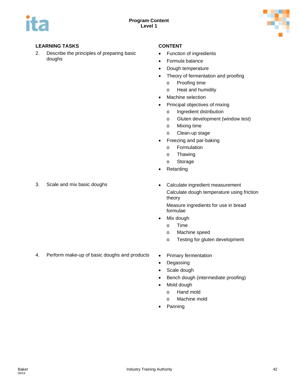

2. Describe the principles of preparing basic doughs

- Function of ingredients
- Formula balance
- Dough temperature
- Theory of fermentation and proofing
	- o Proofing time
	- o Heat and humidity
- Machine selection
- Principal objectives of mixing
	- o Ingredient distribution
	- o Gluten development (window test)
	- o Mixing time
	- o Clean-up stage
- Freezing and par-baking
	- o Formulation
	- o Thawing
	- o Storage
- **Retarding**

- 
- 3. Scale and mix basic doughs **•** Calculate ingredient measurement Calculate dough temperature using friction theory

Measure ingredients for use in bread formulae

- Mix dough
	- o Time
	- o Machine speed
	- o Testing for gluten development
- 4. Perform make-up of basic doughs and products . Primary fermentation
	-
	- Degassing
	- Scale dough
	- Bench dough (intermediate proofing)
	- Mold dough
		- o Hand mold
		- o Machine mold
	- Panning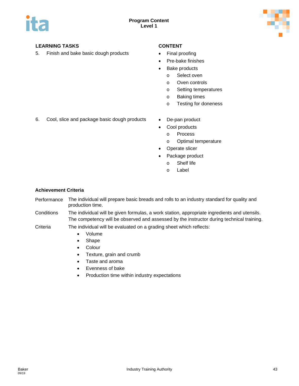

5. Finish and bake basic dough products • Final proofing

- 
- Pre-bake finishes
- Bake products
	- o Select oven
	- o Oven controls
	- o Setting temperatures
	- o Baking times
	- o Testing for doneness
- 6. Cool, slice and package basic dough products De-pan product
	-
	- Cool products
		- o Process
		- o Optimal temperature
	- Operate slicer
	- Package product
		- o Shelf life
		- o Label

### **Achievement Criteria**

Performance The individual will prepare basic breads and rolls to an industry standard for quality and production time.

Conditions The individual will be given formulas, a work station, appropriate ingredients and utensils. The competency will be observed and assessed by the instructor during technical training.

- Volume
- Shape
- Colour
- Texture, grain and crumb
- Taste and aroma
- Evenness of bake
- Production time within industry expectations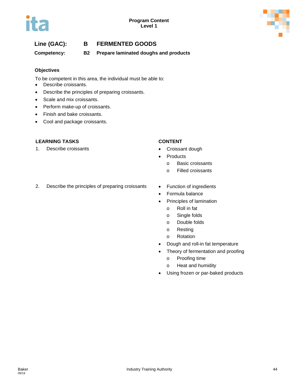# **Line (GAC): B FERMENTED GOODS**

**Competency: B2 Prepare laminated doughs and products**

### **Objectives**

To be competent in this area, the individual must be able to:

- Describe croissants.
- Describe the principles of preparing croissants.
- Scale and mix croissants.
- Perform make-up of croissants.
- Finish and bake croissants.
- Cool and package croissants.

### **LEARNING TASKS CONTENT**

1. Describe croissants **•** Croissant dough

- 
- **Products** 
	- o Basic croissants
	- o Filled croissants
- 2. Describe the principles of preparing croissants Function of ingredients
	-
	- Formula balance
	- Principles of lamination
		- o Roll in fat
		- o Single folds
		- o Double folds
		- o Resting
		- o Rotation
	- Dough and roll-in fat temperature
	- Theory of fermentation and proofing
		- o Proofing time
		- o Heat and humidity
	- Using frozen or par-baked products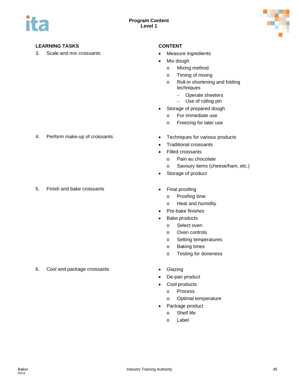

3. Scale and mix croissants **•** Measure ingredients

- 
- Mix dough
	- o Mixing method
	- o Timing of mixing
	- o Roll-in shortening and folding techniques
		- − Operate sheeters
		- − Use of rolling pin
- Storage of prepared dough
	- o For immediate use
	- o Freezing for later use
- 4. Perform make-up of croissants **•** Techniques for various products
	- Traditional croissants
	- Filled croissants
		- o Pain au chocolate
		- o Savoury items (cheese/ham, etc.)
	- Storage of product
- 5. Finish and bake croissants **•** Final proofing
- - o Proofing time
	- o Heat and humidity
	- Pre-bake finishes
	- Bake products
		- o Select oven
		- o Oven controls
		- o Setting temperatures
		- o Baking times
		- o Testing for doneness
	-
	- De-pan product
	- Cool products
		- o Process
		- o Optimal temperature
	- Package product
		- o Shelf life
		- o Label

6. Cool and package croissants • Glazing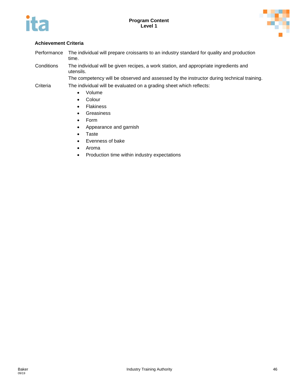



## **Achievement Criteria**

Performance The individual will prepare croissants to an industry standard for quality and production time.

Conditions The individual will be given recipes, a work station, and appropriate ingredients and utensils.

The competency will be observed and assessed by the instructor during technical training.

- Criteria The individual will be evaluated on a grading sheet which reflects:
	- Volume
	- Colour
	- Flakiness
	- Greasiness
	- Form
	- Appearance and garnish
	- Taste
	- Evenness of bake
	- Aroma
	- Production time within industry expectations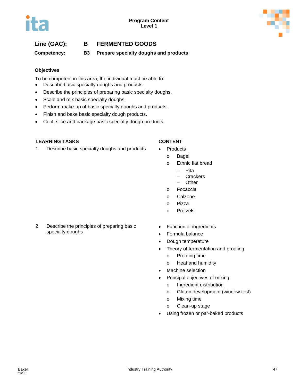

# **Line (GAC): B FERMENTED GOODS**

**Competency: B3 Prepare specialty doughs and products**

### **Objectives**

To be competent in this area, the individual must be able to:

- Describe basic specialty doughs and products.
- Describe the principles of preparing basic specialty doughs.
- Scale and mix basic specialty doughs.
- Perform make-up of basic specialty doughs and products.
- Finish and bake basic specialty dough products.
- Cool, slice and package basic specialty dough products.

### **LEARNING TASKS CONTENT**

- 1. Describe basic specialty doughs and products Products
	- - o Bagel
		- o Ethnic flat bread
			- − Pita
			- − Crackers
			- − Other
		- o Focaccia
		- o Calzone
		- o Pizza
		- o Pretzels
- 2. Describe the principles of preparing basic specialty doughs
- Function of ingredients
- Formula balance
- Dough temperature
- Theory of fermentation and proofing
	- o Proofing time
	- o Heat and humidity
- Machine selection
- Principal objectives of mixing
	- o Ingredient distribution
	- o Gluten development (window test)
	- o Mixing time
	- o Clean-up stage
- Using frozen or par-baked products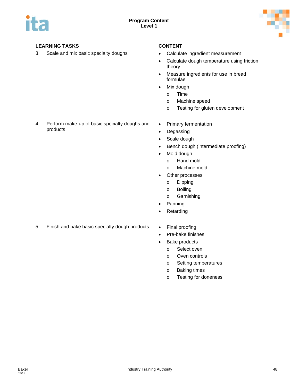

3. Scale and mix basic specialty doughs • Calculate ingredient measurement

- 
- Calculate dough temperature using friction theory
- Measure ingredients for use in bread formulae
- Mix dough
	- o Time
	- o Machine speed
	- o Testing for gluten development
- 4. Perform make-up of basic specialty doughs and products
- Primary fermentation
- Degassing
- Scale dough
- Bench dough (intermediate proofing)
- Mold dough
	- o Hand mold
	- o Machine mold
- Other processes
	- o Dipping
	- o Boiling
	- o Garnishing
- Panning
- Retarding
- 5. Finish and bake basic specialty dough products Final proofing
	-
	- Pre-bake finishes
	- Bake products
		- o Select oven
		- o Oven controls
		- o Setting temperatures
		- o Baking times
		- o Testing for doneness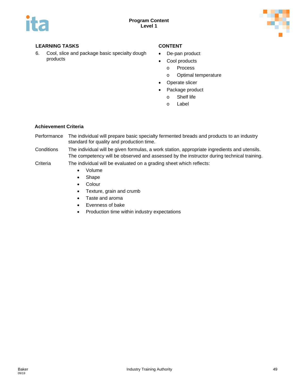



6. Cool, slice and package basic specialty dough products

- De-pan product
- Cool products
	- o Process
	- o Optimal temperature
- Operate slicer
- Package product
	- o Shelf life
	- o Label

### **Achievement Criteria**

- Performance The individual will prepare basic specialty fermented breads and products to an industry standard for quality and production time.
- Conditions The individual will be given formulas, a work station, appropriate ingredients and utensils. The competency will be observed and assessed by the instructor during technical training.

- Volume
- Shape
- Colour
- Texture, grain and crumb
- Taste and aroma
- Evenness of bake
- Production time within industry expectations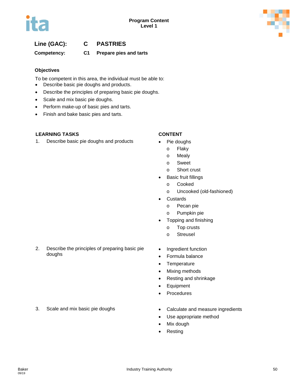

# **Line (GAC): C PASTRIES**

## **Competency: C1 Prepare pies and tarts**

### **Objectives**

To be competent in this area, the individual must be able to:

- Describe basic pie doughs and products.
- Describe the principles of preparing basic pie doughs.
- Scale and mix basic pie doughs.
- Perform make-up of basic pies and tarts.
- Finish and bake basic pies and tarts.

### **LEARNING TASKS CONTENT**

doughs

1. Describe basic pie doughs and products • Pie doughs

- - o Flaky
	- o Mealy
	- o Sweet
	- o Short crust
- Basic fruit fillings
	- o Cooked
	- o Uncooked (old-fashioned)
- Custards
	- o Pecan pie
	- o Pumpkin pie
- Topping and finishing
	- o Top crusts
	- o Streusel
- 2. Describe the principles of preparing basic pie • Ingredient function
	- Formula balance
	- Temperature
	- Mixing methods
	- Resting and shrinkage
	- Equipment
	- Procedures
- 3. Scale and mix basic pie doughs **•** Calculate and measure ingredients
	-
	- Use appropriate method
	- Mix dough
	- Resting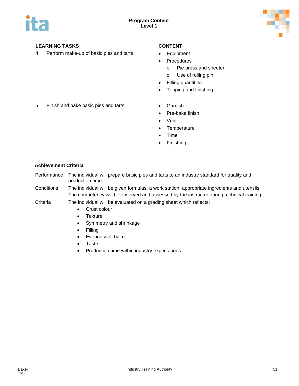

4. Perform make-up of basic pies and tarts • Equipment

- 
- Procedures
	- o Pie press and sheeter
	- o Use of rolling pin
- Filling quantities
- Topping and finishing
- 5. Finish and bake basic pies and tarts Garnish
	-
	- Pre-bake finish
	- Vent
	- Temperature
	- Time
	- **Finishing**

### **Achievement Criteria**

- Performance The individual will prepare basic pies and tarts to an industry standard for quality and production time.
- Conditions The individual will be given formulas, a work station, appropriate ingredients and utensils. The competency will be observed and assessed by the instructor during technical training.
- Criteria The individual will be evaluated on a grading sheet which reflects:
	- Crust colour
	- Texture
	- Symmetry and shrinkage
	- Filling
	- Evenness of bake
	- Taste
	- Production time within industry expectations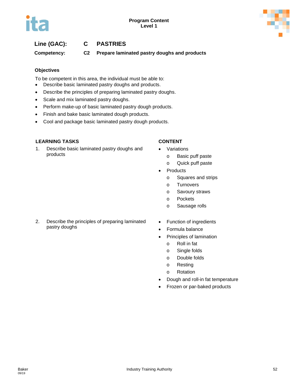# **Line (GAC): C PASTRIES**

**Competency: C2 Prepare laminated pastry doughs and products**

### **Objectives**

To be competent in this area, the individual must be able to:

- Describe basic laminated pastry doughs and products.
- Describe the principles of preparing laminated pastry doughs.
- Scale and mix laminated pastry doughs.
- Perform make-up of basic laminated pastry dough products.
- Finish and bake basic laminated dough products.
- Cool and package basic laminated pastry dough products.

### **LEARNING TASKS CONTENT**

1. Describe basic laminated pastry doughs and products

- **Variations** 
	- o Basic puff paste
	- o Quick puff paste
- Products
	- o Squares and strips
	- o Turnovers
	- o Savoury straws
	- o Pockets
	- o Sausage rolls
- 2. Describe the principles of preparing laminated pastry doughs
- Function of ingredients
- Formula balance
- Principles of lamination
	- o Roll in fat
	- o Single folds
	- o Double folds
	- o Resting
	- o Rotation
- Dough and roll-in fat temperature
- Frozen or par-baked products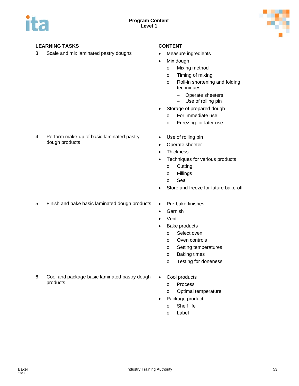

3. Scale and mix laminated pastry doughs • Measure ingredients

- 
- Mix dough
	- o Mixing method
	- o Timing of mixing
	- o Roll-in shortening and folding techniques
		- − Operate sheeters
		- − Use of rolling pin
- Storage of prepared dough
	- o For immediate use
	- o Freezing for later use
- Use of rolling pin
- Operate sheeter
- Thickness
- Techniques for various products
	- o Cutting
	- o Fillings
	- o Seal
- Store and freeze for future bake-off
- 5. Finish and bake basic laminated dough products Pre-bake finishes

4. Perform make-up of basic laminated pastry

dough products

- Garnish
- Vent
- Bake products
	- o Select oven
	- o Oven controls
	- o Setting temperatures
	- o Baking times
	- o Testing for doneness
- 6. Cool and package basic laminated pastry dough products
- Cool products
	- o Process
	- o Optimal temperature
- Package product
	- o Shelf life
	- o Label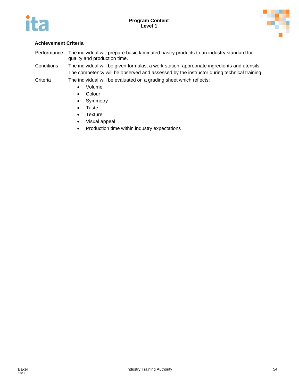



## **Achievement Criteria**

Performance The individual will prepare basic laminated pastry products to an industry standard for quality and production time.

Conditions The individual will be given formulas, a work station, appropriate ingredients and utensils. The competency will be observed and assessed by the instructor during technical training.

- Volume
- Colour
- Symmetry
- Taste
- Texture
- Visual appeal
- Production time within industry expectations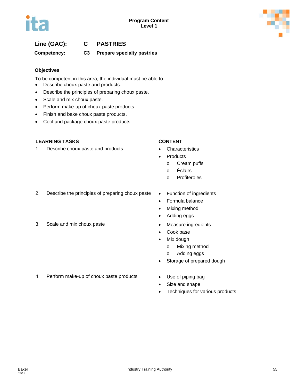

# **Line (GAC): C PASTRIES**

# **Competency: C3 Prepare specialty pastries**

### **Objectives**

To be competent in this area, the individual must be able to:

- Describe choux paste and products.
- Describe the principles of preparing choux paste.
- Scale and mix choux paste.
- Perform make-up of choux paste products.
- Finish and bake choux paste products.
- Cool and package choux paste products.

### **LEARNING TASKS CONTENT**

1. Describe choux paste and products • Characteristics

- 
- **Products** 
	- o Cream puffs
	- o Éclairs
	- o Profiteroles
- 2. Describe the principles of preparing choux paste Function of ingredients
- 3. Scale and mix choux paste **•** Measure ingredients
- 
- Formula balance
- Mixing method
- Adding eggs
	-
	- Cook base
	- Mix dough
		- o Mixing method
		- o Adding eggs
	- Storage of prepared dough
- 4. Perform make-up of choux paste products Use of piping bag
	-
	- Size and shape
	- Techniques for various products

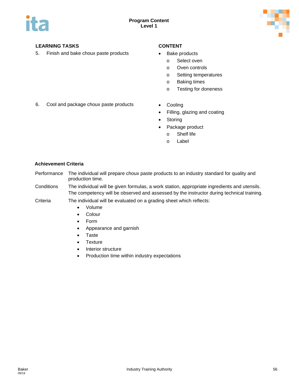

5. Finish and bake choux paste products • Bake products

- - o Select oven
	- o Oven controls
	- o Setting temperatures
	- o Baking times
	- o Testing for doneness
- 6. Cool and package choux paste products Cooling
	-
	- Filling, glazing and coating
	- Storing
		- Package product
			- o Shelf life
			- o Label

### **Achievement Criteria**

- Performance The individual will prepare choux paste products to an industry standard for quality and production time.
- Conditions The individual will be given formulas, a work station, appropriate ingredients and utensils. The competency will be observed and assessed by the instructor during technical training.

- Volume
- Colour
- Form
- Appearance and garnish
- Taste
- Texture
- Interior structure
- Production time within industry expectations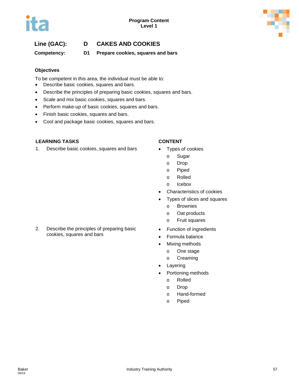# **Line (GAC): D CAKES AND COOKIES**

**Competency: D1 Prepare cookies, squares and bars**

### **Objectives**

To be competent in this area, the individual must be able to:

- Describe basic cookies, squares and bars.
- Describe the principles of preparing basic cookies, squares and bars.
- Scale and mix basic cookies, squares and bars.
- Perform make-up of basic cookies, squares and bars.
- Finish basic cookies, squares and bars.
- Cool and package basic cookies, squares and bars.

### **LEARNING TASKS CONTENT**

1. Describe basic cookies, squares and bars • Types of cookies

2. Describe the principles of preparing basic

cookies, squares and bars

- - o Sugar
	- o Drop
	- o Piped
	- o Rolled
	- o Icebox
- Characteristics of cookies
- Types of slices and squares
	- o Brownies
	- o Oat products
	- o Fruit squares
- Function of ingredients
- Formula balance
- Mixing methods
	- o One stage
	- o Creaming
- Layering
- Portioning methods
	- o Rolled
	- o Drop
	- o Hand-formed
	- o Piped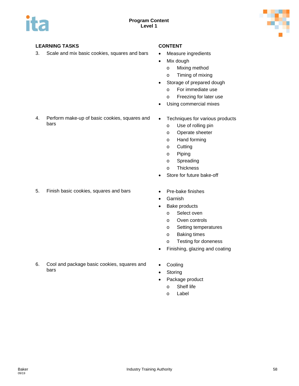

3. Scale and mix basic cookies, squares and bars • Measure ingredients

- 
- Mix dough
	- o Mixing method
	- o Timing of mixing
- Storage of prepared dough
	- o For immediate use
	- o Freezing for later use
- Using commercial mixes
- 4. Perform make-up of basic cookies, squares and bars

5. Finish basic cookies, squares and bars • Pre-bake finishes

- Techniques for various products
	- o Use of rolling pin
	- o Operate sheeter
	- o Hand forming
	- o Cutting
	- o Piping
	- o Spreading
	- o Thickness
- Store for future bake-off
- 
- Garnish
- Bake products
	- o Select oven
	- o Oven controls
	- o Setting temperatures
	- o Baking times
	- o Testing for doneness
- Finishing, glazing and coating
- 6. Cool and package basic cookies, squares and bars
- **Cooling**
- Storing
- Package product
	- o Shelf life
	- o Label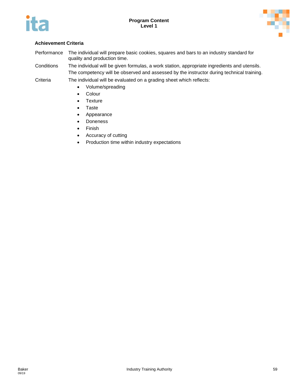



## **Achievement Criteria**

Performance The individual will prepare basic cookies, squares and bars to an industry standard for quality and production time.

Conditions The individual will be given formulas, a work station, appropriate ingredients and utensils. The competency will be observed and assessed by the instructor during technical training.

- Volume/spreading
- Colour
- Texture
- Taste
- Appearance
- Doneness
- Finish
- Accuracy of cutting
- Production time within industry expectations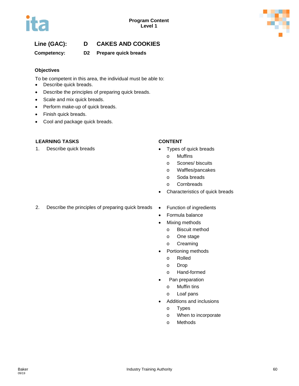

# **Line (GAC): D CAKES AND COOKIES**

## **Competency: D2 Prepare quick breads**

### **Objectives**

To be competent in this area, the individual must be able to:

- Describe quick breads.
- Describe the principles of preparing quick breads.
- Scale and mix quick breads.
- Perform make-up of quick breads.
- Finish quick breads.
- Cool and package quick breads.

### **LEARNING TASKS CONTENT**

1. Describe quick breads **•** Types of quick breads

- - o Muffins
	- o Scones/ biscuits
	- o Waffles/pancakes
	- o Soda breads
	- o Cornbreads
- Characteristics of quick breads
- 2. Describe the principles of preparing quick breads Function of ingredients
	-
	- Formula balance
	- **Mixing methods** 
		- o Biscuit method
		- o One stage
		- o Creaming
	- Portioning methods
		- o Rolled
		- o Drop
		- o Hand-formed
	- Pan preparation
		- o Muffin tins
		- o Loaf pans
	- Additions and inclusions
		- o Types
		- o When to incorporate
		- o Methods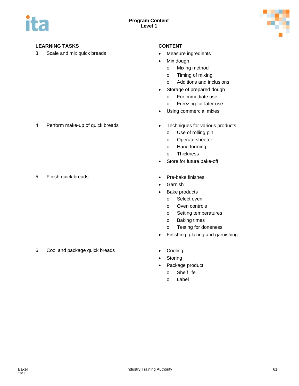

3. Scale and mix quick breads • Measure ingredients

- 
- Mix dough
	- o Mixing method
	- o Timing of mixing
	- o Additions and inclusions
- Storage of prepared dough
	- o For immediate use
	- o Freezing for later use
- Using commercial mixes
- 4. Perform make-up of quick breads Techniques for various products
	- o Use of rolling pin
	- o Operate sheeter
	- o Hand forming
	- o Thickness
	- Store for future bake-off
- 5. Finish quick breads **•** Pre-bake finishes
	- **Garnish**
	- Bake products
		- o Select oven
		- o Oven controls
		- o Setting temperatures
		- o Baking times
		- o Testing for doneness
	- Finishing, glazing and garnishing
- 6. Cool and package quick breads Cooling
	-
	- Storing
	- Package product
		- o Shelf life
		- o Label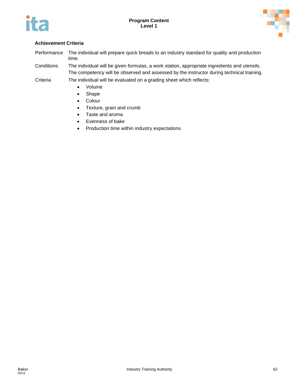



## **Achievement Criteria**

Performance The individual will prepare quick breads to an industry standard for quality and production time.

Conditions The individual will be given formulas, a work station, appropriate ingredients and utensils. The competency will be observed and assessed by the instructor during technical training.

- Volume
- Shape
- Colour
- Texture, grain and crumb
- Taste and aroma
- Evenness of bake
- Production time within industry expectations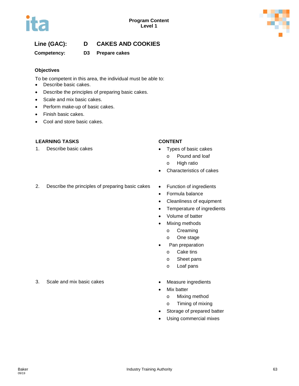

# **Line (GAC): D CAKES AND COOKIES**

## **Competency: D3 Prepare cakes**

### **Objectives**

To be competent in this area, the individual must be able to:

- Describe basic cakes.
- Describe the principles of preparing basic cakes.
- Scale and mix basic cakes.
- Perform make-up of basic cakes.
- Finish basic cakes.
- Cool and store basic cakes.

### **LEARNING TASKS CONTENT**

1. Describe basic cakes • Types of basic cakes

- - o Pound and loaf
	- o High ratio
- Characteristics of cakes
- 2. Describe the principles of preparing basic cakes Function of ingredients
	-
	- Formula balance
	- Cleanliness of equipment
	- Temperature of ingredients
	- Volume of batter
	- Mixing methods
		- o Creaming
		- o One stage
	- Pan preparation
		- o Cake tins
		- o Sheet pans
		- o Loaf pans
	-
	- Mix batter
		- o Mixing method
		- o Timing of mixing
	- Storage of prepared batter
	- Using commercial mixes
- 3. Scale and mix basic cakes Measure ingredients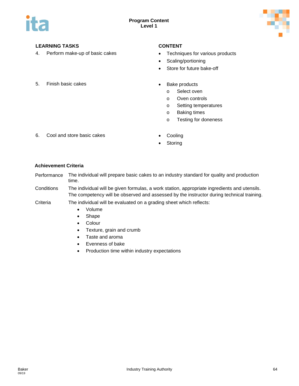

4. Perform make-up of basic cakes • Techniques for various products

- 
- Scaling/portioning
- Store for future bake-off
- 5. Finish basic cakes  **Bake products** 
	- - o Select oven
		- o Oven controls
		- o Setting temperatures
		- o Baking times
		- o Testing for doneness
- 6. Cool and store basic cakes Cooling
	-
	- Storing

### **Achievement Criteria**

- Performance The individual will prepare basic cakes to an industry standard for quality and production time.
- Conditions The individual will be given formulas, a work station, appropriate ingredients and utensils. The competency will be observed and assessed by the instructor during technical training.
- Criteria The individual will be evaluated on a grading sheet which reflects:
	- Volume
	- Shape
	- Colour
	- Texture, grain and crumb
	- Taste and aroma
	- Evenness of bake
	- Production time within industry expectations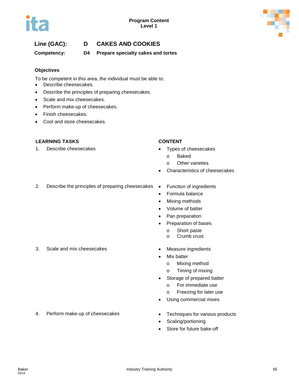

# **Line (GAC): D CAKES AND COOKIES**

**Competency: D4 Prepare specialty cakes and tortes**

### **Objectives**

To be competent in this area, the individual must be able to:

- Describe cheesecakes.
- Describe the principles of preparing cheesecakes.
- Scale and mix cheesecakes.
- Perform make-up of cheesecakes.
- Finish cheesecakes.
- Cool and store cheesecakes.

### **LEARNING TASKS CONTENT**

1. Describe cheesecakes • Types of cheesecakes

- - o Baked
	- o Other varieties
- Characteristics of cheesecakes
- 2. Describe the principles of preparing cheesecakes Function of ingredients
- - Formula balance
	- Mixing methods
	- Volume of batter
	- Pan preparation
	- Preparation of bases
		- o Short paste
		- o Crumb crust
- 3. Scale and mix cheesecakes Measure ingredients
	- **Mix batter** 
		- o Mixing method
		- o Timing of mixing
	- Storage of prepared batter
		- o For immediate use
		- o Freezing for later use
	- Using commercial mixes
- 4. Perform make-up of cheesecakes Techniques for various products
	-
	- Scaling/portioning
	- Store for future bake-off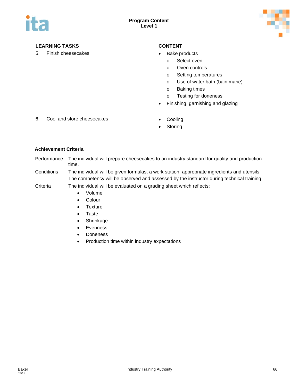

5. Finish cheesecakes **• Bake products** 

- - o Select oven
	- o Oven controls
	- o Setting temperatures
	- o Use of water bath (bain marie)
	- o Baking times
	- o Testing for doneness
- Finishing, garnishing and glazing
- 6. Cool and store cheesecakes Cooling
	-
	- **Storing**

### **Achievement Criteria**

- Performance The individual will prepare cheesecakes to an industry standard for quality and production time.
- Conditions The individual will be given formulas, a work station, appropriate ingredients and utensils. The competency will be observed and assessed by the instructor during technical training.

- Volume
- Colour
- Texture
- Taste
- Shrinkage
- Evenness
- Doneness
- Production time within industry expectations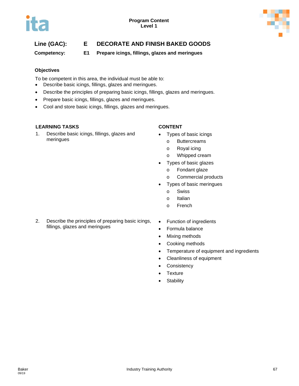

# **Line (GAC): E DECORATE AND FINISH BAKED GOODS**

**Competency: E1 Prepare icings, fillings, glazes and meringues**

### **Objectives**

To be competent in this area, the individual must be able to:

- Describe basic icings, fillings, glazes and meringues.
- Describe the principles of preparing basic icings, fillings, glazes and meringues.
- Prepare basic icings, fillings, glazes and meringues.
- Cool and store basic icings, fillings, glazes and meringues.

### **LEARNING TASKS CONTENT**

1. Describe basic icings, fillings, glazes and meringues

- Types of basic icings
	- o Buttercreams
	- o Royal icing
	- o Whipped cream
- Types of basic glazes
	- o Fondant glaze
	- o Commercial products
- Types of basic meringues
	- o Swiss
	- o Italian
	- o French
- 2. Describe the principles of preparing basic icings, fillings, glazes and meringues
- Function of ingredients
- Formula balance
- Mixing methods
- Cooking methods
- Temperature of equipment and ingredients
- Cleanliness of equipment
- Consistency
- Texture
- Stability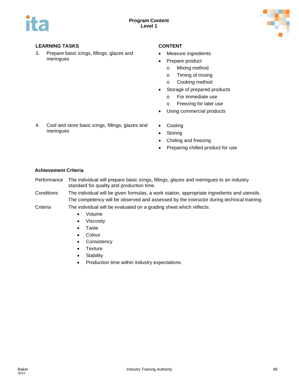

3. Prepare basic icings, fillings, glazes and meringues

- Measure ingredients
- Prepare product
	- o Mixing method
	- o Timing of mixing
	- o Cooking method
- Storage of prepared products
	- o For immediate use
	- o Freezing for later use
- Using commercial products
- 4. Cool and store basic icings, fillings, glazes and meringues
- Cooling
- Storing
- Chiiling and freezing
- Preparing chilled product for use

### **Achievement Criteria**

- Performance The individual will prepare basic icings, fillings, glazes and meringues to an industry standard for quality and production time.
- Conditions The individual will be given formulas, a work station, appropriate ingredients and utensils. The competency will be observed and assessed by the instructor during technical training.

- Volume
	- Viscosity
	- Taste
	- Colour
	- Consistency
	- Texture
	- Stability
	- Production time within industry expectations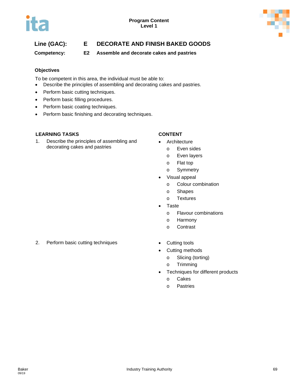

# **Line (GAC): E DECORATE AND FINISH BAKED GOODS**

**Competency: E2 Assemble and decorate cakes and pastries**

### **Objectives**

To be competent in this area, the individual must be able to:

- Describe the principles of assembling and decorating cakes and pastries.
- Perform basic cutting techniques.
- Perform basic filling procedures.
- Perform basic coating techniques.
- Perform basic finishing and decorating techniques.

### **LEARNING TASKS CONTENT**

1. Describe the principles of assembling and decorating cakes and pastries

- Architecture
	- o Even sides
	- o Even layers
	- o Flat top
	- o Symmetry
- Visual appeal
	- o Colour combination
	- o Shapes
	- o Textures
- **Taste** 
	- o Flavour combinations
	- o Harmony
	- o Contrast
- 2. Perform basic cutting techniques Cutting tools
	-
	- Cutting methods
		- o Slicing (torting)
		- o Trimming
	- Techniques for different products
		- o Cakes
		- o Pastries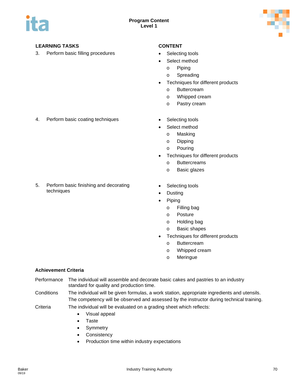

3. Perform basic filling procedures • Selecting tools

- 
- Select method
	- o Piping
	- o Spreading
- Techniques for different products
	- o Buttercream
	- o Whipped cream
	- o Pastry cream
- 4. Perform basic coating techniques Selecting tools
	-
	- Select method
		- o Masking
		- o Dipping
		- o Pouring
	- Techniques for different products
		- o Buttercreams
		- o Basic glazes
- 5. Perform basic finishing and decorating techniques
- Selecting tools
- **Dusting**
- Piping
	- o Filling bag
	- o Posture
	- o Holding bag
	- o Basic shapes
- Techniques for different products
	- o Buttercream
	- o Whipped cream
	- o Meringue

### **Achievement Criteria**

- Performance The individual will assemble and decorate basic cakes and pastries to an industry standard for quality and production time.
- Conditions The individual will be given formulas, a work station, appropriate ingredients and utensils. The competency will be observed and assessed by the instructor during technical training.
- Criteria The individual will be evaluated on a grading sheet which reflects:
	- Visual appeal
	- Taste
	- Symmetry
	- Consistency
	- Production time within industry expectations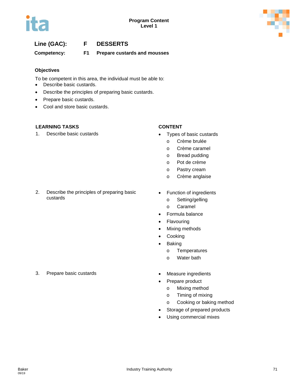

# **Line (GAC): F DESSERTS**

**Competency: F1 Prepare custards and mousses**

### **Objectives**

To be competent in this area, the individual must be able to:

- Describe basic custards.
- Describe the principles of preparing basic custards.
- Prepare basic custards.
- Cool and store basic custards.

## **LEARNING TASKS CONTENT**

1. Describe basic custards **•** Types of basic custards

- - o Crème brulée
	- o Crème caramel
	- o Bread pudding
	- o Pot de crème
	- o Pastry cream
	- o Crème anglaise
- 2. Describe the principles of preparing basic custards
- Function of ingredients
	- o Setting/gelling
	- o Caramel
- Formula balance
- Flavouring
- Mixing methods
- **Cooking**
- Baking
	- o Temperatures
	- o Water bath
- 
- Prepare product
	- o Mixing method
	- o Timing of mixing
	- o Cooking or baking method
- Storage of prepared products
- Using commercial mixes
- 3. Prepare basic custards Measure ingredients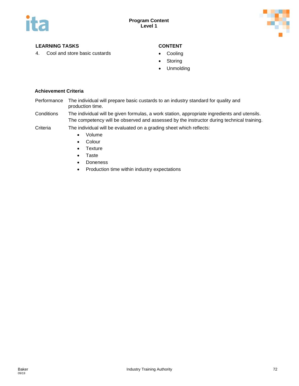

4. Cool and store basic custards **•** Cooling

- 
- Storing
- Unmolding

- Performance The individual will prepare basic custards to an industry standard for quality and production time.
- Conditions The individual will be given formulas, a work station, appropriate ingredients and utensils. The competency will be observed and assessed by the instructor during technical training.
- Criteria The individual will be evaluated on a grading sheet which reflects:
	- Volume
	- Colour
	- Texture
	- Taste
	- Doneness
	- Production time within industry expectations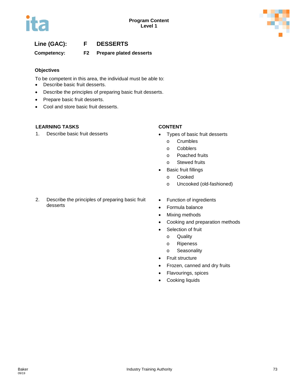



# **Line (GAC): F DESSERTS**

**Competency: F2 Prepare plated desserts**

# **Objectives**

To be competent in this area, the individual must be able to:

- Describe basic fruit desserts.
- Describe the principles of preparing basic fruit desserts.
- Prepare basic fruit desserts.
- Cool and store basic fruit desserts.

### **LEARNING TASKS CONTENT**

1. Describe basic fruit desserts **•** Types of basic fruit desserts

- - o Crumbles
	- o Cobblers
	- o Poached fruits
	- o Stewed fruits
- **Basic fruit fillings** 
	- o Cooked
	- o Uncooked (old-fashioned)
- 2. Describe the principles of preparing basic fruit desserts
- Function of ingredients
- Formula balance
- Mixing methods
- Cooking and preparation methods
- Selection of fruit
	- o Quality
	- o Ripeness
	- o Seasonality
- Fruit structure
- Frozen, canned and dry fruits
- Flavourings, spices
- Cooking liquids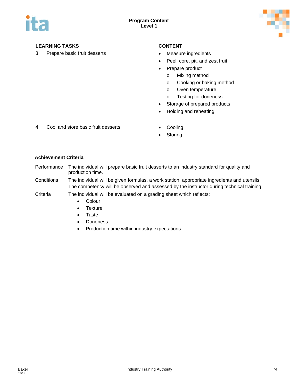

3. Prepare basic fruit desserts • Measure ingredients

- 
- Peel, core, pit, and zest fruit
- Prepare product
	- o Mixing method
	- o Cooking or baking method
	- o Oven temperature
	- o Testing for doneness
- Storage of prepared products
- Holding and reheating
- 4. Cool and store basic fruit desserts Cooling
	-
	- **Storing**

- Performance The individual will prepare basic fruit desserts to an industry standard for quality and production time.
- Conditions The individual will be given formulas, a work station, appropriate ingredients and utensils. The competency will be observed and assessed by the instructor during technical training.
- Criteria The individual will be evaluated on a grading sheet which reflects:
	- Colour
	- Texture
	- Taste
	- Doneness
	- Production time within industry expectations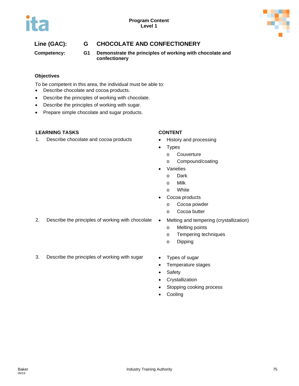

# **Line (GAC): G CHOCOLATE AND CONFECTIONERY**

**Competency: G1 Demonstrate the principles of working with chocolate and confectionery**

# **Objectives**

To be competent in this area, the individual must be able to:

- Describe chocolate and cocoa products.
- Describe the principles of working with chocolate.
- Describe the principles of working with sugar.
- Prepare simple chocolate and sugar products.

# **LEARNING TASKS CONTENT**

1. Describe chocolate and cocoa products • History and processing

- 
- Types
	- o Couverture
	- o Compound/coating
- **Varieties** 
	- o Dark
	- o Milk
	- o White
- Cocoa products
	- o Cocoa powder
	- o Cocoa butter
- 2. Describe the principles of working with chocolate Melting and tempering (crystallization)
	- - o Melting points
		- o Tempering techniques
		- o Dipping
- 3. Describe the principles of working with sugar Types of sugar
	-
	- Temperature stages
	- Safety
	- Crystallization
	- Stopping cooking process
	- **Cooling**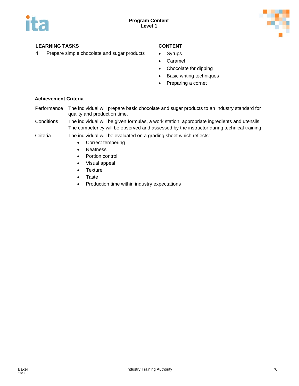

4. Prepare simple chocolate and sugar products • Syrups

- 
- Caramel
- Chocolate for dipping
- Basic writing techniques
- Preparing a cornet

- Performance The individual will prepare basic chocolate and sugar products to an industry standard for quality and production time.
- Conditions The individual will be given formulas, a work station, appropriate ingredients and utensils. The competency will be observed and assessed by the instructor during technical training.
- Criteria The individual will be evaluated on a grading sheet which reflects:
	- Correct tempering
	- Neatness
	- Portion control
	- Visual appeal
	- Texture
	- Taste
	- Production time within industry expectations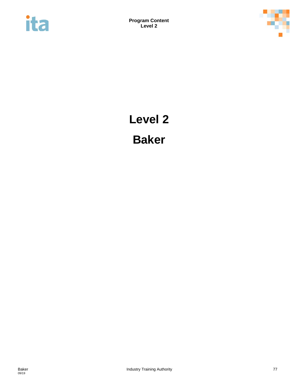



# **Level 2 Baker**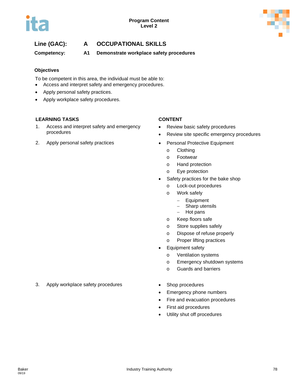

**Competency: A1 Demonstrate workplace safety procedures** 

# **Objectives**

To be competent in this area, the individual must be able to:

- Access and interpret safety and emergency procedures.
- Apply personal safety practices.
- Apply workplace safety procedures.

# **LEARNING TASKS CONTENT**

- 1. Access and interpret safety and emergency procedures
- 2. Apply personal safety practices Personal Protective Equipment

- Review basic safety procedures
- Review site specific emergency procedures
- - o Clothing
	- o Footwear
	- o Hand protection
	- o Eye protection
- Safety practices for the bake shop
	- o Lock-out procedures
	- o Work safely
		- − Equipment
		- − Sharp utensils
		- − Hot pans
	- o Keep floors safe
	- o Store supplies safely
	- o Dispose of refuse properly
	- o Proper lifting practices
- Equipment safety
	- o Ventilation systems
	- o Emergency shutdown systems
	- o Guards and barriers
- 
- Emergency phone numbers
- Fire and evacuation procedures
- First aid procedures
- Utility shut off procedures
- 3. Apply workplace safety procedures Shop procedures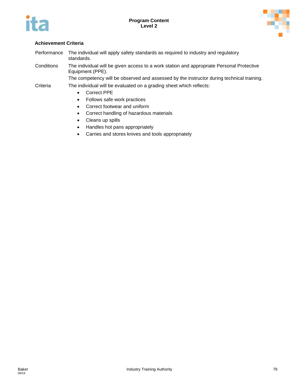



# **Achievement Criteria**

Performance The individual will apply safety standards as required to industry and regulatory standards. Conditions The individual will be given access to a work station and appropriate Personal Protective Equipment (PPE). The competency will be observed and assessed by the instructor during technical training.

- Correct PPE
- Follows safe work practices
- Correct footwear and uniform
- Correct handling of hazardous materials
- Cleans up spills
- Handles hot pans appropriately
- Carries and stores knives and tools appropriately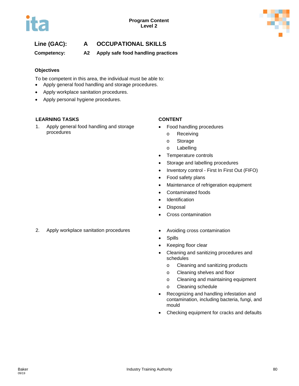

**Competency: A2 Apply safe food handling practices**

# **Objectives**

To be competent in this area, the individual must be able to:

- Apply general food handling and storage procedures.
- Apply workplace sanitation procedures.
- Apply personal hygiene procedures.

# **LEARNING TASKS CONTENT**

1. Apply general food handling and storage procedures

- Food handling procedures
	- o Receiving
	- o Storage
	- o Labelling
- Temperature controls
- Storage and labelling procedures
- Inventory control First In First Out (FIFO)
- Food safety plans
- Maintenance of refrigeration equipment
- Contaminated foods
- Identification
- Disposal
- Cross contamination
- 2. Apply workplace sanitation procedures Avoiding cross contamination
	-
	- Spills
	- Keeping floor clear
	- Cleaning and sanitizing procedures and schedules
		- o Cleaning and sanitizing products
		- o Cleaning shelves and floor
		- o Cleaning and maintaining equipment
		- o Cleaning schedule
	- Recognizing and handling infestation and contamination, including bacteria, fungi, and mould
	- Checking equipment for cracks and defaults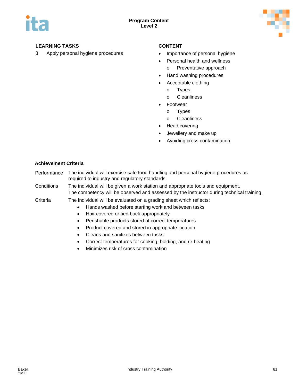

3. Apply personal hygiene procedures • Importance of personal hygiene

- 
- Personal health and wellness
	- o Preventative approach
- Hand washing procedures
- Acceptable clothing
	- o Types
	- o Cleanliness
- **Footwear** 
	- o Types
	- o Cleanliness
- Head covering
- Jewellery and make up
- Avoiding cross contamination

- Performance The individual will exercise safe food handling and personal hygiene procedures as required to industry and regulatory standards.
- Conditions The individual will be given a work station and appropriate tools and equipment. The competency will be observed and assessed by the instructor during technical training.

- Criteria The individual will be evaluated on a grading sheet which reflects:
	- Hands washed before starting work and between tasks
	- Hair covered or tied back appropriately
	- Perishable products stored at correct temperatures
	- Product covered and stored in appropriate location
	- Cleans and sanitizes between tasks
	- Correct temperatures for cooking, holding, and re-heating
	- Minimizes risk of cross contamination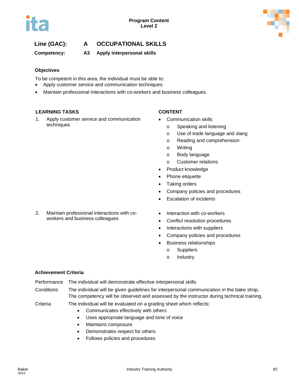

**Competency: A3 Apply interpersonal skills**

# **Objectives**

To be competent in this area, the individual must be able to:

- Apply customer service and communication techniques.
- Maintain professional interactions with co-workers and business colleagues.

### **LEARNING TASKS CONTENT**

1. Apply customer service and communication techniques

- Communication skills
	- o Speaking and listening
	- o Use of trade language and slang
	- o Reading and comprehension
	- o Writing
	- o Body language
	- o Customer relations
- Product knowledge
- Phone etiquette
- Taking orders
- Company policies and procedures
- Escalation of incidents
- 2. Maintain professional interactions with coworkers and business colleagues
- Interaction with co-workers
- Conflict resolution procedures
- Interactions with suppliers
- Company policies and procedures
- Business relationships
	- o Suppliers
	- o Industry

# **Achievement Criteria**

Performance The individual will demonstrate effective interpersonal skills.

Conditions The individual will be given guidelines for interpersonal communication in the bake shop. The competency will be observed and assessed by the instructor during technical training.

- Communicates effectively with others
- Uses appropriate language and tone of voice
- Maintains composure
- Demonstrates respect for others
- Follows policies and procedures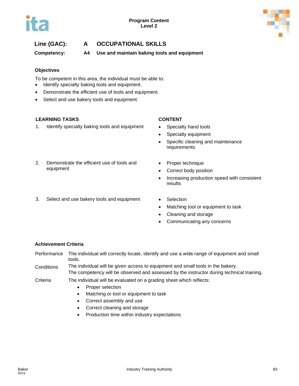

**Competency: A4 Use and maintain baking tools and equipment**

# **Objectives**

To be competent in this area, the individual must be able to:

- Identify specialty baking tools and equipment.
- Demonstrate the efficient use of tools and equipment.
- Select and use bakery tools and equipment.

# **LEARNING TASKS CONTENT**

1. Identify specialty baking tools and equipment • Specialty hand tools

- 
- Specialty equipment
- Specific cleaning and maintenance requirements
- 2. Demonstrate the efficient use of tools and equipment
- 3. Select and use bakery tools and equipment Selection
- Proper technique
- Correct body position
- Increasing production speed with consistent results
	-
	- Matching tool or equipment to task
	- Cleaning and storage
	- Communicating any concerns

# **Achievement Criteria**

Performance The individual will correctly locate, identify and use a wide range of equipment and small tools.

Conditions The individual will be given access to equipment and small tools in the bakery. The competency will be observed and assessed by the instructor during technical training.

- Proper selection
- Matching or tool or equipment to task
- Correct assembly and use
- Correct cleaning and storage
- Production time within industry expectations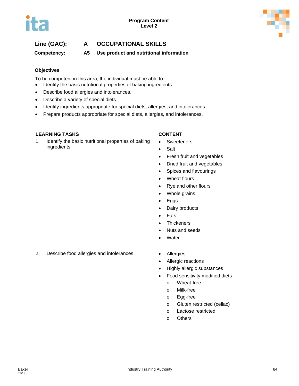



**Competency: A5 Use product and nutritional information**

# **Objectives**

To be competent in this area, the individual must be able to:

- Identify the basic nutritional properties of baking ingredients.
- Describe food allergies and intolerances.
- Describe a variety of special diets.
- Identify ingredients appropriate for special diets, allergies, and intolerances.
- Prepare products appropriate for special diets, allergies, and intolerances.

# **LEARNING TASKS CONTENT**

1. Identify the basic nutritional properties of baking ingredients

- Sweeteners
- **Salt**
- Fresh fruit and vegetables
- Dried fruit and vegetables
- Spices and flavourings
- Wheat flours
- Rye and other flours
- Whole grains
- Eggs
- Dairy products
- Fats
- Thickeners
- Nuts and seeds
- **Water**
- 2. Describe food allergies and intolerances Allergies
	-
	- Allergic reactions
	- Highly allergic substances
	- Food sensitivity modified diets
		- o Wheat-free
		- o Milk-free
		- o Egg-free
		- o Gluten restricted (celiac)
		- o Lactose restricted
		- o Others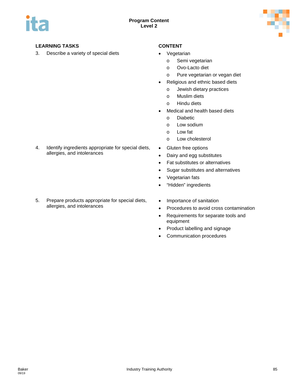

3. Describe a variety of special diets **•** Vegetarian

- - o Semi vegetarian
	- o Ovo-Lacto diet
	- o Pure vegetarian or vegan diet
- Religious and ethnic based diets
	- o Jewish dietary practices
	- o Muslim diets
	- o Hindu diets
- Medical and health based diets
	- o Diabetic
	- o Low sodium
	- o Low fat
	- o Low cholesterol
- Gluten free options
- Dairy and egg substitutes
- Fat substitutes or alternatives
- Sugar substitutes and alternatives
- Vegetarian fats
- "Hidden" ingredients
- Importance of sanitation
- Procedures to avoid cross contamination
- Requirements for separate tools and equipment
- Product labelling and signage
- Communication procedures

4. Identify ingredients appropriate for special diets, allergies, and intolerances

5. Prepare products appropriate for special diets, allergies, and intolerances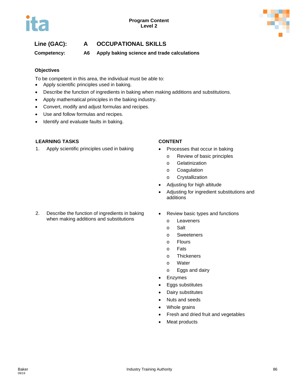**Competency: A6 Apply baking science and trade calculations**

# **Objectives**

To be competent in this area, the individual must be able to:

- Apply scientific principles used in baking.
- Describe the function of ingredients in baking when making additions and substitutions.
- Apply mathematical principles in the baking industry.
- Convert, modify and adjust formulas and recipes.
- Use and follow formulas and recipes.
- Identify and evaluate faults in baking.

# **LEARNING TASKS CONTENT**

1. Apply scientific principles used in baking • Processes that occur in baking

- - o Review of basic principles
	- o Gelatinization
	- o Coagulation
	- o Crystallization
- Adjusting for high altitude
- Adjusting for ingredient substitutions and additions
- 2. Describe the function of ingredients in baking when making additions and substitutions
- Review basic types and functions
	- o Leaveners
	- o Salt
	- o Sweeteners
	- o Flours
	- o Fats
	- o Thickeners
	- o Water
	- o Eggs and dairy
- **Enzymes**
- Eggs substitutes
- Dairy substitutes
- Nuts and seeds
- Whole grains
- Fresh and dried fruit and vegetables
- Meat products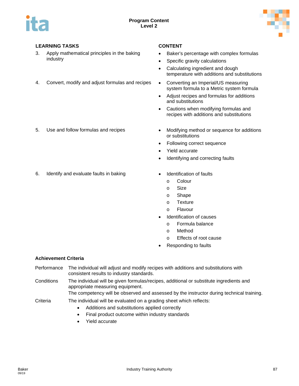

- 3. Apply mathematical principles in the baking industry
- 4. Convert, modify and adjust formulas and recipes Converting an Imperial/US measuring

- 
- Baker's percentage with complex formulas
- Specific gravity calculations
- Calculating ingredient and dough temperature with additions and substitutions
- system formula to a Metric system formula
- Adjust recipes and formulas for additions and substitutions
- Cautions when modifying formulas and recipes with additions and substitutions
- 5. Use and follow formulas and recipes Modifying method or sequence for additions or substitutions
	- Following correct sequence
	- Yield accurate
	- Identifying and correcting faults
- 6. Identify and evaluate faults in baking **•** Identification of faults
	- - o Colour
		- o Size
		- o Shape
		- o Texture
		- o Flavour
	- Identification of causes
		- o Formula balance
		- o Method
		- o Effects of root cause
	- Responding to faults

- Performance The individual will adjust and modify recipes with additions and substitutions with consistent results to industry standards.
- Conditions The individual will be given formulas/recipes, additional or substitute ingredients and appropriate measuring equipment.
	- The competency will be observed and assessed by the instructor during technical training.
- Criteria The individual will be evaluated on a grading sheet which reflects:
	- Additions and substitutions applied correctly
	- Final product outcome within industry standards
	- Yield accurate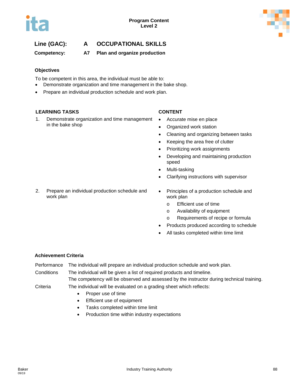

**Competency: A7 Plan and organize production**

# **Objectives**

To be competent in this area, the individual must be able to:

- Demonstrate organization and time management in the bake shop.
- Prepare an individual production schedule and work plan.

### **LEARNING TASKS CONTENT**

1. Demonstrate organization and time management in the bake shop

- Accurate mise en place
- Organized work station
- Cleaning and organizing between tasks
- Keeping the area free of clutter
- Prioritizing work assignments
- Developing and maintaining production speed
- Multi-tasking
- Clarifying instructions with supervisor
- 2. Prepare an individual production schedule and • Principles of a production schedule and work plan
	- o Efficient use of time
	- o Availability of equipment
	- o Requirements of recipe or formula
	- Products produced according to schedule
	- All tasks completed within time limit

# **Achievement Criteria**

work plan

Performance The individual will prepare an individual production schedule and work plan.

Conditions The individual will be given a list of required products and timeline. The competency will be observed and assessed by the instructor during technical training.

- Proper use of time
- Efficient use of equipment
- Tasks completed within time limit
- Production time within industry expectations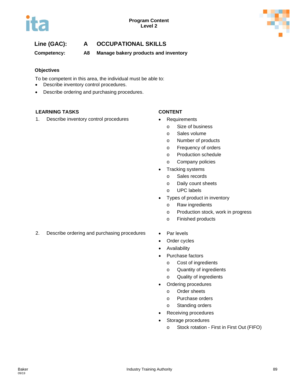

**Competency: A8 Manage bakery products and inventory**

# **Objectives**

To be competent in this area, the individual must be able to:

- Describe inventory control procedures.
- Describe ordering and purchasing procedures.

### **LEARNING TASKS CONTENT**

1. Describe inventory control procedures • Requirements

- - o Size of business
		- o Sales volume
		- o Number of products
		- o Frequency of orders
		- o Production schedule
		- o Company policies
- Tracking systems
	- o Sales records
	- o Daily count sheets
	- o UPC labels
- Types of product in inventory
	- o Raw ingredients
	- o Production stock, work in progress
	- o Finished products
- 2. Describe ordering and purchasing procedures Par levels
	-
	- Order cycles
	- Availability
	- Purchase factors
		- o Cost of ingredients
		- o Quantity of ingredients
		- o Quality of ingredients
	- Ordering procedures
		- o Order sheets
		- o Purchase orders
		- o Standing orders
	- Receiving procedures
	- Storage procedures
		- o Stock rotation First in First Out (FIFO)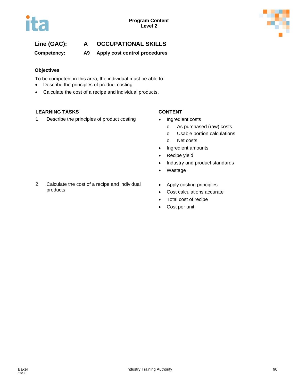

**Competency: A9 Apply cost control procedures**

# **Objectives**

To be competent in this area, the individual must be able to:

- Describe the principles of product costing.
- Calculate the cost of a recipe and individual products.

# **LEARNING TASKS CONTENT**

1. Describe the principles of product costing • Ingredient costs

- - o As purchased (raw) costs
	- o Usable portion calculations
	- o Net costs
- Ingredient amounts
- Recipe yield
- Industry and product standards
- Wastage
- 2. Calculate the cost of a recipe and individual products
- Apply costing principles
- Cost calculations accurate
- Total cost of recipe
- Cost per unit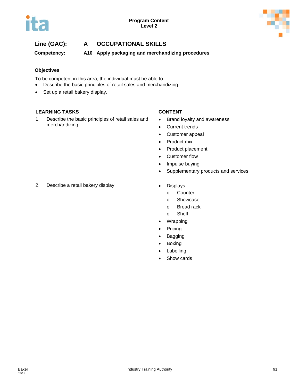



**Competency: A10 Apply packaging and merchandizing procedures**

# **Objectives**

To be competent in this area, the individual must be able to:

- Describe the basic principles of retail sales and merchandizing.
- Set up a retail bakery display.

### **LEARNING TASKS CONTENT**

1. Describe the basic principles of retail sales and merchandizing

- Brand loyalty and awareness
- Current trends
- Customer appeal
- Product mix
- Product placement
- Customer flow
- Impulse buying
- Supplementary products and services
- 2. Describe a retail bakery display values of the Displays
	- - o Counter
		- o Showcase
		- o Bread rack
		- o Shelf
	- Wrapping
	- Pricing
	- Bagging
	- Boxing
	- Labelling
	- Show cards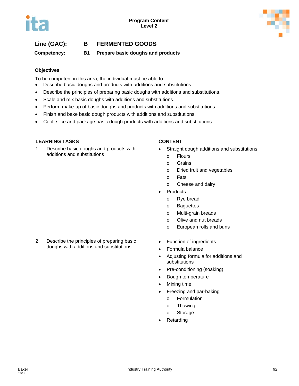# **Line (GAC): B FERMENTED GOODS**

**Competency: B1 Prepare basic doughs and products**

### **Objectives**

To be competent in this area, the individual must be able to:

- Describe basic doughs and products with additions and substitutions.
- Describe the principles of preparing basic doughs with additions and substitutions.
- Scale and mix basic doughs with additions and substitutions.
- Perform make-up of basic doughs and products with additions and substitutions.
- Finish and bake basic dough products with additions and substitutions.
- Cool, slice and package basic dough products with additions and substitutions.

### **LEARNING TASKS CONTENT**

1. Describe basic doughs and products with additions and substitutions

2. Describe the principles of preparing basic doughs with additions and substitutions

- Straight dough additions and substitutions
	- o Flours
	- o Grains
	- o Dried fruit and vegetables
	- o Fats
	- o Cheese and dairy
- **Products** 
	- o Rye bread
	- o Baguettes
	- o Multi-grain breads
	- o Olive and nut breads
	- o European rolls and buns
- Function of ingredients
	- Formula balance
	- Adjusting formula for additions and substitutions
	- Pre-conditioning (soaking)
	- Dough temperature
	- Mixing time
	- Freezing and par-baking
		- o Formulation
		- o Thawing
		- o Storage
	- **Retarding**

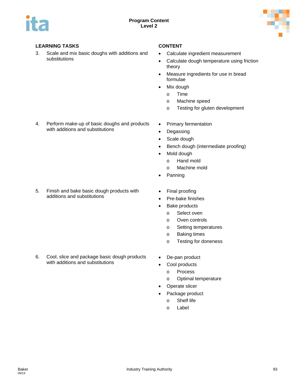

3. Scale and mix basic doughs with additions and substitutions

- Calculate ingredient measurement
- Calculate dough temperature using friction theory
- Measure ingredients for use in bread formulae
- Mix dough
	- o Time
	- o Machine speed
	- o Testing for gluten development
- 4. Perform make-up of basic doughs and products with additions and substitutions

- 5. Finish and bake basic dough products with additions and substitutions
- 
- 6. Cool, slice and package basic dough products with additions and substitutions
- Primary fermentation
- Degassing
- Scale dough
- Bench dough (intermediate proofing)
- Mold dough
	- o Hand mold
	- o Machine mold
- Panning
- Final proofing
- Pre-bake finishes
- Bake products
	- o Select oven
	- o Oven controls
	- o Setting temperatures
	- o Baking times
	- o Testing for doneness
- De-pan product
- Cool products
	- o Process
		- o Optimal temperature
- Operate slicer
- Package product
	- o Shelf life
	- o Label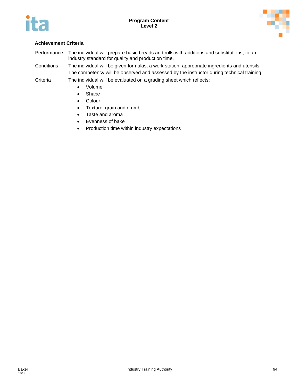



# **Achievement Criteria**

Performance The individual will prepare basic breads and rolls with additions and substitutions, to an industry standard for quality and production time.

Conditions The individual will be given formulas, a work station, appropriate ingredients and utensils. The competency will be observed and assessed by the instructor during technical training.

- Volume
- Shape
- Colour
- Texture, grain and crumb
- Taste and aroma
- Evenness of bake
- Production time within industry expectations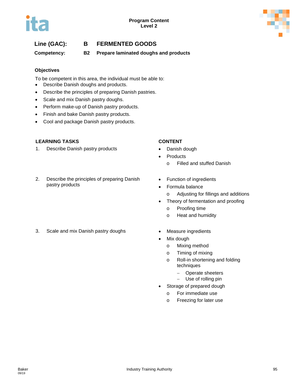



# **Line (GAC): B FERMENTED GOODS**

**Competency: B2 Prepare laminated doughs and products**

# **Objectives**

To be competent in this area, the individual must be able to:

- Describe Danish doughs and products.
- Describe the principles of preparing Danish pastries.
- Scale and mix Danish pastry doughs.
- Perform make-up of Danish pastry products.
- Finish and bake Danish pastry products.
- Cool and package Danish pastry products.

### **LEARNING TASKS CONTENT**

1. Describe Danish pastry products **•** Danish dough

### 2. Describe the principles of preparing Danish pastry products

- 
- **Products** 
	- o Filled and stuffed Danish
- Function of ingredients
	- Formula balance
		- o Adjusting for fillings and additions
	- Theory of fermentation and proofing
		- o Proofing time
		- o Heat and humidity
- 3. Scale and mix Danish pastry doughs Measure ingredients
	-
	- Mix dough
		- o Mixing method
		- o Timing of mixing
		- o Roll-in shortening and folding techniques
			- − Operate sheeters
			- − Use of rolling pin
	- Storage of prepared dough
		- o For immediate use
		- o Freezing for later use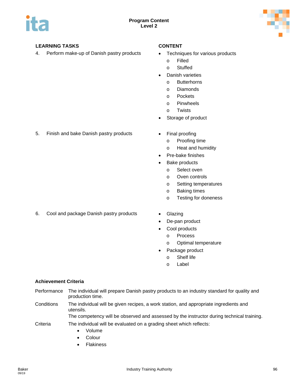

4. Perform make-up of Danish pastry products • Techniques for various products

- - o Filled
	- o Stuffed
- Danish varieties
	- o Butterhorns
	- o Diamonds
	- o Pockets
	- o Pinwheels
	- o Twists
- Storage of product
- 5. Finish and bake Danish pastry products Final proofing
	- o Proofing time
	- o Heat and humidity
	- Pre-bake finishes
	- Bake products
		- o Select oven
		- o Oven controls
		- o Setting temperatures
		- o Baking times
		- o Testing for doneness
- 6. Cool and package Danish pastry products Glazing
	-
	- De-pan product
	- Cool products
		- o Process
		- o Optimal temperature
	- Package product
		- o Shelf life
		- o Label

# **Achievement Criteria**

- Performance The individual will prepare Danish pastry products to an industry standard for quality and production time.
- Conditions The individual will be given recipes, a work station, and appropriate ingredients and utensils.

The competency will be observed and assessed by the instructor during technical training.

- Volume
- Colour
- Flakiness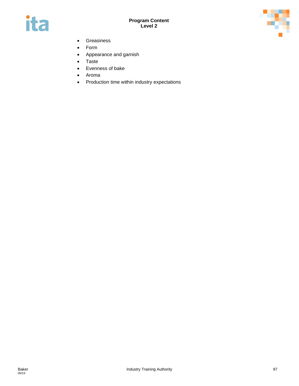



- Greasiness
- Form
- Appearance and garnish
- Taste
- Evenness of bake
- Aroma
- Production time within industry expectations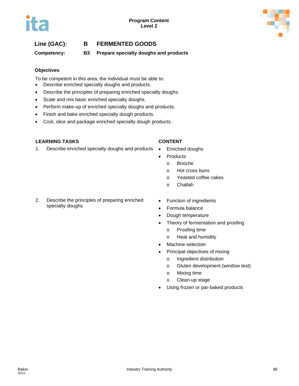# **Line (GAC): B FERMENTED GOODS**

**Competency: B3 Prepare specialty doughs and products**

### **Objectives**

To be competent in this area, the individual must be able to:

- Describe enriched specialty doughs and products.
- Describe the principles of preparing enriched specialty doughs.
- Scale and mix basic enriched specialty doughs.
- Perform make-up of enriched specialty doughs and products.
- Finish and bake enriched specialty dough products.
- Cool, slice and package enriched specialty dough products.

### **LEARNING TASKS CONTENT**

- 1. Describe enriched specialty doughs and products Enriched doughs
	- **Products** 
		- o Brioche
		- o Hot cross buns
		- o Yeasted coffee cakes
		- o Challah
- 2. Describe the principles of preparing enriched specialty doughs
- Function of ingredients
- Formula balance
- Dough temperature
- Theory of fermentation and proofing
	- o Proofing time
	- o Heat and humidity
- Machine selection
- Principal objectives of mixing
	- o Ingredient distribution
	- o Gluten development (window test)
	- o Mixing time
	- o Clean-up stage
- Using frozen or par-baked products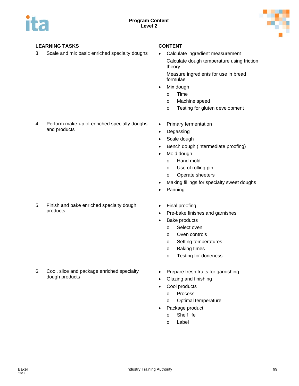

3. Scale and mix basic enriched specialty doughs • Calculate ingredient measurement

Calculate dough temperature using friction theory

Measure ingredients for use in bread formulae

- Mix dough
	- o Time
	- o Machine speed
	- o Testing for gluten development
- 4. Perform make-up of enriched specialty doughs and products

5. Finish and bake enriched specialty dough products

6. Cool, slice and package enriched specialty

dough products

- Primary fermentation
- Degassing
- Scale dough
- Bench dough (intermediate proofing)
- Mold dough
	- o Hand mold
	- o Use of rolling pin
	- o Operate sheeters
- Making fillings for specialty sweet doughs
- Panning
- Final proofing
- Pre-bake finishes and garnishes
- Bake products
	- o Select oven
	- o Oven controls
	- o Setting temperatures
	- o Baking times
	- o Testing for doneness
- Prepare fresh fruits for garnishing
- Glazing and finishing
- Cool products
	- o Process
	- o Optimal temperature
- Package product
	- o Shelf life
	- o Label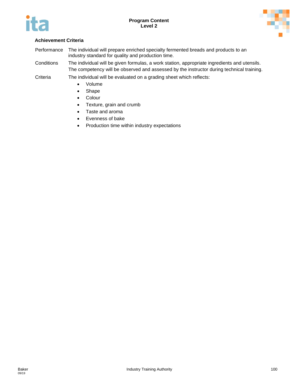



- Performance The individual will prepare enriched specialty fermented breads and products to an industry standard for quality and production time.
- Conditions The individual will be given formulas, a work station, appropriate ingredients and utensils. The competency will be observed and assessed by the instructor during technical training.
- Criteria The individual will be evaluated on a grading sheet which reflects:
	- Volume
	- Shape
	- Colour
	- Texture, grain and crumb
	- Taste and aroma
	- Evenness of bake
	- Production time within industry expectations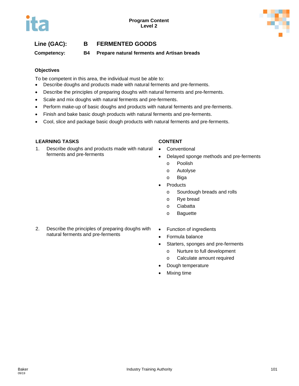# **Line (GAC): B FERMENTED GOODS**

**Competency: B4 Prepare natural ferments and Artisan breads**

### **Objectives**

To be competent in this area, the individual must be able to:

- Describe doughs and products made with natural ferments and pre-ferments.
- Describe the principles of preparing doughs with natural ferments and pre-ferments.
- Scale and mix doughs with natural ferments and pre-ferments.
- Perform make-up of basic doughs and products with natural ferments and pre-ferments.
- Finish and bake basic dough products with natural ferments and pre-ferments.
- Cool, slice and package basic dough products with natural ferments and pre-ferments.

### **LEARNING TASKS CONTENT**

- 1. Describe doughs and products made with natural ferments and pre-ferments
- Conventional
- Delayed sponge methods and pre-ferments
	- o Poolish
	- o Autolyse
	- o Biga
- **Products** 
	- o Sourdough breads and rolls
	- o Rye bread
	- o Ciabatta
	- o Baguette
- 2. Describe the principles of preparing doughs with natural ferments and pre-ferments
- Function of ingredients
- Formula balance
- Starters, sponges and pre-ferments
	- o Nurture to full development
	- o Calculate amount required
- Dough temperature
- Mixing time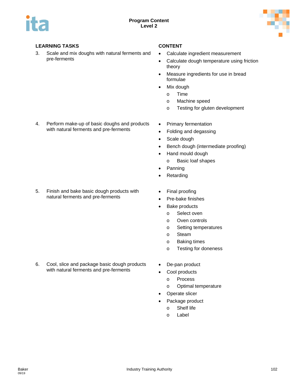

3. Scale and mix doughs with natural ferments and pre-ferments

- Calculate ingredient measurement
- Calculate dough temperature using friction theory
- Measure ingredients for use in bread formulae
- Mix dough
	- o Time
	- o Machine speed
	- o Testing for gluten development
- 4. Perform make-up of basic doughs and products with natural ferments and pre-ferments

- 5. Finish and bake basic dough products with natural ferments and pre-ferments
- 

6. Cool, slice and package basic dough products with natural ferments and pre-ferments

- Primary fermentation
- Folding and degassing
- Scale dough
- Bench dough (intermediate proofing)
- Hand mould dough
	- o Basic loaf shapes
- Panning
- Retarding
- Final proofing
- Pre-bake finishes
- Bake products
	- o Select oven
	- o Oven controls
	- o Setting temperatures
	- o Steam
	- o Baking times
	- o Testing for doneness
- De-pan product
- Cool products
	- o Process
	- o Optimal temperature
- Operate slicer
- Package product
	- o Shelf life
	- o Label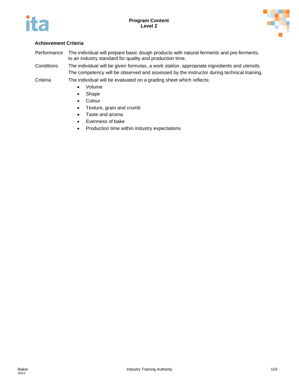



# **Achievement Criteria**

Performance The individual will prepare basic dough products with natural ferments and pre-ferments, to an industry standard for quality and production time.

Conditions The individual will be given formulas, a work station, appropriate ingredients and utensils. The competency will be observed and assessed by the instructor during technical training.

- Volume
- Shape
- Colour
- Texture, grain and crumb
- Taste and aroma
- Evenness of bake
- Production time within industry expectations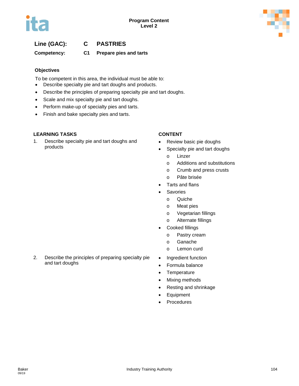

# **Line (GAC): C PASTRIES**

**Competency: C1 Prepare pies and tarts**

# **Objectives**

To be competent in this area, the individual must be able to:

- Describe specialty pie and tart doughs and products.
- Describe the principles of preparing specialty pie and tart doughs.
- Scale and mix specialty pie and tart doughs.
- Perform make-up of specialty pies and tarts.
- Finish and bake specialty pies and tarts.

# **LEARNING TASKS CONTENT**

1. Describe specialty pie and tart doughs and products

- Review basic pie doughs
- Specialty pie and tart doughs
	- o Linzer
	- o Additions and substitutions
	- o Crumb and press crusts
	- o Pâte brisée
- Tarts and flans
- **Savories** 
	- o Quiche
	- o Meat pies
	- o Vegetarian fillings
	- o Alternate fillings
- Cooked fillings
	- o Pastry cream
	- o Ganache
	- o Lemon curd
- Ingredient function
- Formula balance
- Temperature
- Mixing methods
- Resting and shrinkage
- Equipment
- **Procedures**

2. Describe the principles of preparing specialty pie and tart doughs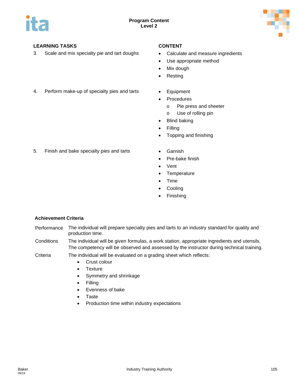

3. Scale and mix specialty pie and tart doughs • Calculate and measure ingredients

- 
- Use appropriate method
- Mix dough
- **Resting**
- 4. Perform make-up of specialty pies and tarts Equipment
	-
	- Procedures
		- o Pie press and sheeter
		- o Use of rolling pin
	- **Blind baking**
	- Filling
	- Topping and finishing
- 5. Finish and bake specialty pies and tarts Garnish
	-
	- Pre-bake finish
	- Vent
	- Temperature
	- Time
	- Cooling
	- **Finishing**

- Performance The individual will prepare specialty pies and tarts to an industry standard for quality and production time.
- Conditions The individual will be given formulas, a work station, appropriate ingredients and utensils. The competency will be observed and assessed by the instructor during technical training.
- Criteria The individual will be evaluated on a grading sheet which reflects:
	- Crust colour
	- **Texture**
	- Symmetry and shrinkage
	- Filling
	- Evenness of bake
	- Taste
	- Production time within industry expectations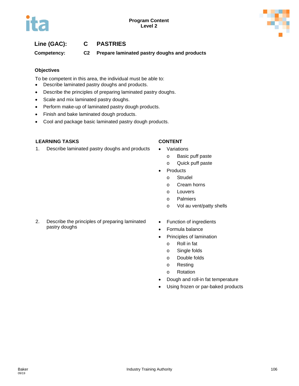# **Line (GAC): C PASTRIES**

**Competency: C2 Prepare laminated pastry doughs and products**

# **Objectives**

To be competent in this area, the individual must be able to:

- Describe laminated pastry doughs and products.
- Describe the principles of preparing laminated pastry doughs.
- Scale and mix laminated pastry doughs.
- Perform make-up of laminated pastry dough products.
- Finish and bake laminated dough products.
- Cool and package basic laminated pastry dough products.

### **LEARNING TASKS CONTENT**

- 1. Describe laminated pastry doughs and products Variations
	- o Basic puff paste
	- o Quick puff paste
	- Products
		- o Strudel
		- o Cream horns
		- o Louvers
		- o Palmiers
		- o Vol au vent/patty shells
- 2. Describe the principles of preparing laminated pastry doughs
- Function of ingredients
- Formula balance
- Principles of lamination
	- o Roll in fat
	- o Single folds
	- o Double folds
	- o Resting
	- o Rotation
- Dough and roll-in fat temperature
- Using frozen or par-baked products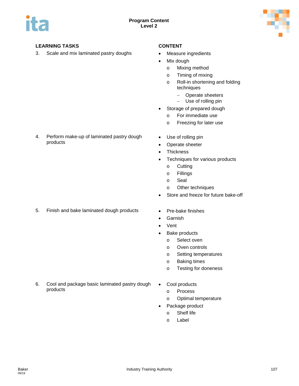

products

3. Scale and mix laminated pastry doughs • Measure ingredients

- 
- Mix dough
	- o Mixing method
	- o Timing of mixing
	- o Roll-in shortening and folding techniques
		- − Operate sheeters
		- − Use of rolling pin
- Storage of prepared dough
	- o For immediate use
	- o Freezing for later use
- Use of rolling pin
- Operate sheeter
- Thickness
- Techniques for various products
	- o Cutting
	- o Fillings
	- o Seal
	- o Other techniques
- Store and freeze for future bake-off
- 5. Finish and bake laminated dough products Pre-bake finishes

4. Perform make-up of laminated pastry dough

- 
- Garnish
- Vent
- Bake products
	- o Select oven
	- o Oven controls
	- o Setting temperatures
	- o Baking times
	- o Testing for doneness
- 6. Cool and package basic laminated pastry dough products
- Cool products
	- o Process
	- o Optimal temperature
- Package product
	- o Shelf life
	- o Label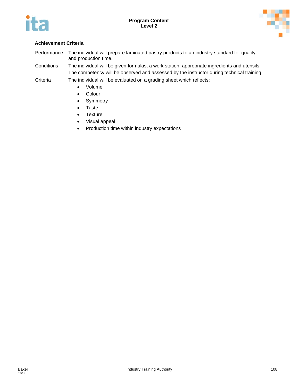



### **Achievement Criteria**

Performance The individual will prepare laminated pastry products to an industry standard for quality and production time.

Conditions The individual will be given formulas, a work station, appropriate ingredients and utensils. The competency will be observed and assessed by the instructor during technical training.

Criteria The individual will be evaluated on a grading sheet which reflects:

- Volume
- Colour
- Symmetry
- Taste
- Texture
- Visual appeal
- Production time within industry expectations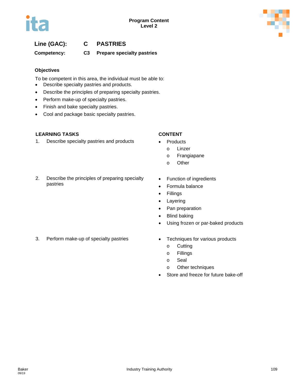

# **Line (GAC): C PASTRIES**

### **Competency: C3 Prepare specialty pastries**

#### **Objectives**

To be competent in this area, the individual must be able to:

- Describe specialty pastries and products.
- Describe the principles of preparing specialty pastries.
- Perform make-up of specialty pastries.
- Finish and bake specialty pastries.
- Cool and package basic specialty pastries.

#### **LEARNING TASKS CONTENT**

1. Describe specialty pastries and products • Products

#### 2. Describe the principles of preparing specialty pastries

- - o Linzer
	- o Frangiapane
	- o Other
- Function of ingredients
- Formula balance
- Fillings
- Layering
- Pan preparation
- Blind baking
- Using frozen or par-baked products
- 3. Perform make-up of specialty pastries Techniques for various products
	- - o Cutting
		- o Fillings
		- o Seal
		- o Other techniques
	- Store and freeze for future bake-off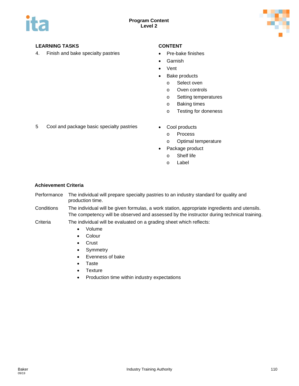

4. Finish and bake specialty pastries • Pre-bake finishes

- 
- Garnish
- Vent
- Bake products
	- o Select oven
	- o Oven controls
	- o Setting temperatures
	- o Baking times
	- o Testing for doneness
- 5 Cool and package basic specialty pastries Cool products
	- - o Process
		- o Optimal temperature
	- Package product
		- o Shelf life
		- o Label

- Performance The individual will prepare specialty pastries to an industry standard for quality and production time.
- Conditions The individual will be given formulas, a work station, appropriate ingredients and utensils. The competency will be observed and assessed by the instructor during technical training.
- Criteria The individual will be evaluated on a grading sheet which reflects:
	- Volume
	- Colour
	- Crust
	- Symmetry
	- Evenness of bake
	- Taste
	- Texture
	- Production time within industry expectations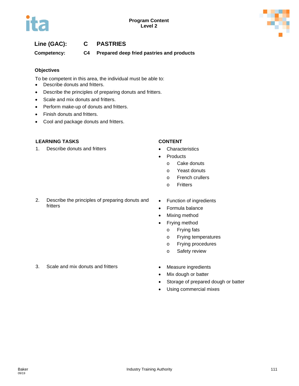

# **Line (GAC): C PASTRIES**

**Competency: C4 Prepared deep fried pastries and products**

### **Objectives**

To be competent in this area, the individual must be able to:

- Describe donuts and fritters.
- Describe the principles of preparing donuts and fritters.
- Scale and mix donuts and fritters.
- Perform make-up of donuts and fritters.
- Finish donuts and fritters.
- Cool and package donuts and fritters.

### **LEARNING TASKS CONTENT**

1. Describe donuts and fritters **•** Characteristics

- 
- **Products** 
	- o Cake donuts
	- o Yeast donuts
	- o French crullers
	- o Fritters
- 2. Describe the principles of preparing donuts and fritters
- Function of ingredients
- Formula balance
- Mixing method
- Frying method
	- o Frying fats
	- o Frying temperatures
	- o Frying procedures
	- o Safety review
- 3. Scale and mix donuts and fritters Measure ingredients
- - Mix dough or batter
	- Storage of prepared dough or batter
	- Using commercial mixes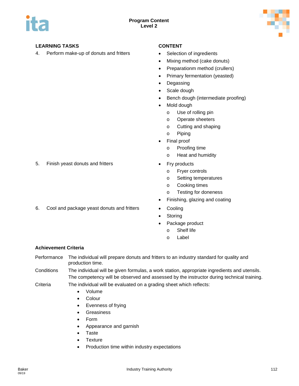

4. Perform make-up of donuts and fritters • Selection of ingredients

- 
- Mixing method (cake donuts)
- Preparationm method (crullers)
- Primary fermentation (yeasted)
- Degassing
- Scale dough
- Bench dough (intermediate proofing)
- Mold dough
	- o Use of rolling pin
	- o Operate sheeters
	- o Cutting and shaping
	- o Piping
- Final proof
	- o Proofing time
	- o Heat and humidity
- - o Fryer controls
	- o Setting temperatures
	- o Cooking times
	- o Testing for doneness
- Finishing, glazing and coating
- 6. Cool and package yeast donuts and fritters Cooling
	- **Storing**
	- Package product
		- o Shelf life
		- o Label

### **Achievement Criteria**

Performance The individual will prepare donuts and fritters to an industry standard for quality and production time.

Conditions The individual will be given formulas, a work station, appropriate ingredients and utensils. The competency will be observed and assessed by the instructor during technical training.

Criteria The individual will be evaluated on a grading sheet which reflects:

- Volume
- **Colour**
- Evenness of frying
- Greasiness
- Form
- Appearance and garnish
- Taste
- Texture
- Production time within industry expectations

5. Finish yeast donuts and fritters **•** Fry products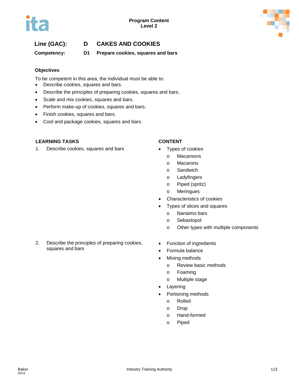# **Line (GAC): D CAKES AND COOKIES**

**Competency: D1 Prepare cookies, squares and bars**

### **Objectives**

To be competent in this area, the individual must be able to:

- Describe cookies, squares and bars.
- Describe the principles of preparing cookies, squares and bars.
- Scale and mix cookies, squares and bars.
- Perform make-up of cookies, squares and bars.
- Finish cookies, squares and bars.
- Cool and package cookies, squares and bars.

### **LEARNING TASKS CONTENT**

1. Describe cookies, squares and bars • Types of cookies

- - o Macaroons
	- o Macarons
	- o Sandwich
	- o Ladyfingers
	- o Piped (spritz)
	- o Meringues
- Characteristics of cookies
- Types of slices and squares
	- o Nanaimo bars
	- o Sebastopol
	- o Other types with multiple components
- 2. Describe the principles of preparing cookies, squares and bars
- Function of ingredients
- Formula balance
- Mixing methods
	- o Review basic methods
	- o Foaming
	- o Multiple stage
- **Layering**
- Portioning methods
	- o Rolled
	- o Drop
	- o Hand-formed
	- o Piped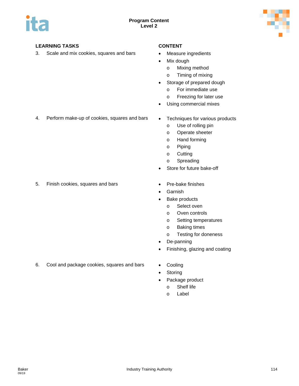

3. Scale and mix cookies, squares and bars • Measure ingredients

- 
- Mix dough
	- o Mixing method
	- o Timing of mixing
- Storage of prepared dough
	- o For immediate use
	- o Freezing for later use
- Using commercial mixes
- 4. Perform make-up of cookies, squares and bars Techniques for various products
	- - o Use of rolling pin
		- o Operate sheeter
		- o Hand forming
		- o Piping
		- o Cutting
		- o Spreading
	- Store for future bake-off
- 5. Finish cookies, squares and bars Pre-bake finishes
	-
	- **Garnish**
	- Bake products
		- o Select oven
		- o Oven controls
		- o Setting temperatures
		- o Baking times
		- o Testing for doneness
	- De-panning
	- Finishing, glazing and coating
- 6. Cool and package cookies, squares and bars Cooling
	- **Storing**
	- Package product
		- o Shelf life
		- o Label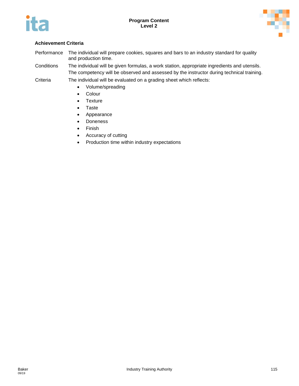



### **Achievement Criteria**

Performance The individual will prepare cookies, squares and bars to an industry standard for quality and production time.

Conditions The individual will be given formulas, a work station, appropriate ingredients and utensils. The competency will be observed and assessed by the instructor during technical training.

Criteria The individual will be evaluated on a grading sheet which reflects:

- Volume/spreading
- Colour
- Texture
- Taste
- Appearance
- Doneness
- Finish
- Accuracy of cutting
- Production time within industry expectations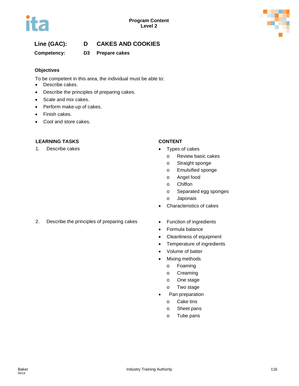



# **Line (GAC): D CAKES AND COOKIES**

**Competency: D3 Prepare cakes**

### **Objectives**

To be competent in this area, the individual must be able to:

- Describe cakes.
- Describe the principles of preparing cakes.
- Scale and mix cakes.
- Perform make-up of cakes.
- Finish cakes.
- Cool and store cakes.

#### **LEARNING TASKS CONTENT**

1. Describe cakes **•** Types of cakes

- - o Review basic cakes
	- o Straight sponge
	- o Emulsified sponge
	- o Angel food
	- o Chiffon
	- o Separated egg sponges
	- o Japonais
- Characteristics of cakes
- 2. Describe the principles of preparing cakes Function of ingredients
	-
	- Formula balance
	- Cleanliness of equipment
	- Temperature of ingredients
	- Volume of batter
	- Mixing methods
		- o Foaming
		- o Creaming
		- o One stage
		- o Two stage
	- Pan preparation
		- o Cake tins
		- o Sheet pans
		- o Tube pans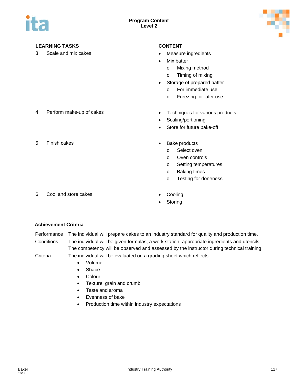

3. Scale and mix cakes **•** Measure ingredients

- 
- Mix batter
	- o Mixing method
	- o Timing of mixing
- Storage of prepared batter
	- o For immediate use
	- o Freezing for later use
- 4. Perform make-up of cakes Techniques for various products
	- Scaling/portioning
	- Store for future bake-off
- 5. Finish cakes  **Bake products** 
	- - o Select oven
		- o Oven controls
		- o Setting temperatures
		- o Baking times
		- o Testing for doneness
- 6. Cool and store cakes **•** Cooling
	-
	- **Storing**

- Performance The individual will prepare cakes to an industry standard for quality and production time. Conditions The individual will be given formulas, a work station, appropriate ingredients and utensils. The competency will be observed and assessed by the instructor during technical training.
- Criteria The individual will be evaluated on a grading sheet which reflects:
	- Volume
	- Shape
	- Colour
	- Texture, grain and crumb
	- Taste and aroma
	- Evenness of bake
	- Production time within industry expectations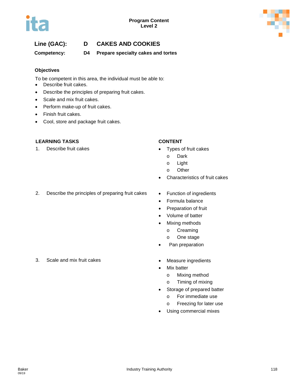

# **Line (GAC): D CAKES AND COOKIES**

**Competency: D4 Prepare specialty cakes and tortes**

#### **Objectives**

To be competent in this area, the individual must be able to:

- Describe fruit cakes.
- Describe the principles of preparing fruit cakes.
- Scale and mix fruit cakes.
- Perform make-up of fruit cakes.
- Finish fruit cakes.
- Cool, store and package fruit cakes.

#### **LEARNING TASKS CONTENT**

1. Describe fruit cakes • Types of fruit cakes

- - o Dark
	- o Light
	- o Other
- Characteristics of fruit cakes
- 2. Describe the principles of preparing fruit cakes Function of ingredients
	-
	- Formula balance
	- Preparation of fruit
	- Volume of batter
	- Mixing methods
		- o Creaming
		- o One stage
	- Pan preparation
	-
	- **Mix batter** 
		- o Mixing method
		- o Timing of mixing
	- Storage of prepared batter
		- o For immediate use
		- o Freezing for later use
	- Using commercial mixes

3. Scale and mix fruit cakes **•** Measure ingredients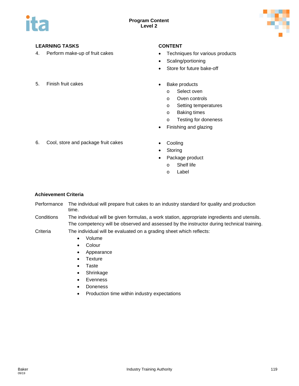

4. Perform make-up of fruit cakes • Techniques for various products

- 
- Scaling/portioning
- Store for future bake-off
- 5. Finish fruit cakes  **Bake products** 
	- - o Select oven
		- o Oven controls
		- o Setting temperatures
		- o Baking times
		- o Testing for doneness
	- Finishing and glazing
- 6. Cool, store and package fruit cakes Cooling
	-
	- **Storing**
	- Package product
		- o Shelf life
		- o Label

### **Achievement Criteria**

Performance The individual will prepare fruit cakes to an industry standard for quality and production time.

Conditions The individual will be given formulas, a work station, appropriate ingredients and utensils. The competency will be observed and assessed by the instructor during technical training.

Criteria The individual will be evaluated on a grading sheet which reflects:

- Volume
- Colour
- Appearance
- Texture
- Taste
- Shrinkage
- Evenness
- Doneness
- Production time within industry expectations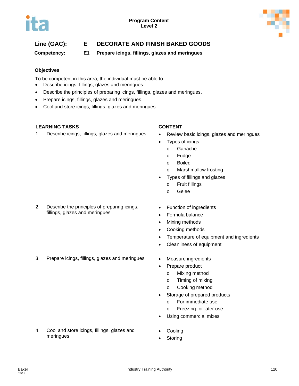

# **Line (GAC): E DECORATE AND FINISH BAKED GOODS**

**Competency: E1 Prepare icings, fillings, glazes and meringues**

### **Objectives**

To be competent in this area, the individual must be able to:

- Describe icings, fillings, glazes and meringues.
- Describe the principles of preparing icings, fillings, glazes and meringues.
- Prepare icings, fillings, glazes and meringues.
- Cool and store icings, fillings, glazes and meringues.

### **LEARNING TASKS CONTENT**

1. Describe icings, fillings, glazes and meringues • Review basic icings, glazes and meringues

- 
- Types of icings
	- o Ganache
	- o Fudge
	- o Boiled
	- o Marshmallow frosting
- Types of fillings and glazes
	- o Fruit fillings
	- o Gelee
- 2. Describe the principles of preparing icings, fillings, glazes and meringues
- Function of ingredients
- Formula balance
- Mixing methods
- Cooking methods
- Temperature of equipment and ingredients
- Cleanliness of equipment
- 3. Prepare icings, fillings, glazes and meringues Measure ingredients
	- Prepare product
		- o Mixing method
		- o Timing of mixing
		- o Cooking method
	- Storage of prepared products
		- o For immediate use
		- o Freezing for later use
		- Using commercial mixes
- 4. Cool and store icings, fillings, glazes and meringues
- **Cooling**
- **Storing**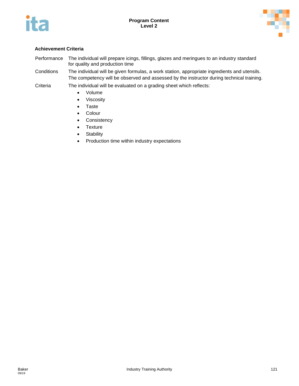



#### **Achievement Criteria**

- Performance The individual will prepare icings, fillings, glazes and meringues to an industry standard for quality and production time
- Conditions The individual will be given formulas, a work station, appropriate ingredients and utensils. The competency will be observed and assessed by the instructor during technical training.

Criteria The individual will be evaluated on a grading sheet which reflects:

- Volume
- Viscosity
- Taste
- Colour
- Consistency
- Texture
- Stability
- Production time within industry expectations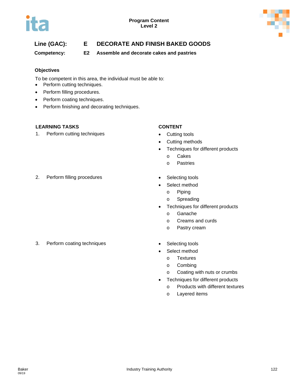

# **Line (GAC): E DECORATE AND FINISH BAKED GOODS**

**Competency: E2 Assemble and decorate cakes and pastries**

### **Objectives**

To be competent in this area, the individual must be able to:

- Perform cutting techniques.
- Perform filling procedures.
- Perform coating techniques.
- Perform finishing and decorating techniques.

### **LEARNING TASKS CONTENT**

1. Perform cutting techniques **•** Cutting tools

- 
- Cutting methods
- Techniques for different products
	- o Cakes
	- o Pastries
- 2. Perform filling procedures **•** Selecting tools
- - Select method
		- o Piping
		- o Spreading
	- Techniques for different products
		- o Ganache
		- o Creams and curds
		- o Pastry cream
- 3. Perform coating techniques **•** Selecting tools
	-
	- Select method
		- o Textures
		- o Combing
		- o Coating with nuts or crumbs
	- Techniques for different products
		- o Products with different textures
		- o Layered items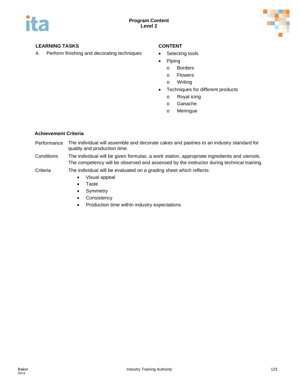

4. Perform finishing and decorating techniques • Selecting tools

- 
- Piping
	- o Borders
	- o Flowers
	- o Writing
- Techniques for different products
	- o Royal icing
	- o Ganache
	- o Meringue

#### **Achievement Criteria**

Performance The individual will assemble and decorate cakes and pastries to an industry standard for quality and production time.

- Conditions The individual will be given formulas, a work station, appropriate ingredients and utensils. The competency will be observed and assessed by the instructor during technical training.
- Criteria The individual will be evaluated on a grading sheet which reflects:
	- Visual appeal
	- Taste
	- Symmetry
	- Consistency
	- Production time within industry expectations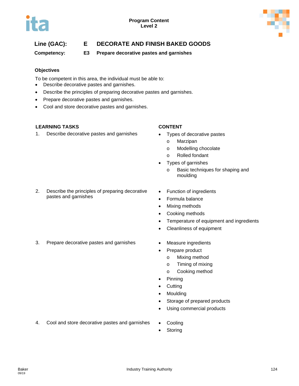

# **Line (GAC): E DECORATE AND FINISH BAKED GOODS**

**Competency: E3 Prepare decorative pastes and garnishes**

### **Objectives**

To be competent in this area, the individual must be able to:

- Describe decorative pastes and garnishes.
- Describe the principles of preparing decorative pastes and garnishes.
- Prepare decorative pastes and garnishes.
- Cool and store decorative pastes and garnishes.

### **LEARNING TASKS CONTENT**

1. Describe decorative pastes and garnishes • Types of decorative pastes

- - o Marzipan
	- o Modelling chocolate
	- o Rolled fondant
- Types of garnishes
	- o Basic techniques for shaping and moulding
- 2. Describe the principles of preparing decorative pastes and garnishes
- Function of ingredients
- Formula balance
- Mixing methods
- Cooking methods
- Temperature of equipment and ingredients
- Cleanliness of equipment
- 3. Prepare decorative pastes and garnishes Measure ingredients
	-
	- Prepare product
		- o Mixing method
		- o Timing of mixing
		- o Cooking method
	- Pinning
	- Cutting
	- Moulding
	- Storage of prepared products
	- Using commercial products
- 4. Cool and store decorative pastes and garnishes Cooling
	-
	- **Storing**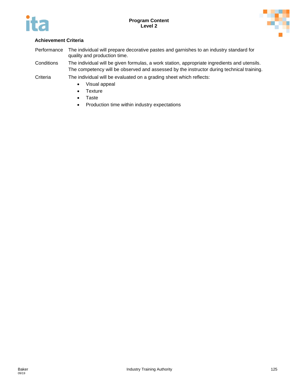



- Performance The individual will prepare decorative pastes and garnishes to an industry standard for quality and production time.
- Conditions The individual will be given formulas, a work station, appropriate ingredients and utensils. The competency will be observed and assessed by the instructor during technical training.
- Criteria The individual will be evaluated on a grading sheet which reflects:
	- Visual appeal
	- Texture
	- Taste
	- Production time within industry expectations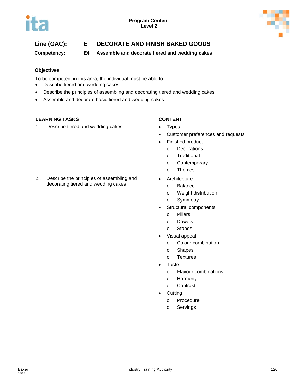

# **Line (GAC): E DECORATE AND FINISH BAKED GOODS**

**Competency: E4 Assemble and decorate tiered and wedding cakes**

### **Objectives**

To be competent in this area, the individual must be able to:

- Describe tiered and wedding cakes.
- Describe the principles of assembling and decorating tiered and wedding cakes.
- Assemble and decorate basic tiered and wedding cakes.

### **LEARNING TASKS CONTENT**

1. Describe tiered and wedding cakes • Types

2.. Describe the principles of assembling and decorating tiered and wedding cakes

- 
- Customer preferences and requests
- Finished product
	- o Decorations
	- o Traditional
	- o Contemporary
	- o Themes
- Architecture
	- o Balance
	- o Weight distribution
	- o Symmetry
- Structural components
	- o Pillars
	- o Dowels
	- o Stands
- Visual appeal
	- o Colour combination
	- o Shapes
	- o Textures
- Taste
	- o Flavour combinations
	- o Harmony
	- o Contrast
- Cutting
	- o Procedure
	- o Servings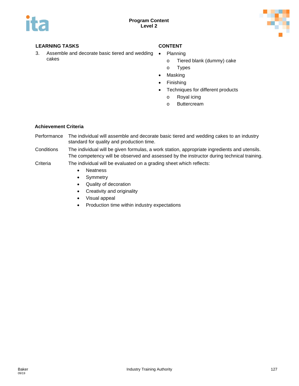

3. Assemble and decorate basic tiered and wedding cakes

- Planning
	- o Tiered blank (dummy) cake
	- o Types
- Masking
- Finishing
- Techniques for different products
	- o Royal icing
	- o Buttercream

#### **Achievement Criteria**

- Performance The individual will assemble and decorate basic tiered and wedding cakes to an industry standard for quality and production time.
- Conditions The individual will be given formulas, a work station, appropriate ingredients and utensils. The competency will be observed and assessed by the instructor during technical training.

#### Criteria The individual will be evaluated on a grading sheet which reflects:

- Neatness
- Symmetry
- Quality of decoration
- Creativity and originality
- Visual appeal
- Production time within industry expectations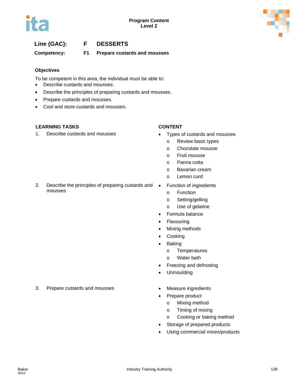



### **Line (GAC): F DESSERTS**

**Competency: F1 Prepare custards and mousses**

#### **Objectives**

To be competent in this area, the individual must be able to:

- Describe custards and mousses.
- Describe the principles of preparing custards and mousses.
- Prepare custards and mousses.
- Cool and store custards and mousses.

#### **LEARNING TASKS CONTENT**

mousses

1. Describe custards and mousses • Types of custards and mousses

- - o Review basic types
	- o Chocolate mousse
	- o Fruit mousse
	- o Panna cotta
	- o Bavarian cream
	- o Lemon curd
- 2. Describe the principles of preparing custards and • Function of ingredients
	- o Function
	- o Setting/gelling
	- o Use of gelatine
	- Formula balance
	- Flavouring
	- Mixing methods
	- **Cooking**
	- Baking
		- o Temperatures
		- o Water bath
	- Freezing and defrosting
	- Unmoulding
	-
	- Prepare product
		- o Mixing method
		- o Timing of mixing
		- o Cooking or baking method
	- Storage of prepared products
	- Using commercial mixes/products

#### 3. Prepare custards and mousses • Measure ingredients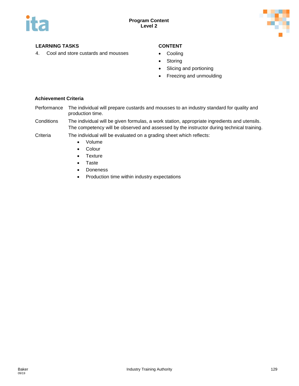

4. Cool and store custards and mousses • Cooling

- 
- Storing
- Slicing and portioning
- Freezing and unmoulding

- Performance The individual will prepare custards and mousses to an industry standard for quality and production time.
- Conditions The individual will be given formulas, a work station, appropriate ingredients and utensils. The competency will be observed and assessed by the instructor during technical training.
- Criteria The individual will be evaluated on a grading sheet which reflects:
	- Volume
		- Colour
		- Texture
		- Taste
		- Doneness
		- Production time within industry expectations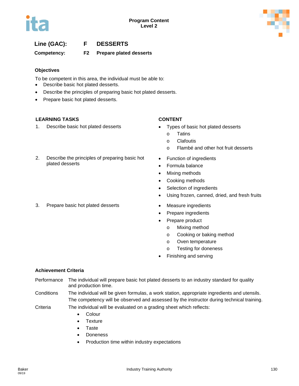

# **Line (GAC): F DESSERTS**

**Competency: F2 Prepare plated desserts**

#### **Objectives**

To be competent in this area, the individual must be able to:

- Describe basic hot plated desserts.
- Describe the principles of preparing basic hot plated desserts.
- Prepare basic hot plated desserts.

### **LEARNING TASKS CONTENT**

plated desserts

1. Describe basic hot plated desserts • Types of basic hot plated desserts

2. Describe the principles of preparing basic hot

- - o Tatins
	- o Clafoutis
	- o Flambé and other hot fruit desserts
- Function of ingredients
- Formula balance
- Mixing methods
- Cooking methods
- Selection of ingredients
- Using frozen, canned, dried, and fresh fruits
- 
- Prepare ingredients
- Prepare product
	- o Mixing method
	- o Cooking or baking method
	- o Oven temperature
	- o Testing for doneness
- Finishing and serving

### **Achievement Criteria**

- Performance The individual will prepare basic hot plated desserts to an industry standard for quality and production time.
- Conditions The individual will be given formulas, a work station, appropriate ingredients and utensils. The competency will be observed and assessed by the instructor during technical training.
- Criteria The individual will be evaluated on a grading sheet which reflects:
	- Colour
	- Texture
	- Taste
	- Doneness
	- Production time within industry expectations

3. Prepare basic hot plated desserts **•** Measure ingredients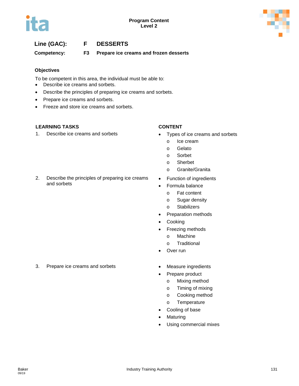# **Line (GAC): F DESSERTS**

**Competency: F3 Prepare ice creams and frozen desserts**

#### **Objectives**

To be competent in this area, the individual must be able to:

- Describe ice creams and sorbets.
- Describe the principles of preparing ice creams and sorbets.
- Prepare ice creams and sorbets.
- Freeze and store ice creams and sorbets.

2. Describe the principles of preparing ice creams

### **LEARNING TASKS CONTENT**

and sorbets

1. Describe ice creams and sorbets • Types of ice creams and sorbets

- - o Ice cream
	- o Gelato
	- o Sorbet
	- o Sherbet
	- o Granite/Granita
- Function of ingredients
- Formula balance
	- o Fat content
	- o Sugar density
	- o Stabilizers
- Preparation methods
- Cooking
- Freezing methods
	- o Machine
	- o Traditional
- Over run
- 3. Prepare ice creams and sorbets **•** Measure ingredients
	-
	- Prepare product
		- o Mixing method
		- o Timing of mixing
		- o Cooking method
		- o Temperature
	- Cooling of base
	- Maturing
	- Using commercial mixes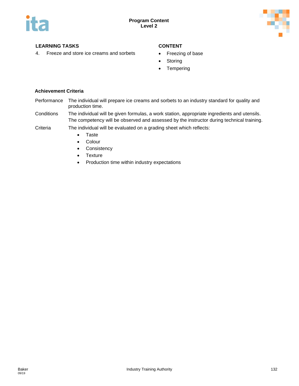

4. Freeze and store ice creams and sorbets • Freezing of base

- 
- Storing
- Tempering

- Performance The individual will prepare ice creams and sorbets to an industry standard for quality and production time.
- Conditions The individual will be given formulas, a work station, appropriate ingredients and utensils. The competency will be observed and assessed by the instructor during technical training.
- Criteria The individual will be evaluated on a grading sheet which reflects:
	- Taste
	- Colour
	- Consistency
	- Texture
	- Production time within industry expectations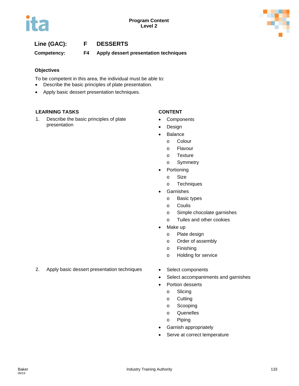# **Line (GAC): F DESSERTS**

**Competency: F4 Apply dessert presentation techniques**

#### **Objectives**

To be competent in this area, the individual must be able to:

- Describe the basic principles of plate presentation.
- Apply basic dessert presentation techniques.

#### **LEARNING TASKS CONTENT**

1. Describe the basic principles of plate presentation

- **Components**
- Design
- **Balance** 
	- o Colour
	- o Flavour
	- o Texture
	- o Symmetry
- **Portioning**
- o Size
- o Techniques
- **Garnishes** 
	- o Basic types
	- o Coulis
	- o Simple chocolate garnishes
	- o Tuiles and other cookies
- Make up
	- o Plate design
	- o Order of assembly
	- o Finishing
	- o Holding for service
- 2. Apply basic dessert presentation techniques Select components
	-
	- Select accompaniments and garnishes
	- Portion desserts
		- o Slicing
		- o Cutting
		- o Scooping
		- o Quenelles
		- o Piping
	- Garnish appropriately
	- Serve at correct temperature

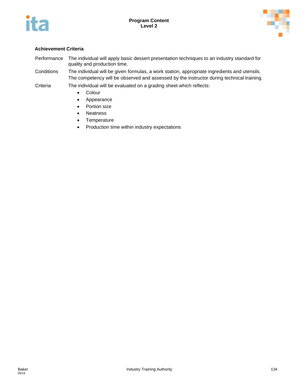



- Performance The individual will apply basic dessert presentation techniques to an industry standard for quality and production time.
- Conditions The individual will be given formulas, a work station, appropriate ingredients and utensils. The competency will be observed and assessed by the instructor during technical training.
- Criteria The individual will be evaluated on a grading sheet which reflects:
	- Colour
	- Appearance
	- Portion size
	- Neatness
	- Temperature
	- Production time within industry expectations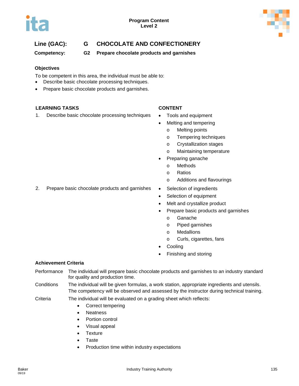

# **Line (GAC): G CHOCOLATE AND CONFECTIONERY**

**Competency: G2 Prepare chocolate products and garnishes**

### **Objectives**

To be competent in this area, the individual must be able to:

- Describe basic chocolate processing techniques.
- Prepare basic chocolate products and garnishes.

### **LEARNING TASKS CONTENT**

1. Describe basic chocolate processing techniques • Tools and equipment

- 
- Melting and tempering
	- o Melting points
	- o Tempering techniques
	- o Crystallization stages
	- o Maintaining temperature
- Preparing ganache
	- o Methods
	- o Ratios
	- o Additions and flavourings
- 2. Prepare basic chocolate products and garnishes Selection of ingredients
	- Selection of equipment
	- Melt and crystallize product
	- Prepare basic products and garnishes
		- o Ganache
		- o Piped garnishes
		- o Medallions
		- o Curls, cigarettes, fans
	- **Cooling**
	- Finishing and storing

- Performance The individual will prepare basic chocolate products and garnishes to an industry standard for quality and production time.
- Conditions The individual will be given formulas, a work station, appropriate ingredients and utensils. The competency will be observed and assessed by the instructor during technical training.
- Criteria The individual will be evaluated on a grading sheet which reflects:
	- Correct tempering
	- Neatness
	- Portion control
	- Visual appeal
	- Texture
	- Taste
	- Production time within industry expectations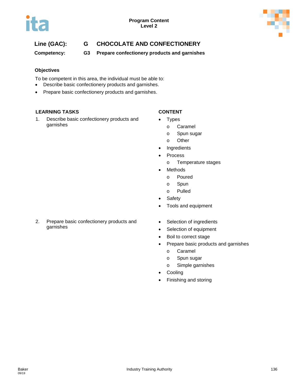

# **Line (GAC): G CHOCOLATE AND CONFECTIONERY**

**Competency: G3 Prepare confectionery products and garnishes**

### **Objectives**

To be competent in this area, the individual must be able to:

- Describe basic confectionery products and garnishes.
- Prepare basic confectionery products and garnishes.

#### **LEARNING TASKS CONTENT**

1. Describe basic confectionery products and garnishes

- **Types** 
	- o Caramel
	- o Spun sugar
	- o Other
- **Ingredients**
- **Process** 
	- o Temperature stages
- **Methods** 
	- o Poured
	- o Spun
	- o Pulled
- Safety
- Tools and equipment
- 2. Prepare basic confectionery products and garnishes
- Selection of ingredients
- Selection of equipment
- Boil to correct stage
- Prepare basic products and garnishes
	- o Caramel
	- o Spun sugar
	- o Simple garnishes
- **Cooling**
- Finishing and storing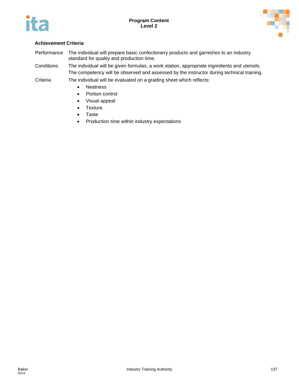



### **Achievement Criteria**

Performance The individual will prepare basic confectionery products and garnishes to an industry standard for quality and production time.

Conditions The individual will be given formulas, a work station, appropriate ingredients and utensils. The competency will be observed and assessed by the instructor during technical training.

Criteria The individual will be evaluated on a grading sheet which reflects:

- Neatness
- Portion control
- Visual appeal
- Texture
- Taste
- Production time within industry expectations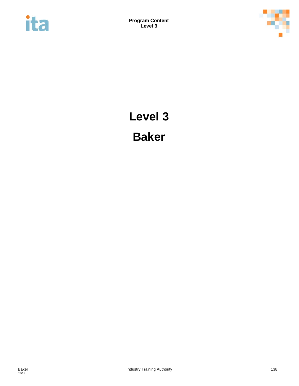



# **Level 3 Baker**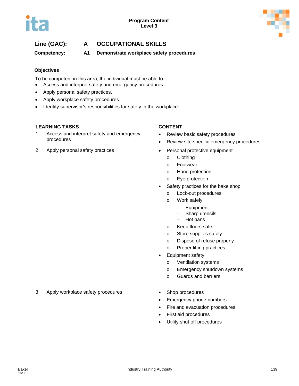

# **Line (GAC): A OCCUPATIONAL SKILLS**

**Competency: A1 Demonstrate workplace safety procedures** 

### **Objectives**

To be competent in this area, the individual must be able to:

- Access and interpret safety and emergency procedures.
- Apply personal safety practices.
- Apply workplace safety procedures.
- Identify supervisor's responsibilities for safety in the workplace.

### **LEARNING TASKS CONTENT**

- 1. Access and interpret safety and emergency procedures
- 2. Apply personal safety practices Personal protective equipment

- Review basic safety procedures
- Review site specific emergency procedures
- - o Clothing
	- o Footwear
	- o Hand protection
	- o Eye protection
- Safety practices for the bake shop
	- o Lock-out procedures
	- o Work safely
		- − Equipment
		- − Sharp utensils
		- − Hot pans
	- o Keep floors safe
	- o Store supplies safely
	- o Dispose of refuse properly
	- o Proper lifting practices
- Equipment safety
	- o Ventilation systems
	- o Emergency shutdown systems
	- o Guards and barriers
- 3. Apply workplace safety procedures Shop procedures
	-
	- Emergency phone numbers
	- Fire and evacuation procedures
	- First aid procedures
	- Utility shut off procedures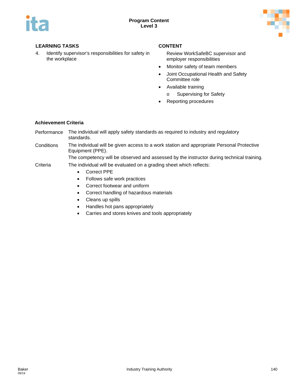

4. Identify supervisor's responsibilities for safety in the workplace

Review WorkSafeBC supervisor and employer responsibilities

- Monitor safety of team members
- Joint Occupational Health and Safety Committee role
- Available training
	- o Supervising for Safety
- Reporting procedures

#### **Achievement Criteria**

- Performance The individual will apply safety standards as required to industry and regulatory standards.
- Conditions The individual will be given access to a work station and appropriate Personal Protective Equipment (PPE).

The competency will be observed and assessed by the instructor during technical training.

- Criteria The individual will be evaluated on a grading sheet which reflects:
	- Correct PPE
	- Follows safe work practices
	- Correct footwear and uniform
	- Correct handling of hazardous materials
	- Cleans up spills
	- Handles hot pans appropriately
	- Carries and stores knives and tools appropriately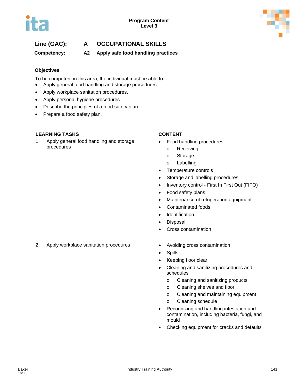# **Line (GAC): A OCCUPATIONAL SKILLS**

**Competency: A2 Apply safe food handling practices**

### **Objectives**

To be competent in this area, the individual must be able to:

- Apply general food handling and storage procedures.
- Apply workplace sanitation procedures.
- Apply personal hygiene procedures.
- Describe the principles of a food safety plan.
- Prepare a food safety plan.

### **LEARNING TASKS CONTENT**

1. Apply general food handling and storage procedures

- Food handling procedures
	- o Receiving
	- o Storage
	- o Labelling
- Temperature controls
- Storage and labelling procedures
- Inventory control First In First Out (FIFO)
- Food safety plans
- Maintenance of refrigeration equipment
- Contaminated foods
- **Identification**
- Disposal
- Cross contamination
- 2. Apply workplace sanitation procedures Avoiding cross contamination
	-
	- Spills
	- Keeping floor clear
	- Cleaning and sanitizing procedures and schedules
		- o Cleaning and sanitizing products
		- o Cleaning shelves and floor
		- o Cleaning and maintaining equipment
		- o Cleaning schedule
	- Recognizing and handling infestation and contamination, including bacteria, fungi, and mould
	- Checking equipment for cracks and defaults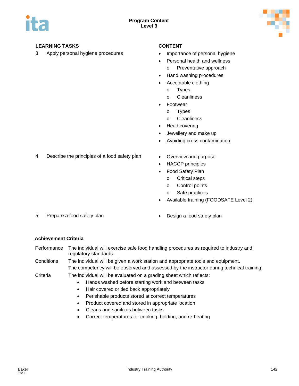

3. Apply personal hygiene procedures • Importance of personal hygiene

- 
- Personal health and wellness
	- o Preventative approach
- Hand washing procedures
- Acceptable clothing
	- o Types
	- o Cleanliness
- **Footwear** 
	- o Types
	- o Cleanliness
- Head covering
- Jewellery and make up
- Avoiding cross contamination
- 4. Describe the principles of a food safety plan Overview and purpose
	- HACCP principles
	- Food Safety Plan
		- o Critical steps
		- o Control points
		- o Safe practices
	- Available training (FOODSAFE Level 2)
- 5. Prepare a food safety plan **•** Design a food safety plan
	-

- Performance The individual will exercise safe food handling procedures as required to industry and regulatory standards.
- Conditions The individual will be given a work station and appropriate tools and equipment. The competency will be observed and assessed by the instructor during technical training.
- Criteria The individual will be evaluated on a grading sheet which reflects:
	- Hands washed before starting work and between tasks
	- Hair covered or tied back appropriately
	- Perishable products stored at correct temperatures
	- Product covered and stored in appropriate location
	- Cleans and sanitizes between tasks
	- Correct temperatures for cooking, holding, and re-heating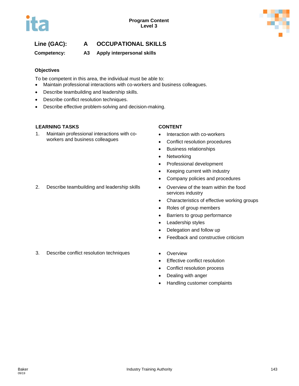

# **Line (GAC): A OCCUPATIONAL SKILLS**

**Competency: A3 Apply interpersonal skills**

### **Objectives**

To be competent in this area, the individual must be able to:

- Maintain professional interactions with co-workers and business colleagues.
- Describe teambuilding and leadership skills.
- Describe conflict resolution techniques.
- Describe effective problem-solving and decision-making.

### **LEARNING TASKS CONTENT**

1. Maintain professional interactions with coworkers and business colleagues

- Interaction with co-workers
- Conflict resolution procedures
- Business relationships
- Networking
- Professional development
- Keeping current with industry
- Company policies and procedures
- 2. Describe teambuilding and leadership skills Overview of the team within the food services industry
	- Characteristics of effective working groups
	- Roles of group members
	- Barriers to group performance
	- Leadership styles
	- Delegation and follow up
	- Feedback and constructive criticism
- 3. Describe conflict resolution techniques Overview
	-
	- Effective conflict resolution
	- Conflict resolution process
	- Dealing with anger
	- Handling customer complaints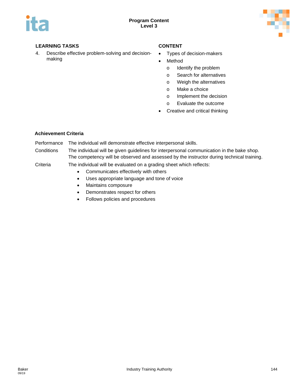

4. Describe effective problem-solving and decisionmaking

- Types of decision-makers
- Method
	- o Identify the problem
	- o Search for alternatives
	- o Weigh the alternatives
	- o Make a choice
	- o Implement the decision
	- o Evaluate the outcome
- Creative and critical thinking

### **Achievement Criteria**

Performance The individual will demonstrate effective interpersonal skills.

Conditions The individual will be given guidelines for interpersonal communication in the bake shop. The competency will be observed and assessed by the instructor during technical training.

- Communicates effectively with others
- Uses appropriate language and tone of voice
- Maintains composure
- Demonstrates respect for others
- Follows policies and procedures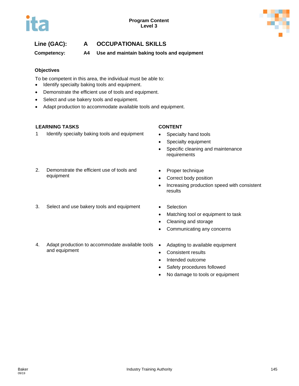

**Competency: A4 Use and maintain baking tools and equipment**

### **Objectives**

To be competent in this area, the individual must be able to:

- Identify specialty baking tools and equipment.
- Demonstrate the efficient use of tools and equipment.
- Select and use bakery tools and equipment.
- Adapt production to accommodate available tools and equipment.

### **LEARNING TASKS CONTENT**

1 Identify specialty baking tools and equipment • Specialty hand tools

- 
- Specialty equipment
- Specific cleaning and maintenance requirements
- 2. Demonstrate the efficient use of tools and equipment
- 3. Select and use bakery tools and equipment Selection
- Proper technique • Correct body position
- Increasing production speed with consistent results
	-
	- Matching tool or equipment to task
	- Cleaning and storage
	- Communicating any concerns
- 4. Adapt production to accommodate available tools and equipment
- Adapting to available equipment
- Consistent results
- Intended outcome
- Safety procedures followed
- No damage to tools or equipment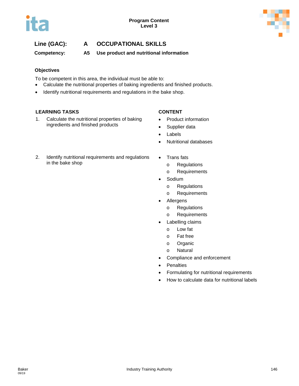

**Competency: A5 Use product and nutritional information**

### **Objectives**

To be competent in this area, the individual must be able to:

- Calculate the nutritional properties of baking ingredients and finished products.
- Identify nutritional requirements and regulations in the bake shop.

### **LEARNING TASKS CONTENT**

1. Calculate the nutritional properties of baking ingredients and finished products

- Product information
- Supplier data
- Labels
- Nutritional databases
- 2. Identify nutritional requirements and regulations in the bake shop
- Trans fats
	- o Regulations
	- o Requirements
- Sodium
	- o Regulations
	- o Requirements
- **Allergens** 
	- o Regulations
	- o Requirements
- Labelling claims
	- o Low fat
	- o Fat free
	- o Organic
	- o Natural
- Compliance and enforcement
- Penalties
- Formulating for nutritional requirements
- How to calculate data for nutritional labels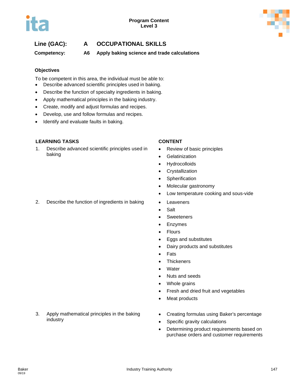**Competency: A6 Apply baking science and trade calculations**

### **Objectives**

To be competent in this area, the individual must be able to:

- Describe advanced scientific principles used in baking.
- Describe the function of specialty ingredients in baking.
- Apply mathematical principles in the baking industry.
- Create, modify and adjust formulas and recipes.
- Develop, use and follow formulas and recipes.
- Identify and evaluate faults in baking.

### **LEARNING TASKS CONTENT**

1. Describe advanced scientific principles used in baking

- Review of basic principles
- **Gelatinization**
- Hydrocolloids
- Crystallization
- Spherification
- Molecular gastronomy
- Low temperature cooking and sous-vide
- 2. Describe the function of ingredients in baking Leaveners
	- Salt
	- Sweeteners
	- Enzymes
	- Flours
	- Eggs and substitutes
	- Dairy products and substitutes
	- Fats
	- Thickeners
	- **Water**
	- Nuts and seeds
	- Whole grains
	- Fresh and dried fruit and vegetables
	- Meat products
- 3. Apply mathematical principles in the baking industry
- Creating formulas using Baker's percentage
- Specific gravity calculations
- Determining product requirements based on purchase orders and customer requirements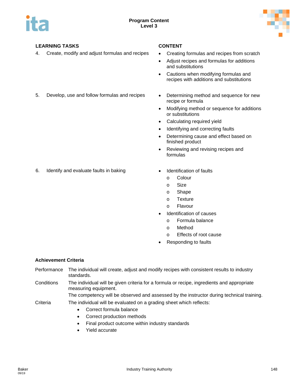

4. Create, modify and adjust formulas and recipes • Creating formulas and recipes from scratch

- 
- Adjust recipes and formulas for additions and substitutions
- Cautions when modifying formulas and recipes with additions and substitutions
- 5. Develop, use and follow formulas and recipes Determining method and sequence for new
	- recipe or formula
	- Modifying method or sequence for additions or substitutions
	- Calculating required yield
	- Identifying and correcting faults
	- Determining cause and effect based on finished product
	- Reviewing and revising recipes and formulas
- 6. Identify and evaluate faults in baking **•** Identification of faults
	- - o Colour
		- o Size
		- o Shape
		- o Texture
		- o Flavour
	- Identification of causes
		- o Formula balance
		- o Method
		- o Effects of root cause
	- Responding to faults

### **Achievement Criteria**

- Performance The individual will create, adjust and modify recipes with consistent results to industry standards.
- Conditions The individual will be given criteria for a formula or recipe, ingredients and appropriate measuring equipment.

The competency will be observed and assessed by the instructor during technical training.

- Correct formula balance
- Correct production methods
- Final product outcome within industry standards
- Yield accurate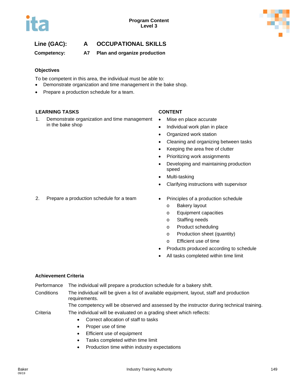

**Competency: A7 Plan and organize production**

### **Objectives**

To be competent in this area, the individual must be able to:

- Demonstrate organization and time management in the bake shop.
- Prepare a production schedule for a team.

### **LEARNING TASKS CONTENT**

1. Demonstrate organization and time management in the bake shop

- Mise en place accurate
- Individual work plan in place
- Organized work station
- Cleaning and organizing between tasks
- Keeping the area free of clutter
- Prioritizing work assignments
- Developing and maintaining production speed
- Multi-tasking
- Clarifying instructions with supervisor
- 2. Prepare a production schedule for a team Principles of a production schedule
	- - o Bakery layout
		- o Equipment capacities
		- o Staffing needs
		- o Product scheduling
		- o Production sheet (quantity)
		- o Efficient use of time
	- Products produced according to schedule
	- All tasks completed within time limit

### **Achievement Criteria**

- Performance The individual will prepare a production schedule for a bakery shift.
- Conditions The individual will be given a list of available equipment, layout, staff and production requirements.

The competency will be observed and assessed by the instructor during technical training.

- Correct allocation of staff to tasks
- Proper use of time
- Efficient use of equipment
- Tasks completed within time limit
- Production time within industry expectations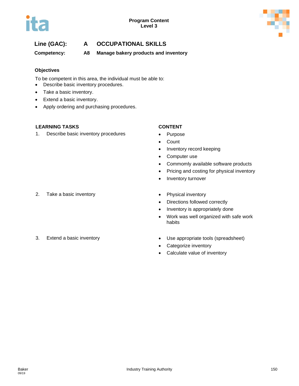

**Competency: A8 Manage bakery products and inventory**

### **Objectives**

To be competent in this area, the individual must be able to:

- Describe basic inventory procedures.
- Take a basic inventory.
- Extend a basic inventory.
- Apply ordering and purchasing procedures.

### **LEARNING TASKS CONTENT**

1. Describe basic inventory procedures • Purpose

- 
- Count
- Inventory record keeping
- Computer use
- Commomly available software products
- Pricing and costing for physical inventory
- Inventory turnover
- 2. Take a basic inventory **Example 2. Physical inventory**
- - Directions followed correctly
	- Inventory is appropriately done
	- Work was well organized with safe work habits

- 
- 3. Extend a basic inventory extending the Use appropriate tools (spreadsheet)
	- Categorize inventory
	- Calculate value of inventory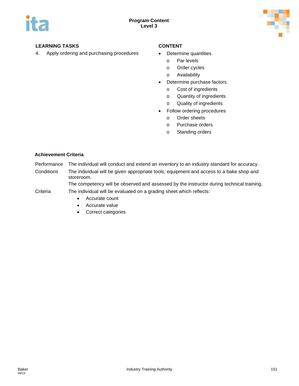

4. Apply ordering and purchasing procedures • Determine quantities

- - o Par levels
	- o Order cycles
	- o Availability
- Determine purchase factors
	- o Cost of ingredients
	- o Quantity of ingredients
	- o Quality of ingredients
- Follow ordering procedures
	- o Order sheets
	- o Purchase orders
	- o Standing orders

### **Achievement Criteria**

- Performance The individual will conduct and extend an inventory to an industry standard for accuracy.
- Conditions The individual will be given appropriate tools, equipment and access to a bake shop and storeroom.

The competency will be observed and assessed by the instructor during technical training. Criteria The individual will be evaluated on a grading sheet which reflects:

- Accurate count
- Accurate value
- Correct categories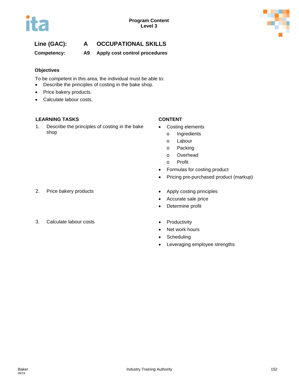

**Competency: A9 Apply cost control procedures**

### **Objectives**

To be competent in this area, the individual must be able to:

- Describe the principles of costing in the bake shop.
- Price bakery products.
- Calculate labour costs.

### **LEARNING TASKS CONTENT**

1. Describe the principles of costing in the bake shop

- Costing elements
	- o Ingredients
	- o Labour
	- o Packing
	- o Overhead
	- o Profit
- Formulas for costing product
- Pricing pre-purchased product (markup)
- 2. Price bakery products **•** Apply costing principles
	- Accurate sale price
	- Determine profit
- 3. Calculate labour costs **•** Productivity
- - Net work hours
	- Scheduling
	- Leveraging employee strengths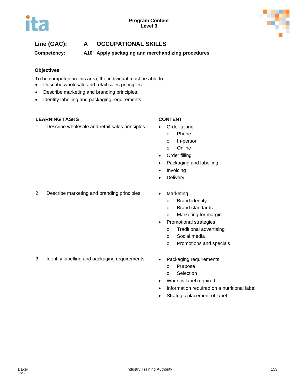

**Competency: A10 Apply packaging and merchandizing procedures**

### **Objectives**

To be competent in this area, the individual must be able to:

- Describe wholesale and retail sales principles.
- Describe marketing and branding principles.
- Identify labelling and packaging requirements.

### **LEARNING TASKS CONTENT**

1. Describe wholesale and retail sales principles • Order taking

- 
- o Phone
- o In-person
- o Online
- Order filling
- Packaging and labelling
- Invoicing
- **Delivery**
- 2. Describe marketing and branding principles Marketing
	- - o Brand identity
		- o Brand standards
		- o Marketing for margin
	- Promotional strategies
		- o Traditional advertising
		- o Social media
		- o Promotions and specials
- 3. Identify labelling and packaging requirements Packaging requirements
	- - o Purpose
		- o Selection
	- When is label required
	- Information required on a nutritional label
	- Strategic placement of label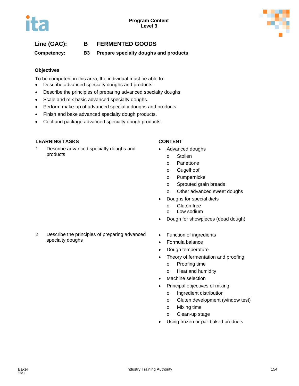## **Line (GAC): B FERMENTED GOODS**

**Competency: B3 Prepare specialty doughs and products**

### **Objectives**

To be competent in this area, the individual must be able to:

- Describe advanced specialty doughs and products.
- Describe the principles of preparing advanced specialty doughs.
- Scale and mix basic advanced specialty doughs.
- Perform make-up of advanced specialty doughs and products.
- Finish and bake advanced specialty dough products.
- Cool and package advanced specialty dough products.

### **LEARNING TASKS CONTENT**

1. Describe advanced specialty doughs and products

- Advanced doughs
	- o Stollen
	- o Panettone
	- o Gugelhopf
	- o Pumpernickel
	- o Sprouted grain breads
	- o Other advanced sweet doughs
- Doughs for special diets
	- o Gluten free
	- o Low sodium
- Dough for showpieces (dead dough)
- 2. Describe the principles of preparing advanced specialty doughs
- Function of ingredients
- Formula balance
- Dough temperature
- Theory of fermentation and proofing
	- o Proofing time
	- o Heat and humidity
- Machine selection
- Principal objectives of mixing
	- o Ingredient distribution
	- o Gluten development (window test)
	- o Mixing time
	- o Clean-up stage
- Using frozen or par-baked products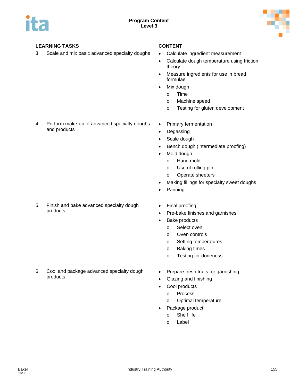

3. Scale and mix basic advanced specialty doughs • Calculate ingredient measurement

- 
- Calculate dough temperature using friction theory
- Measure ingredients for use in bread formulae
- Mix dough
	- o Time
	- o Machine speed
	- o Testing for gluten development
- 4. Perform make-up of advanced specialty doughs and products

5. Finish and bake advanced specialty dough products

- Primary fermentation
- Degassing
- Scale dough
- Bench dough (intermediate proofing)
- Mold dough
	- o Hand mold
	- o Use of rolling pin
	- o Operate sheeters
- Making fillings for specialty sweet doughs
- Panning
- Final proofing
- Pre-bake finishes and garnishes
- Bake products
	- o Select oven
	- o Oven controls
	- o Setting temperatures
	- o Baking times
	- o Testing for doneness
- 6. Cool and package advanced specialty dough products
	- Prepare fresh fruits for garnishing
	- Glazing and finishing
	- Cool products
		- o Process
		- o Optimal temperature
	- Package product
		- o Shelf life
		- o Label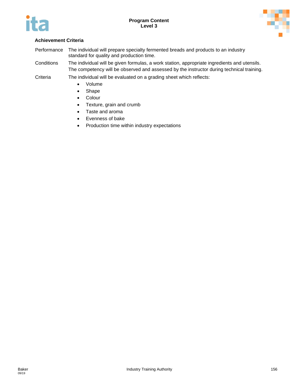



### **Achievement Criteria**

- Performance The individual will prepare specialty fermented breads and products to an industry standard for quality and production time.
- Conditions The individual will be given formulas, a work station, appropriate ingredients and utensils. The competency will be observed and assessed by the instructor during technical training.
- Criteria The individual will be evaluated on a grading sheet which reflects:
	- Volume
	- Shape
	- Colour
	- Texture, grain and crumb
	- Taste and aroma
	- Evenness of bake
	- Production time within industry expectations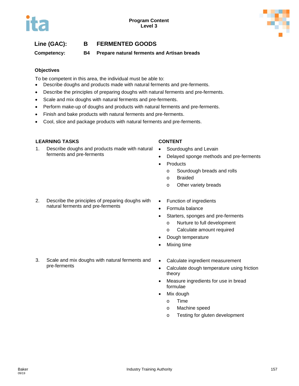## **Line (GAC): B FERMENTED GOODS**

**Competency: B4 Prepare natural ferments and Artisan breads**

### **Objectives**

To be competent in this area, the individual must be able to:

- Describe doughs and products made with natural ferments and pre-ferments.
- Describe the principles of preparing doughs with natural ferments and pre-ferments.
- Scale and mix doughs with natural ferments and pre-ferments.
- Perform make-up of doughs and products with natural ferments and pre-ferments.
- Finish and bake products with natural ferments and pre-ferments.
- Cool, slice and package products with natural ferments and pre-ferments.

### **LEARNING TASKS CONTENT**

1. Describe doughs and products made with natural ferments and pre-ferments

- Sourdoughs and Levain
- Delayed sponge methods and pre-ferments
- **Products** 
	- o Sourdough breads and rolls
	- o Braided
	- o Other variety breads
- 2. Describe the principles of preparing doughs with natural ferments and pre-ferments
- Function of ingredients
- Formula balance
- Starters, sponges and pre-ferments
	- o Nurture to full development
	- o Calculate amount required
- Dough temperature
- Mixing time
- 3. Scale and mix doughs with natural ferments and pre-ferments
- Calculate ingredient measurement
- Calculate dough temperature using friction theory
- Measure ingredients for use in bread formulae
- Mix dough
	- o Time
	- o Machine speed
	- o Testing for gluten development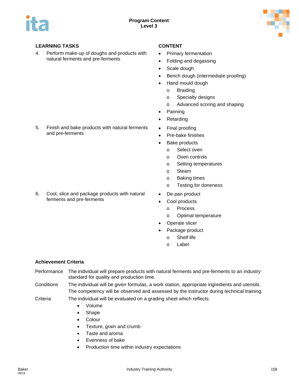

and pre-ferments

4. Perform make-up of doughs and products with natural ferments and pre-ferments

5. Finish and bake products with natural ferments

- Primary fermentation
- Folding and degassing
- Scale dough
- Bench dough (intermediate proofing)
- Hand mould dough
	- o Braiding
	- o Specialty designs
	- o Advanced scoring and shaping
- Panning
- **Retarding**
- Final proofing
- Pre-bake finishes
- Bake products
	- o Select oven
	- o Oven controls
	- o Setting temperatures
	- o Steam
	- o Baking times
	- o Testing for doneness
- De-pan product
- Cool products
	- o Process
	- o Optimal temperature
- Operate slicer
- Package product
	- o Shelf life
	- o Label

### **Achievement Criteria**

- Performance The individual will prepare products with natural ferments and pre-ferments to an industry standard for quality and production time.
- Conditions The individual will be given formulas, a work station, appropriate ingredients and utensils. The competency will be observed and assessed by the instructor during technical training.
- Criteria The individual will be evaluated on a grading sheet which reflects:
	- Volume
	- Shape
	- Colour
	- Texture, grain and crumb
	- Taste and aroma
	- Evenness of bake
	- Production time within industry expectations

6. Cool, slice and package products with natural ferments and pre-ferments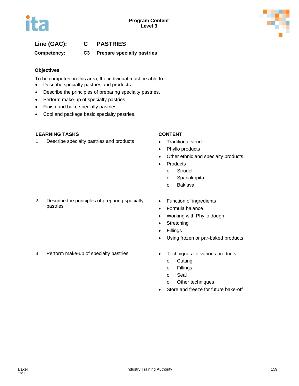

# **Line (GAC): C PASTRIES**

## **Competency: C3 Prepare specialty pastries**

### **Objectives**

To be competent in this area, the individual must be able to:

- Describe specialty pastries and products.
- Describe the principles of preparing specialty pastries.
- Perform make-up of specialty pastries.
- Finish and bake specialty pastries.
- Cool and package basic specialty pastries.

### **LEARNING TASKS CONTENT**

1. Describe specialty pastries and products • Traditional strudel

- 
- Phyllo products
- Other ethnic and specialty products
- Products
	- o Strudel
	- o Spanakopita
	- o Baklava
- 2. Describe the principles of preparing specialty pastries
- Function of ingredients
- Formula balance
- Working with Phyllo dough
- Stretching
- Fillings
- Using frozen or par-baked products
- 3. Perform make-up of specialty pastries Techniques for various products
	- - o Cutting
		- o Fillings
		- o Seal
		- o Other techniques
	- Store and freeze for future bake-off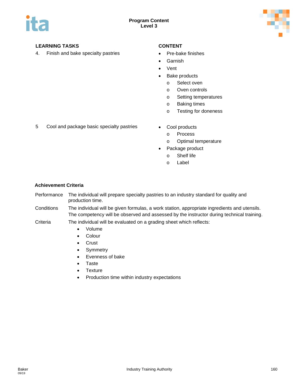

4. Finish and bake specialty pastries • Pre-bake finishes

- 
- **Garnish**
- Vent
- Bake products
	- o Select oven
	- o Oven controls
	- o Setting temperatures
	- o Baking times
	- o Testing for doneness
- 5 Cool and package basic specialty pastries Cool products
	- - o Process
		- o Optimal temperature
	- Package product
		- o Shelf life
		- o Label

### **Achievement Criteria**

- Performance The individual will prepare specialty pastries to an industry standard for quality and production time.
- Conditions The individual will be given formulas, a work station, appropriate ingredients and utensils. The competency will be observed and assessed by the instructor during technical training.
- Criteria The individual will be evaluated on a grading sheet which reflects:
	- Volume
	- Colour
	- Crust
	- Symmetry
	- Evenness of bake
	- Taste
	- Texture
	- Production time within industry expectations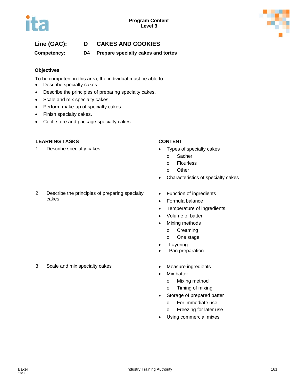

# **Line (GAC): D CAKES AND COOKIES**

**Competency: D4 Prepare specialty cakes and tortes**

### **Objectives**

To be competent in this area, the individual must be able to:

- Describe specialty cakes.
- Describe the principles of preparing specialty cakes.
- Scale and mix specialty cakes.
- Perform make-up of specialty cakes.
- Finish specialty cakes.
- Cool, store and package specialty cakes.

### **LEARNING TASKS CONTENT**

1. Describe specialty cakes **•** Types of specialty cakes

### 2. Describe the principles of preparing specialty cakes

- 
- - o Sacher
	- o Flourless
	- o Other
- Characteristics of specialty cakes
- Function of ingredients
- Formula balance
- Temperature of ingredients
- Volume of batter
- Mixing methods
	- o Creaming
	- o One stage
- **Layering**
- Pan preparation
- 3. Scale and mix specialty cakes Measure ingredients
	- **Mix batter** 
		- o Mixing method
		- o Timing of mixing
	- Storage of prepared batter
		- o For immediate use
		- o Freezing for later use
	- Using commercial mixes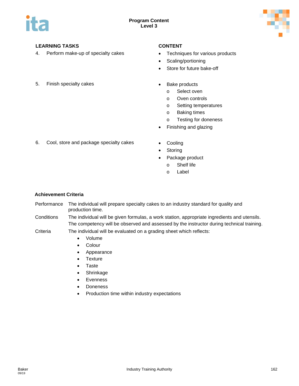

4. Perform make-up of specialty cakes • Techniques for various products

- 
- Scaling/portioning
- Store for future bake-off
- 5. Finish specialty cakes  **Bake products** 
	- - o Select oven
		- o Oven controls
		- o Setting temperatures
		- o Baking times
		- o Testing for doneness
	- Finishing and glazing
- 6. Cool, store and package specialty cakes Cooling
	-
	- **Storing**
	- Package product
		- o Shelf life
		- o Label

### **Achievement Criteria**

- Performance The individual will prepare specialty cakes to an industry standard for quality and production time.
- Conditions The individual will be given formulas, a work station, appropriate ingredients and utensils. The competency will be observed and assessed by the instructor during technical training.
- Criteria The individual will be evaluated on a grading sheet which reflects:
	- Volume
	- Colour
	- Appearance
	- Texture
	- Taste
	- Shrinkage
	- Evenness
	- Doneness
	- Production time within industry expectations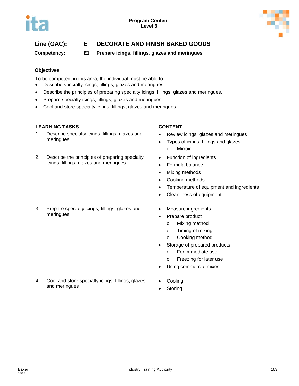

# **Line (GAC): E DECORATE AND FINISH BAKED GOODS**

**Competency: E1 Prepare icings, fillings, glazes and meringues**

### **Objectives**

To be competent in this area, the individual must be able to:

- Describe specialty icings, fillings, glazes and meringues.
- Describe the principles of preparing specialty icings, fillings, glazes and meringues.
- Prepare specialty icings, fillings, glazes and meringues.
- Cool and store specialty icings, fillings, glazes and meringues.

### **LEARNING TASKS CONTENT**

- 1. Describe specialty icings, fillings, glazes and meringues
- 2. Describe the principles of preparing specialty icings, fillings, glazes and meringues

### 3. Prepare specialty icings, fillings, glazes and meringues

4. Cool and store specialty icings, fillings, glazes

and meringues

- Review icings, glazes and meringues
- Types of icings, fillings and glazes o Mirroir
- Function of ingredients
- Formula balance
- **Mixing methods**
- Cooking methods
- Temperature of equipment and ingredients
- Cleanliness of equipment
- Measure ingredients
- Prepare product
	- o Mixing method
	- o Timing of mixing
	- o Cooking method
- Storage of prepared products
	- o For immediate use
	- o Freezing for later use
- Using commercial mixes
- **Cooling**
- **Storing**

09/19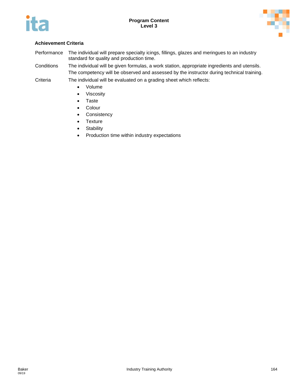



### **Achievement Criteria**

Performance The individual will prepare specialty icings, fillings, glazes and meringues to an industry standard for quality and production time.

Conditions The individual will be given formulas, a work station, appropriate ingredients and utensils. The competency will be observed and assessed by the instructor during technical training.

- Volume
- Viscosity
- Taste
- Colour
- Consistency
- Texture
- Stability
- Production time within industry expectations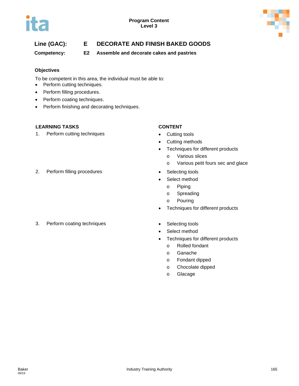

# **Line (GAC): E DECORATE AND FINISH BAKED GOODS**

**Competency: E2 Assemble and decorate cakes and pastries**

### **Objectives**

To be competent in this area, the individual must be able to:

- Perform cutting techniques.
- Perform filling procedures.
- Perform coating techniques.
- Perform finishing and decorating techniques.

### **LEARNING TASKS CONTENT**

1. Perform cutting techniques **•** Cutting tools

- 
- Cutting methods
- Techniques for different products
	- o Various slices
	- o Various petit fours sec and glace
- 2. Perform filling procedures **•** Selecting tools
	- Select method
		- o Piping
		- o Spreading
		- o Pouring
	- Techniques for different products
- 3. Perform coating techniques **•** Selecting tools
- - Select method
	- Techniques for different products
		- o Rolled fondant
		- o Ganache
		- o Fondant dipped
		- o Chocolate dipped
		- o Glacage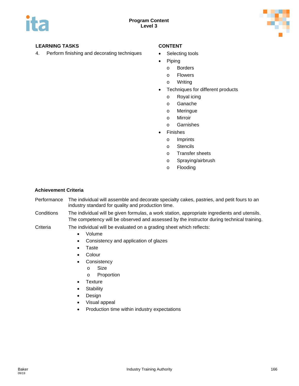

4. Perform finishing and decorating techniques • Selecting tools

- 
- Piping
	- o Borders
	- o Flowers
	- o Writing
- Techniques for different products
	- o Royal icing
	- o Ganache
	- o Meringue
	- o Mirroir
	- o Garnishes
- **Finishes** 
	- o Imprints
	- o Stencils
	- o Transfer sheets
	- o Spraying/airbrush
	- o Flooding

### **Achievement Criteria**

- Performance The individual will assemble and decorate specialty cakes, pastries, and petit fours to an industry standard for quality and production time.
- Conditions The individual will be given formulas, a work station, appropriate ingredients and utensils. The competency will be observed and assessed by the instructor during technical training.

- Volume
- Consistency and application of glazes
- Taste
- Colour
- Consistency
	- o Size
	- o Proportion
- Texture
- Stability
- Design
- Visual appeal
- Production time within industry expectations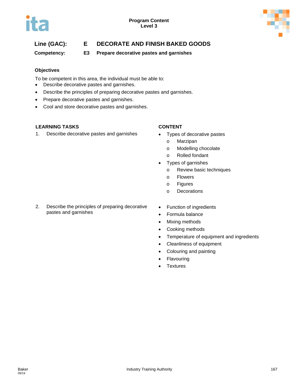

# **Line (GAC): E DECORATE AND FINISH BAKED GOODS**

**Competency: E3 Prepare decorative pastes and garnishes**

### **Objectives**

To be competent in this area, the individual must be able to:

- Describe decorative pastes and garnishes.
- Describe the principles of preparing decorative pastes and garnishes.
- Prepare decorative pastes and garnishes.
- Cool and store decorative pastes and garnishes.

### **LEARNING TASKS CONTENT**

1. Describe decorative pastes and garnishes • Types of decorative pastes

- - o Marzipan
	- o Modelling chocolate
	- o Rolled fondant
- Types of garnishes
	- o Review basic techniques
	- o Flowers
	- o Figures
	- o Decorations
- 2. Describe the principles of preparing decorative pastes and garnishes
- Function of ingredients
- Formula balance
- Mixing methods
- Cooking methods
- Temperature of equipment and ingredients
- Cleanliness of equipment
- Colouring and painting
- **Flavouring**
- **Textures**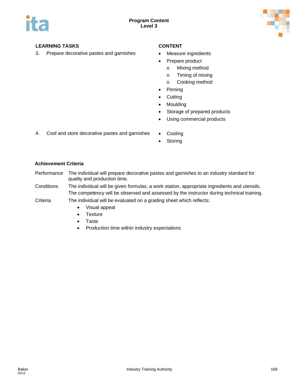

3. Prepare decorative pastes and garnishes • Measure ingredients

- 
- Prepare product
	- o Mixing method
	- o Timing of mixing
	- o Cooking method
- Pinning
- Cutting
- Moulding
- Storage of prepared products
- Using commercial products
- 4. Cool and store decorative pastes and garnishes Cooling
	- Storing

### **Achievement Criteria**

- Performance The individual will prepare decorative pastes and garnishes to an industry standard for quality and production time.
- Conditions The individual will be given formulas, a work station, appropriate ingredients and utensils. The competency will be observed and assessed by the instructor during technical training.
- Criteria The individual will be evaluated on a grading sheet which reflects:
	- Visual appeal
	- Texture
	- Taste
	- Production time within industry expectations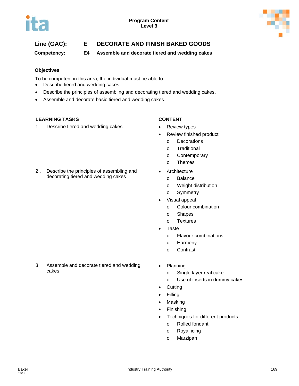

# **Line (GAC): E DECORATE AND FINISH BAKED GOODS**

**Competency: E4 Assemble and decorate tiered and wedding cakes**

### **Objectives**

To be competent in this area, the individual must be able to:

- Describe tiered and wedding cakes.
- Describe the principles of assembling and decorating tiered and wedding cakes.
- Assemble and decorate basic tiered and wedding cakes.

### **LEARNING TASKS CONTENT**

1. Describe tiered and wedding cakes • Review types

2.. Describe the principles of assembling and decorating tiered and wedding cakes

- 
- Review finished product
	- o Decorations
	- o Traditional
	- o Contemporary
	- o Themes
- **Architecture** 
	- o Balance
	- o Weight distribution
	- o Symmetry
- Visual appeal
	- o Colour combination
	- o Shapes
	- o Textures
- **Taste** 
	- o Flavour combinations
	- o Harmony
	- o Contrast
- 3. Assemble and decorate tiered and wedding cakes
- Planning
	- o Single layer real cake
	- o Use of inserts in dummy cakes
- Cutting
- Filling
- Masking
- Finishing
- Techniques for different products
	- o Rolled fondant
	- o Royal icing
	- o Marzipan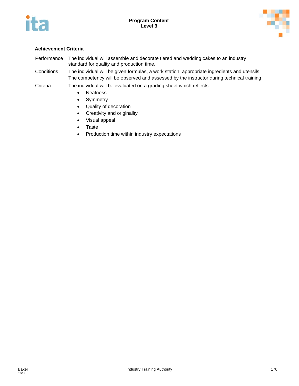



### **Achievement Criteria**

- Performance The individual will assemble and decorate tiered and wedding cakes to an industry standard for quality and production time.
- Conditions The individual will be given formulas, a work station, appropriate ingredients and utensils. The competency will be observed and assessed by the instructor during technical training.

- Neatness
- Symmetry
- Quality of decoration
- Creativity and originality
- Visual appeal
- Taste
- Production time within industry expectations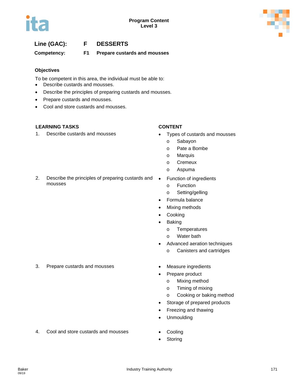

## **Line (GAC): F DESSERTS**

**Competency: F1 Prepare custards and mousses**

### **Objectives**

To be competent in this area, the individual must be able to:

- Describe custards and mousses.
- Describe the principles of preparing custards and mousses.
- Prepare custards and mousses.
- Cool and store custards and mousses.

### **LEARNING TASKS CONTENT**

1. Describe custards and mousses • Types of custards and mousses

- - o Sabayon
	- o Pate a Bombe
	- o Marquis
	- o Cremeux
	- o Aspuma
- 2. Describe the principles of preparing custards and mousses
	- Function of ingredients
		- o Function
		- o Setting/gelling
	- Formula balance
	- Mixing methods
	- **Cooking**
	- Baking
		- o Temperatures
		- o Water bath
	- Advanced aeration techniques
		- o Canisters and cartridges
- 3. Prepare custards and mousses Measure ingredients
	-
	- Prepare product
		- o Mixing method
		- o Timing of mixing
		- o Cooking or baking method
	- Storage of prepared products
	- Freezing and thawing
	- Unmoulding
- 4. Cool and store custards and mousses Cooling
	-
	- **Storing**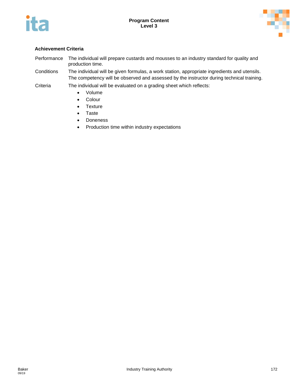



### **Achievement Criteria**

- Performance The individual will prepare custards and mousses to an industry standard for quality and production time.
- Conditions The individual will be given formulas, a work station, appropriate ingredients and utensils. The competency will be observed and assessed by the instructor during technical training.
- Criteria The individual will be evaluated on a grading sheet which reflects:
	- Volume
	- Colour
	- Texture
	- Taste
	- Doneness
	- Production time within industry expectations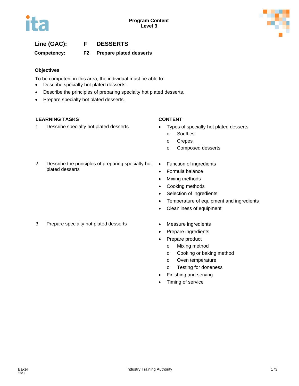

## **Line (GAC): F DESSERTS**

**Competency: F2 Prepare plated desserts**

### **Objectives**

To be competent in this area, the individual must be able to:

- Describe specialty hot plated desserts.
- Describe the principles of preparing specialty hot plated desserts.
- Prepare specialty hot plated desserts.

### **LEARNING TASKS CONTENT**

1. Describe specialty hot plated desserts • Types of specialty hot plated desserts

- - o Souffles
	- o Crepes
	- o Composed desserts
- 2. Describe the principles of preparing specialty hot plated desserts
- Function of ingredients
- Formula balance
- Mixing methods
- Cooking methods
- Selection of ingredients
- Temperature of equipment and ingredients
- Cleanliness of equipment
- 3. Prepare specialty hot plated desserts Measure ingredients
- - Prepare ingredients
	- Prepare product
		- o Mixing method
		- o Cooking or baking method
		- o Oven temperature
		- o Testing for doneness
	- Finishing and serving
	- Timing of service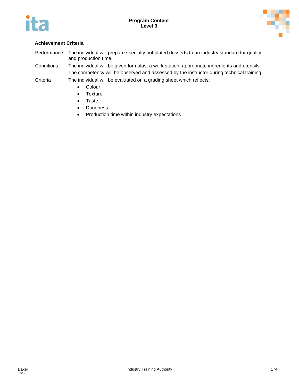



### **Achievement Criteria**

- Performance The individual will prepare specialty hot plated desserts to an industry standard for quality and production time.
- Conditions The individual will be given formulas, a work station, appropriate ingredients and utensils. The competency will be observed and assessed by the instructor during technical training.

- Colour
- Texture
- Taste
- Doneness
- Production time within industry expectations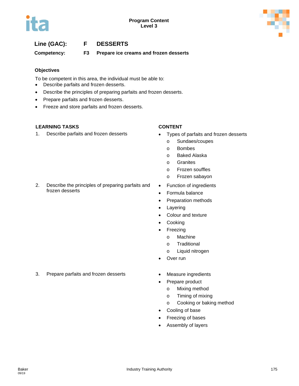# **Line (GAC): F DESSERTS**

**Competency: F3 Prepare ice creams and frozen desserts**

### **Objectives**

To be competent in this area, the individual must be able to:

- Describe parfaits and frozen desserts.
- Describe the principles of preparing parfaits and frozen desserts.
- Prepare parfaits and frozen desserts.
- Freeze and store parfaits and frozen desserts.

2. Describe the principles of preparing parfaits and

### **LEARNING TASKS CONTENT**

frozen desserts

1. Describe parfaits and frozen desserts • Types of parfaits and frozen desserts

- - o Sundaes/coupes
	- o Bombes
	- o Baked Alaska
	- o Granites
	- o Frozen souffles
	- o Frozen sabayon
- Function of ingredients
- Formula balance
- Preparation methods
- Layering
- Colour and texture
- **Cooking**
- Freezing
	- o Machine
	- o Traditional
	- o Liquid nitrogen
- Over run
- 
- Prepare product
	- o Mixing method
	- o Timing of mixing
	- o Cooking or baking method
- Cooling of base
- Freezing of bases
- Assembly of layers

3. Prepare parfaits and frozen desserts • Measure ingredients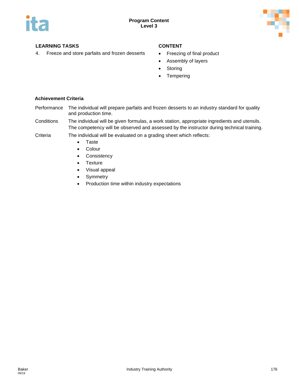

4. Freeze and store parfaits and frozen desserts • Freezing of final product

- 
- Assembly of layers
- Storing
- **Tempering**

### **Achievement Criteria**

- Performance The individual will prepare parfaits and frozen desserts to an industry standard for quality and production time.
- Conditions The individual will be given formulas, a work station, appropriate ingredients and utensils. The competency will be observed and assessed by the instructor during technical training.
- Criteria The individual will be evaluated on a grading sheet which reflects:
	- Taste
		- Colour
		- Consistency
		- Texture
		- Visual appeal
		- Symmetry
		- Production time within industry expectations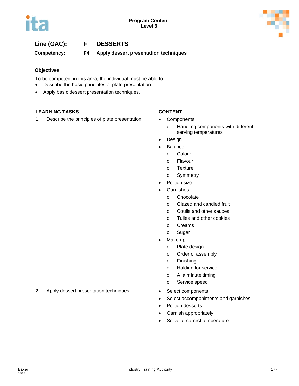## **Line (GAC): F DESSERTS**

**Competency: F4 Apply dessert presentation techniques**

### **Objectives**

To be competent in this area, the individual must be able to:

- Describe the basic principles of plate presentation.
- Apply basic dessert presentation techniques.

### **LEARNING TASKS CONTENT**

1. Describe the principles of plate presentation • Components

- - o Handling components with different serving temperatures
- Design
- Balance
	- o Colour
	- o Flavour
	- o Texture
	- o Symmetry
- Portion size
- **Garnishes** 
	- o Chocolate
	- o Glazed and candied fruit
	- o Coulis and other sauces
	- o Tuiles and other cookies
	- o Creams
	- o Sugar
- Make up
	- o Plate design
	- o Order of assembly
	- o Finishing
	- o Holding for service
	- o A la minute timing
	- o Service speed
- 
- Select accompaniments and garnishes
- Portion desserts
- Garnish appropriately
- Serve at correct temperature

### 2. Apply dessert presentation techniques • Select components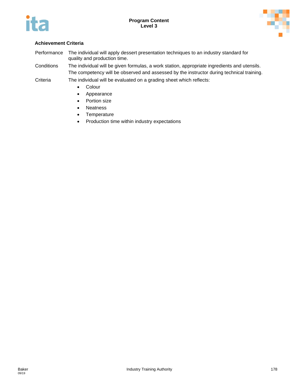



### **Achievement Criteria**

Performance The individual will apply dessert presentation techniques to an industry standard for quality and production time.

Conditions The individual will be given formulas, a work station, appropriate ingredients and utensils. The competency will be observed and assessed by the instructor during technical training.

- Colour
- Appearance
- Portion size
- Neatness
- Temperature
- Production time within industry expectations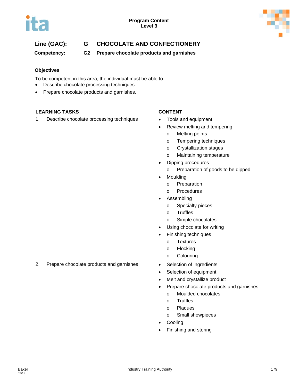

# **Line (GAC): G CHOCOLATE AND CONFECTIONERY**

**Competency: G2 Prepare chocolate products and garnishes**

### **Objectives**

To be competent in this area, the individual must be able to:

- Describe chocolate processing techniques.
- Prepare chocolate products and garnishes.

### **LEARNING TASKS CONTENT**

1. Describe chocolate processing techniques • Tools and equipment

- 
- Review melting and tempering
	- o Melting points
	- o Tempering techniques
	- o Crystallization stages
	- o Maintaining temperature
- Dipping procedures
	- o Preparation of goods to be dipped
- Moulding
	- o Preparation
	- o Procedures
- **Assembling** 
	- o Specialty pieces
	- o Truffles
	- o Simple chocolates
- Using chocolate for writing
- Finishing techniques
	- o Textures
	- o Flocking
	- o Colouring
- 
- Selection of equipment
- Melt and crystallize product
- Prepare chocolate products and garnishes
	- o Moulded chocolates
	- o Truffles
	- o Plaques
	- o Small showpieces
- **Cooling**
- Finishing and storing

### 2. Prepare chocolate products and garnishes • Selection of ingredients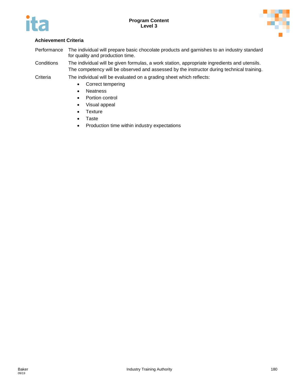



#### **Achievement Criteria**

- Performance The individual will prepare basic chocolate products and garnishes to an industry standard for quality and production time.
- Conditions The individual will be given formulas, a work station, appropriate ingredients and utensils. The competency will be observed and assessed by the instructor during technical training.
- Criteria The individual will be evaluated on a grading sheet which reflects:
	- Correct tempering
	- Neatness
	- Portion control
	- Visual appeal
	- Texture
	- Taste
	- Production time within industry expectations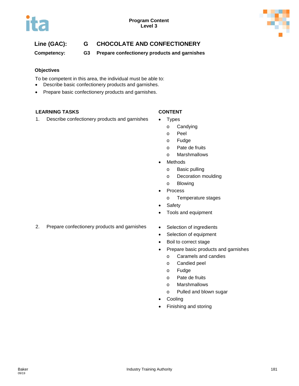

#### **Line (GAC): G CHOCOLATE AND CONFECTIONERY**

**Competency: G3 Prepare confectionery products and garnishes**

#### **Objectives**

To be competent in this area, the individual must be able to:

- Describe basic confectionery products and garnishes.
- Prepare basic confectionery products and garnishes.

#### **LEARNING TASKS CONTENT**

1. Describe confectionery products and garnishes • Types

- - o Candying
	- o Peel
	- o Fudge
	- o Pate de fruits
	- o Marshmallows
- Methods
	- o Basic pulling
	- o Decoration moulding
	- o Blowing
- Process
	- o Temperature stages
- Safety
- Tools and equipment
- 2. Prepare confectionery products and garnishes Selection of ingredients
	-
	- Selection of equipment
	- Boil to correct stage
	- Prepare basic products and garnishes
		- o Caramels and candies
		- o Candied peel
		- o Fudge
		- o Pate de fruits
		- o Marshmallows
		- o Pulled and blown sugar
	- Cooling
	- Finishing and storing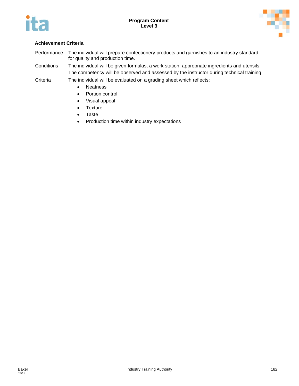



#### **Achievement Criteria**

- Performance The individual will prepare confectionery products and garnishes to an industry standard for quality and production time.
- Conditions The individual will be given formulas, a work station, appropriate ingredients and utensils. The competency will be observed and assessed by the instructor during technical training.
- Criteria The individual will be evaluated on a grading sheet which reflects:
	- Neatness
	- Portion control
	- Visual appeal
	- Texture
	- Taste
	- Production time within industry expectations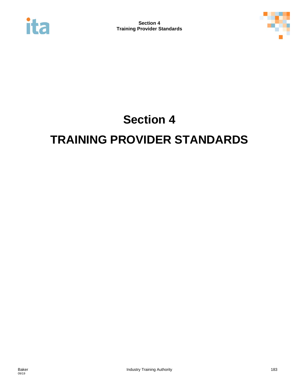



## **Section 4 TRAINING PROVIDER STANDARDS**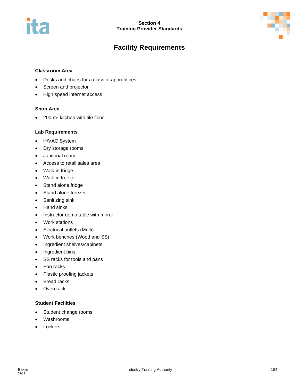# it E



### **Facility Requirements**

#### **Classroom Area**

- Desks and chairs for a class of apprentices
- Screen and projector
- High speed internet access

#### **Shop Area**

• 200 m² kitchen with tile floor

#### **Lab Requirements**

- H/VAC System
- Dry storage rooms
- Janitorial room
- Access to retail sales area
- Walk-in fridge
- Walk-in freezer
- Stand alone fridge
- Stand alone freezer
- Sanitizing sink
- Hand sinks
- Instructor demo table with mirror
- Work stations
- Electrical outlets (Multi)
- Work benches (Wood and SS)
- Ingredient shelves/cabinets
- Ingredient bins
- SS racks for tools and pans
- Pan racks
- Plastic proofing jackets
- **Bread racks**
- Oven rack

#### **Student Facilities**

- Student change rooms
- Washrooms
- Lockers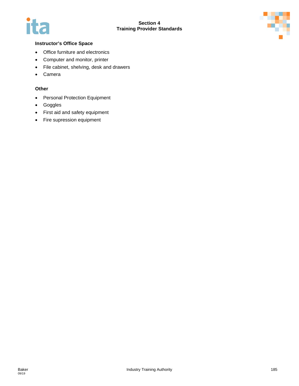



#### **Instructor's Office Space**

- Office furniture and electronics
- Computer and monitor, printer
- File cabinet, shelving, desk and drawers
- Camera

#### **Other**

- Personal Protection Equipment
- Goggles
- First aid and safety equipment
- Fire supression equipment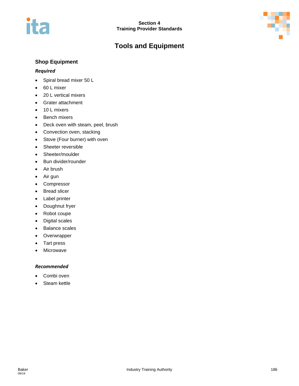# ita

### **Tools and Equipment**



#### **Shop Equipment**

#### *Required*

- Spiral bread mixer 50 L
- 60 L mixer
- 20 L vertical mixers
- Grater attachment
- 10 L mixers
- Bench mixers
- Deck oven with steam, peel, brush
- Convection oven, stacking
- Stove (Four burner) with oven
- Sheeter reversible
- Sheeter/moulder
- Bun divider/rounder
- Air brush
- Air gun
- Compressor
- Bread slicer
- Label printer
- Doughnut fryer
- Robot coupe
- Digital scales
- Balance scales
- Overwrapper
- Tart press
- Microwave

#### *Recommended*

- Combi oven
- Steam kettle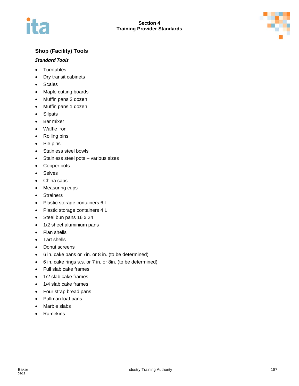

#### **Shop (Facility) Tools**

#### *Standard Tools*

- Turntables
- Dry transit cabinets
- Scales
- Maple cutting boards
- Muffin pans 2 dozen
- Muffin pans 1 dozen
- Silpats
- Bar mixer
- Waffle iron
- Rolling pins
- Pie pins
- Stainless steel bowls
- Stainless steel pots various sizes
- Copper pots
- Seives
- China caps
- Measuring cups
- **Strainers**
- Plastic storage containers 6 L
- Plastic storage containers 4 L
- Steel bun pans 16 x 24
- 1/2 sheet aluminium pans
- Flan shells
- Tart shells
- Donut screens
- 6 in. cake pans or 7in. or 8 in. (to be determined)
- 6 in. cake rings s.s. or 7 in. or 8in. (to be determined)
- Full slab cake frames
- 1/2 slab cake frames
- 1/4 slab cake frames
- Four strap bread pans
- Pullman loaf pans
- Marble slabs
- **Ramekins**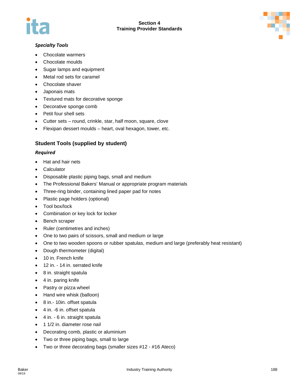



#### *Specialty Tools*

- Chocolate warmers
- Chocolate moulds
- Sugar lamps and equipment
- Metal rod sets for caramel
- Chocolate shaver
- Japonais mats
- Textured mats for decorative sponge
- Decorative sponge comb
- Petit four shell sets
- Cutter sets round, crinkle, star, half moon, square, clove
- Flexipan dessert moulds heart, oval hexagon, tower, etc.

#### **Student Tools (supplied by student)**

#### *Required*

- Hat and hair nets
- **Calculator**
- Disposable plastic piping bags, small and medium
- The Professional Bakers' Manual or appropriate program materials
- Three-ring binder, containing lined paper pad for notes
- Plastic page holders (optional)
- Tool box/lock
- Combination or key lock for locker
- Bench scraper
- Ruler (centimetres and inches)
- One to two pairs of scissors, small and medium or large
- One to two wooden spoons or rubber spatulas, medium and large (preferably heat resistant)
- Dough thermometer (digital)
- 10 in. French knife
- 12 in. 14 in. serrated knife
- 8 in. straight spatula
- 4 in. paring knife
- Pastry or pizza wheel
- Hand wire whisk (balloon)
- 8 in.- 10in. offset spatula
- 4 in. -6 in. offset spatula
- 4 in. 6 in. straight spatula
- 1 1/2 in. diameter rose nail
- Decorating comb, plastic or aluminium
- Two or three piping bags, small to large
- Two or three decorating bags (smaller sizes #12 #16 Ateco)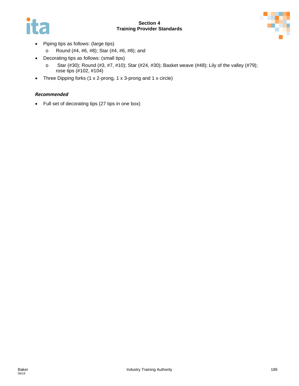#### **Section 4 Training Provider Standards**





- Piping tips as follows: (large tips)
	- o Round (#4, #6, #8); Star (#4, #6, #8); and
- Decorating tips as follows: (small tips)
	- o Star (#30); Round (#3, #7, #10); Star (#24, #30); Basket weave (#48); Lily of the valley (#79); rose tips (#102, #104)
- Three Dipping forks (1 x 2-prong, 1 x 3-prong and 1 x circle)

#### *Recommended*

• Full set of decorating tips (27 tips in one box)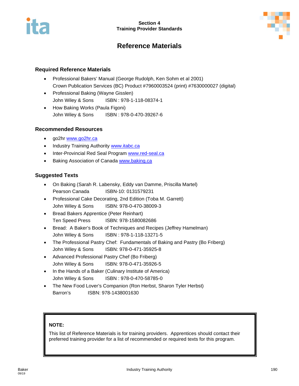

#### **Reference Materials**

#### **Required Reference Materials**

- Professional Bakers' Manual (George Rudolph, Ken Sohm et al 2001) Crown Publication Services (BC) Product #7960003524 (print) #7630000027 (digital)
- Professional Baking (Wayne Gisslen) John Wiley & Sons ISBN : 978-1-118-08374-1
- How Baking Works (Paula Figoni) John Wiley & Sons ISBN : 978-0-470-39267-6

#### **Recommended Resources**

- go2hr [www.go2hr.ca](http://www.go2hr.ca/)
- Industry Training Authority [www.itabc.ca](http://www.itabc.ca/)
- Inter-Provincial Red Seal Program [www.red-seal.ca](http://www.red-seal.ca/)
- Baking Association of Canada [www.baking.ca](http://www.baking.ca/)

#### **Suggested Texts**

- On Baking (Sarah R. Labensky, Eddy van Damme, Priscilla Martel) Pearson Canada ISBN-10: 0131579231
- Professional Cake Decorating, 2nd Edition (Toba M. Garrett) John Wiley & Sons ISBN: 978-0-470-38009-3
- Bread Bakers Apprentice (Peter Reinhart) Ten Speed Press ISBN: 978-1580082686
- Bread: A Baker's Book of Techniques and Recipes (Jeffrey Hamelman) John Wiley & Sons ISBN : 978-1-118-13271-5
- The Professional Pastry Chef: Fundamentals of Baking and Pastry (Bo Friberg) John Wiley & Sons ISBN: 978-0-471-35925-8
- Advanced Professional Pastry Chef (Bo Friberg) John Wiley & Sons ISBN: 978-0-471-35926-5
- In the Hands of a Baker (Culinary Institute of America) John Wiley & Sons ISBN : 978-0-470-58785-0
- The New Food Lover's Companion (Ron Herbst, Sharon Tyler Herbst) Barron's ISBN: 978-1438001630

#### **NOTE:**

This list of Reference Materials is for training providers. Apprentices should contact their preferred training provider for a list of recommended or required texts for this program.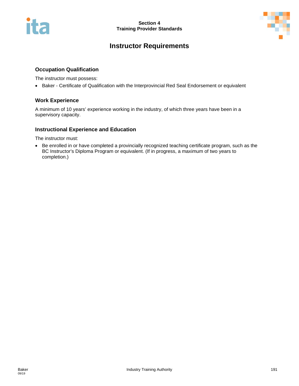

### **Instructor Requirements**

#### **Occupation Qualification**

The instructor must possess:

• Baker - Certificate of Qualification with the Interprovincial Red Seal Endorsement or equivalent

#### **Work Experience**

A minimum of 10 years' experience working in the industry, of which three years have been in a supervisory capacity.

#### **Instructional Experience and Education**

The instructor must:

• Be enrolled in or have completed a provincially recognized teaching certificate program, such as the BC Instructor's Diploma Program or equivalent. (If in progress, a maximum of two years to completion.)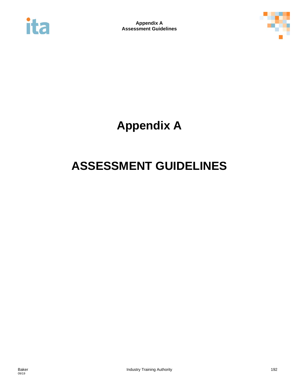



**Appendix A**

## **ASSESSMENT GUIDELINES**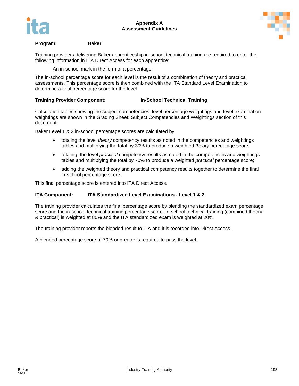



#### **Program: Baker**

Training providers delivering Baker apprenticeship in-school technical training are required to enter the following information in ITA Direct Access for each apprentice:

An in-school mark in the form of a percentage

The in-school percentage score for each level is the result of a combination of theory and practical assessments. This percentage score is then combined with the ITA Standard Level Examination to determine a final percentage score for the level.

#### **Training Provider Component: In-School Technical Training**

Calculation tables showing the subject competencies, level percentage weightings and level examination weightings are shown in the Grading Sheet: Subject Competencies and Weightings section of this document.

Baker Level 1 & 2 in-school percentage scores are calculated by:

- totaling the level *theory* competency results as noted in the competencies and weightings tables and multiplying the total by 30% to produce a weighted *theory* percentage score;
- totaling the level *practical* competency results as noted in the competencies and weightings tables and multiplying the total by 70% to produce a weighted *practical* percentage score;
- adding the weighted theory and practical competency results together to determine the final in-school percentage score.

This final percentage score is entered into ITA Direct Access.

#### **ITA Component: ITA Standardized Level Examinations - Level 1 & 2**

The training provider calculates the final percentage score by blending the standardized exam percentage score and the in-school technical training percentage score. In-school technical training (combined theory & practical) is weighted at 80% and the ITA standardized exam is weighted at 20%.

The training provider reports the blended result to ITA and it is recorded into Direct Access.

A blended percentage score of 70% or greater is required to pass the level.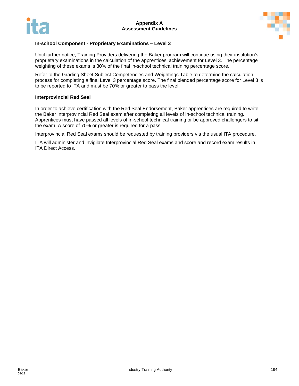



#### **In-school Component - Proprietary Examinations – Level 3**

Until further notice, Training Providers delivering the Baker program will continue using their institution's proprietary examinations in the calculation of the apprentices' achievement for Level 3. The percentage weighting of these exams is 30% of the final in-school technical training percentage score.

Refer to the Grading Sheet Subject Competencies and Weightings Table to determine the calculation process for completing a final Level 3 percentage score. The final blended percentage score for Level 3 is to be reported to ITA and must be 70% or greater to pass the level.

#### **Interprovincial Red Seal**

In order to achieve certification with the Red Seal Endorsement, Baker apprentices are required to write the Baker Interprovincial Red Seal exam after completing all levels of in-school technical training. Apprentices must have passed all levels of in-school technical training or be approved challengers to sit the exam. A score of 70% or greater is required for a pass.

Interprovincial Red Seal exams should be requested by training providers via the usual ITA procedure.

ITA will administer and invigilate Interprovincial Red Seal exams and score and record exam results in ITA Direct Access.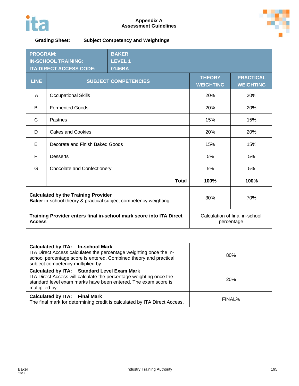



**Grading Sheet: Subject Competency and Weightings**

| <b>PROGRAM:</b><br><b>IN-SCHOOL TRAINING:</b><br><b>ITA DIRECT ACCESS CODE:</b>                               |                                    | <b>BAKER</b><br><b>LEVEL 1</b><br>0146BA                                                                 |      |      |
|---------------------------------------------------------------------------------------------------------------|------------------------------------|----------------------------------------------------------------------------------------------------------|------|------|
| <b>LINE</b>                                                                                                   |                                    | <b>PRACTICAL</b><br><b>THEORY</b><br><b>SUBJECT COMPETENCIES</b><br><b>WEIGHTING</b><br><b>WEIGHTING</b> |      |      |
| A                                                                                                             | Occupational Skills                |                                                                                                          | 20%  | 20%  |
| B                                                                                                             | <b>Fermented Goods</b>             |                                                                                                          | 20%  | 20%  |
| $\mathsf{C}$                                                                                                  | <b>Pastries</b>                    |                                                                                                          | 15%  | 15%  |
| D                                                                                                             | <b>Cakes and Cookies</b>           |                                                                                                          | 20%  | 20%  |
| E                                                                                                             | Decorate and Finish Baked Goods    |                                                                                                          | 15%  | 15%  |
| F                                                                                                             | <b>Desserts</b>                    |                                                                                                          | 5%   | 5%   |
| G                                                                                                             | <b>Chocolate and Confectionery</b> |                                                                                                          | 5%   | 5%   |
|                                                                                                               |                                    | <b>Total</b>                                                                                             | 100% | 100% |
| <b>Calculated by the Training Provider</b><br>Baker in-school theory & practical subject competency weighting |                                    | 30%                                                                                                      | 70%  |      |
| Training Provider enters final in-school mark score into ITA Direct<br><b>Access</b>                          |                                    | Calculation of final in-school<br>percentage                                                             |      |      |

| <b>Calculated by ITA: In-school Mark</b><br>ITA Direct Access calculates the percentage weighting once the in-<br>school percentage score is entered. Combined theory and practical<br>subject competency multiplied by | 80%        |
|-------------------------------------------------------------------------------------------------------------------------------------------------------------------------------------------------------------------------|------------|
| <b>Calculated by ITA: Standard Level Exam Mark</b><br>ITA Direct Access will calculate the percentage weighting once the<br>standard level exam marks have been entered. The exam score is<br>multiplied by             | <b>20%</b> |
| <b>Calculated by ITA: Final Mark</b><br>The final mark for determining credit is calculated by ITA Direct Access.                                                                                                       | FINAL%     |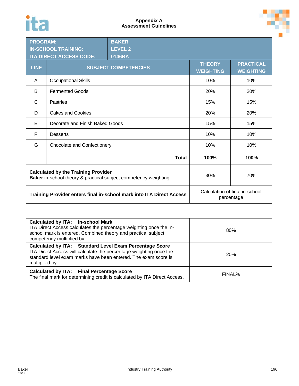## ita



| <b>BAKER</b><br><b>PROGRAM:</b><br><b>IN-SCHOOL TRAINING:</b><br><b>LEVEL 2</b><br><b>ITA DIRECT ACCESS CODE:</b><br>0146BA |                                 |                                                                                                          |      |      |
|-----------------------------------------------------------------------------------------------------------------------------|---------------------------------|----------------------------------------------------------------------------------------------------------|------|------|
| <b>LINE</b>                                                                                                                 |                                 | <b>PRACTICAL</b><br><b>THEORY</b><br><b>SUBJECT COMPETENCIES</b><br><b>WEIGHTING</b><br><b>WEIGHTING</b> |      |      |
| A                                                                                                                           | <b>Occupational Skills</b>      |                                                                                                          | 10%  | 10%  |
| B                                                                                                                           | <b>Fermented Goods</b>          |                                                                                                          | 20%  | 20%  |
| C                                                                                                                           | Pastries                        |                                                                                                          | 15%  | 15%  |
| D                                                                                                                           | <b>Cakes and Cookies</b>        |                                                                                                          | 20%  | 20%  |
| E                                                                                                                           | Decorate and Finish Baked Goods |                                                                                                          | 15%  | 15%  |
| F                                                                                                                           | <b>Desserts</b>                 |                                                                                                          | 10%  | 10%  |
| G                                                                                                                           | Chocolate and Confectionery     |                                                                                                          | 10%  | 10%  |
|                                                                                                                             |                                 | <b>Total</b>                                                                                             | 100% | 100% |
| <b>Calculated by the Training Provider</b><br>Baker in-school theory & practical subject competency weighting               |                                 | 30%                                                                                                      | 70%  |      |
| Training Provider enters final in-school mark into ITA Direct Access                                                        |                                 | Calculation of final in-school<br>percentage                                                             |      |      |

| Calculated by ITA: In-school Mark<br>ITA Direct Access calculates the percentage weighting once the in-<br>school mark is entered. Combined theory and practical subject<br>competency multiplied by             | 80%        |
|------------------------------------------------------------------------------------------------------------------------------------------------------------------------------------------------------------------|------------|
| Calculated by ITA: Standard Level Exam Percentage Score<br>ITA Direct Access will calculate the percentage weighting once the<br>standard level exam marks have been entered. The exam score is<br>multiplied by | <b>20%</b> |
| <b>Calculated by ITA:</b> Final Percentage Score<br>The final mark for determining credit is calculated by ITA Direct Access.                                                                                    | FINAL%     |